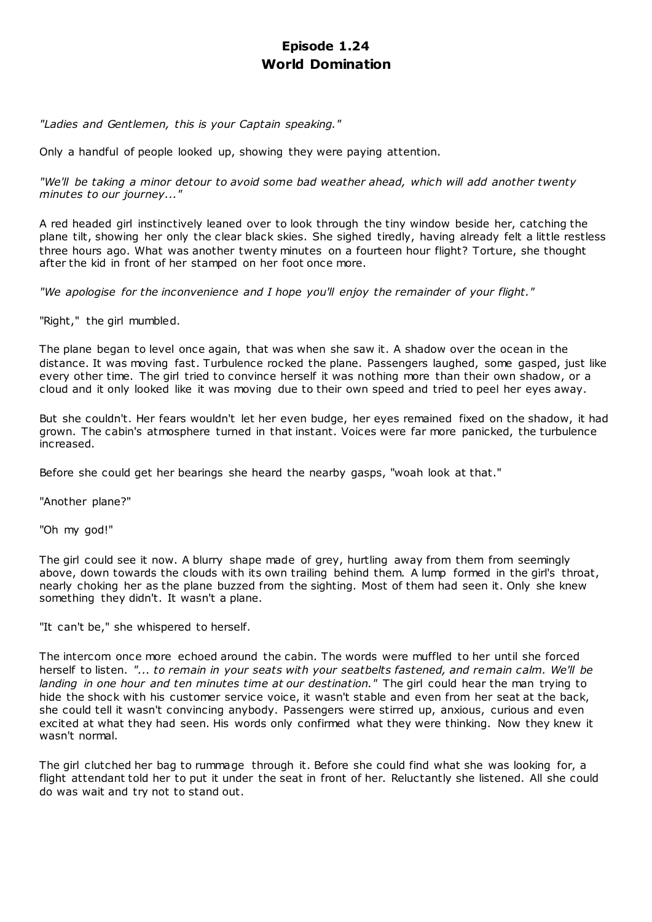# **Episode 1.24 World Domination**

*"Ladies and Gentlemen, this is your Captain speaking."*

Only a handful of people looked up, showing they were paying attention.

*"We'll be taking a minor detour to avoid some bad weather ahead, which will add another twenty minutes to our journey..."*

A red headed girl instinctively leaned over to look through the tiny window beside her, catching the plane tilt, showing her only the clear black skies. She sighed tiredly, having already felt a little restless three hours ago. What was another twenty minutes on a fourteen hour flight? Torture, she thought after the kid in front of her stamped on her foot once more.

*"We apologise for the inconvenience and I hope you'll enjoy the remainder of your flight."*

"Right," the girl mumbled.

The plane began to level once again, that was when she saw it. A shadow over the ocean in the distance. It was moving fast. Turbulence rocked the plane. Passengers laughed, some gasped, just like every other time. The girl tried to convince herself it was nothing more than their own shadow, or a cloud and it only looked like it was moving due to their own speed and tried to peel her eyes away.

But she couldn't. Her fears wouldn't let her even budge, her eyes remained fixed on the shadow, it had grown. The cabin's atmosphere turned in that instant. Voices were far more panicked, the turbulence increased.

Before she could get her bearings she heard the nearby gasps, "woah look at that."

"Another plane?"

"Oh my god!"

The girl could see it now. A blurry shape made of grey, hurtling away from them from seemingly above, down towards the clouds with its own trailing behind them. A lump formed in the girl's throat, nearly choking her as the plane buzzed from the sighting. Most of them had seen it. Only she knew something they didn't. It wasn't a plane.

"It can't be," she whispered to herself.

The intercom once more echoed around the cabin. The words were muffled to her until she forced herself to listen. *"... to remain in your seats with your seatbelts fastened, and remain calm. We'll be landing in one hour and ten minutes time at our destination."* The girl could hear the man trying to hide the shock with his customer service voice, it wasn't stable and even from her seat at the back, she could tell it wasn't convincing anybody. Passengers were stirred up, anxious, curious and even excited at what they had seen. His words only confirmed what they were thinking. Now they knew it wasn't normal.

The girl clutched her bag to rummage through it. Before she could find what she was looking for, a flight attendant told her to put it under the seat in front of her. Reluctantly she listened. All she could do was wait and try not to stand out.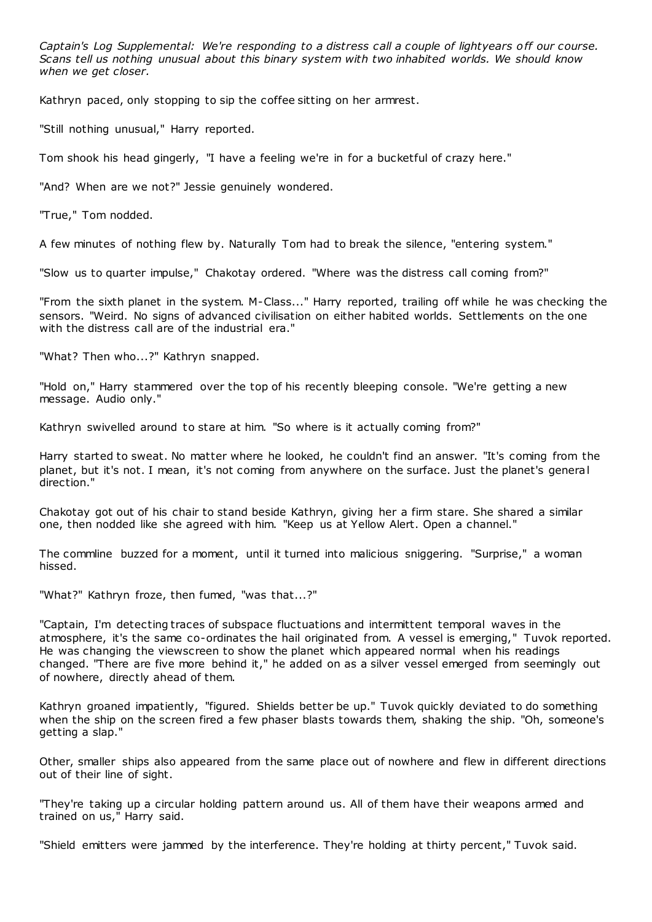*Captain's Log Supplemental: We're responding to a distress call a couple of lightyears off our course. Scans tell us nothing unusual about this binary system with two inhabited worlds. We should know when we get closer.*

Kathryn paced, only stopping to sip the coffee sitting on her armrest.

"Still nothing unusual," Harry reported.

Tom shook his head gingerly, "I have a feeling we're in for a bucketful of crazy here."

"And? When are we not?" Jessie genuinely wondered.

"True," Tom nodded.

A few minutes of nothing flew by. Naturally Tom had to break the silence, "entering system."

"Slow us to quarter impulse," Chakotay ordered. "Where was the distress call coming from?"

"From the sixth planet in the system. M-Class..." Harry reported, trailing off while he was checking the sensors. "Weird. No signs of advanced civilisation on either habited worlds. Settlements on the one with the distress call are of the industrial era."

"What? Then who...?" Kathryn snapped.

"Hold on," Harry stammered over the top of his recently bleeping console. "We're getting a new message. Audio only."

Kathryn swivelled around to stare at him. "So where is it actually coming from?"

Harry started to sweat. No matter where he looked, he couldn't find an answer. "It's coming from the planet, but it's not. I mean, it's not coming from anywhere on the surface. Just the planet's general direction."

Chakotay got out of his chair to stand beside Kathryn, giving her a firm stare. She shared a similar one, then nodded like she agreed with him. "Keep us at Yellow Alert. Open a channel."

The commline buzzed for a moment, until it turned into malicious sniggering. "Surprise," a woman hissed.

"What?" Kathryn froze, then fumed, "was that...?"

"Captain, I'm detecting traces of subspace fluctuations and intermittent temporal waves in the atmosphere, it's the same co-ordinates the hail originated from. A vessel is emerging," Tuvok reported. He was changing the viewscreen to show the planet which appeared normal when his readings changed. "There are five more behind it," he added on as a silver vessel emerged from seemingly out of nowhere, directly ahead of them.

Kathryn groaned impatiently, "figured. Shields better be up." Tuvok quickly deviated to do something when the ship on the screen fired a few phaser blasts towards them, shaking the ship. "Oh, someone's getting a slap."

Other, smaller ships also appeared from the same place out of nowhere and flew in different directions out of their line of sight.

"They're taking up a circular holding pattern around us. All of them have their weapons armed and trained on us," Harry said.

"Shield emitters were jammed by the interference. They're holding at thirty percent," Tuvok said.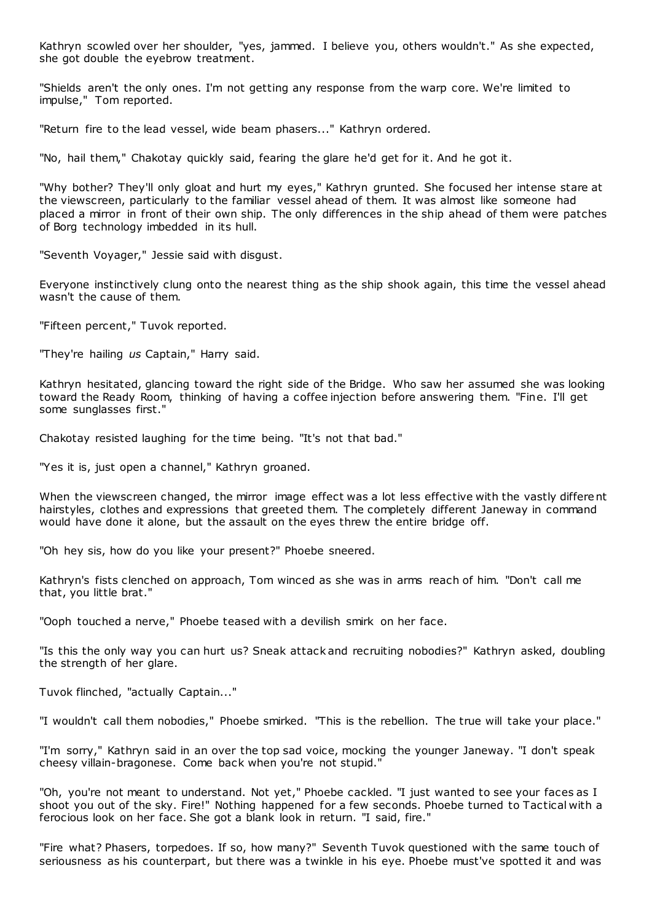Kathryn scowled over her shoulder, "yes, jammed. I believe you, others wouldn't." As she expected, she got double the eyebrow treatment.

"Shields aren't the only ones. I'm not getting any response from the warp core. We're limited to impulse," Tom reported.

"Return fire to the lead vessel, wide beam phasers..." Kathryn ordered.

"No, hail them," Chakotay quickly said, fearing the glare he'd get for it. And he got it.

"Why bother? They'll only gloat and hurt my eyes," Kathryn grunted. She focused her intense stare at the viewscreen, particularly to the familiar vessel ahead of them. It was almost like someone had placed a mirror in front of their own ship. The only differences in the ship ahead of them were patches of Borg technology imbedded in its hull.

"Seventh Voyager," Jessie said with disgust.

Everyone instinctively clung onto the nearest thing as the ship shook again, this time the vessel ahead wasn't the cause of them.

"Fifteen percent," Tuvok reported.

"They're hailing *us* Captain," Harry said.

Kathryn hesitated, glancing toward the right side of the Bridge. Who saw her assumed she was looking toward the Ready Room, thinking of having a coffee injection before answering them. "Fine. I'll get some sunglasses first."

Chakotay resisted laughing for the time being. "It's not that bad."

"Yes it is, just open a channel," Kathryn groaned.

When the viewscreen changed, the mirror image effect was a lot less effective with the vastly different hairstyles, clothes and expressions that greeted them. The completely different Janeway in command would have done it alone, but the assault on the eyes threw the entire bridge off.

"Oh hey sis, how do you like your present?" Phoebe sneered.

Kathryn's fists clenched on approach, Tom winced as she was in arms reach of him. "Don't call me that, you little brat."

"Ooph touched a nerve," Phoebe teased with a devilish smirk on her face.

"Is this the only way you can hurt us? Sneak attack and recruiting nobodies?" Kathryn asked, doubling the strength of her glare.

Tuvok flinched, "actually Captain..."

"I wouldn't call them nobodies," Phoebe smirked. "This is the rebellion. The true will take your place."

"I'm sorry," Kathryn said in an over the top sad voice, mocking the younger Janeway. "I don't speak cheesy villain-bragonese. Come back when you're not stupid."

"Oh, you're not meant to understand. Not yet," Phoebe cackled. "I just wanted to see your faces as I shoot you out of the sky. Fire!" Nothing happened for a few seconds. Phoebe turned to Tactical with a ferocious look on her face. She got a blank look in return. "I said, fire."

"Fire what? Phasers, torpedoes. If so, how many?" Seventh Tuvok questioned with the same touch of seriousness as his counterpart, but there was a twinkle in his eye. Phoebe must've spotted it and was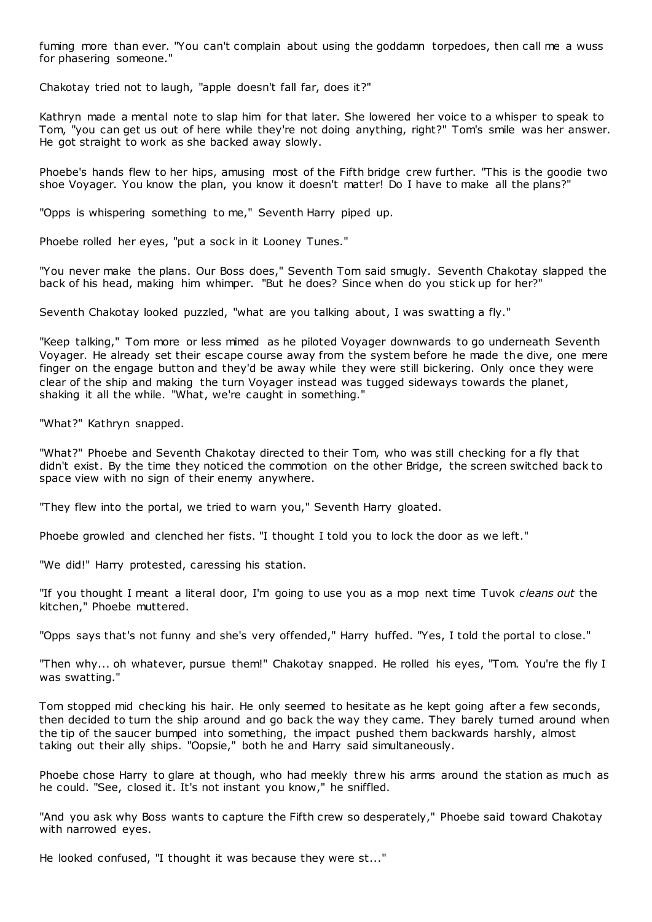fuming more than ever. "You can't complain about using the goddamn torpedoes, then call me a wuss for phasering someone."

Chakotay tried not to laugh, "apple doesn't fall far, does it?"

Kathryn made a mental note to slap him for that later. She lowered her voice to a whisper to speak to Tom, "you can get us out of here while they're not doing anything, right?" Tom's smile was her answer. He got straight to work as she backed away slowly.

Phoebe's hands flew to her hips, amusing most of the Fifth bridge crew further. "This is the goodie two shoe Voyager. You know the plan, you know it doesn't matter! Do I have to make all the plans?"

"Opps is whispering something to me," Seventh Harry piped up.

Phoebe rolled her eyes, "put a sock in it Looney Tunes."

"You never make the plans. Our Boss does," Seventh Tom said smugly. Seventh Chakotay slapped the back of his head, making him whimper. "But he does? Since when do you stick up for her?"

Seventh Chakotay looked puzzled, "what are you talking about, I was swatting a fly."

"Keep talking," Tom more or less mimed as he piloted Voyager downwards to go underneath Seventh Voyager. He already set their escape course away from the system before he made the dive, one mere finger on the engage button and they'd be away while they were still bickering. Only once they were clear of the ship and making the turn Voyager instead was tugged sideways towards the planet, shaking it all the while. "What, we're caught in something."

"What?" Kathryn snapped.

"What?" Phoebe and Seventh Chakotay directed to their Tom, who was still checking for a fly that didn't exist. By the time they noticed the commotion on the other Bridge, the screen switched back to space view with no sign of their enemy anywhere.

"They flew into the portal, we tried to warn you," Seventh Harry gloated.

Phoebe growled and clenched her fists. "I thought I told you to lock the door as we left."

"We did!" Harry protested, caressing his station.

"If you thought I meant a literal door, I'm going to use you as a mop next time Tuvok *cleans out* the kitchen," Phoebe muttered.

"Opps says that's not funny and she's very offended," Harry huffed. "Yes, I told the portal to close."

"Then why... oh whatever, pursue them!" Chakotay snapped. He rolled his eyes, "Tom. You're the fly I was swatting."

Tom stopped mid checking his hair. He only seemed to hesitate as he kept going after a few seconds, then decided to turn the ship around and go back the way they came. They barely turned around when the tip of the saucer bumped into something, the impact pushed them backwards harshly, almost taking out their ally ships. "Oopsie," both he and Harry said simultaneously.

Phoebe chose Harry to glare at though, who had meekly threw his arms around the station as much as he could. "See, closed it. It's not instant you know," he sniffled.

"And you ask why Boss wants to capture the Fifth crew so desperately," Phoebe said toward Chakotay with narrowed eyes.

He looked confused, "I thought it was because they were st..."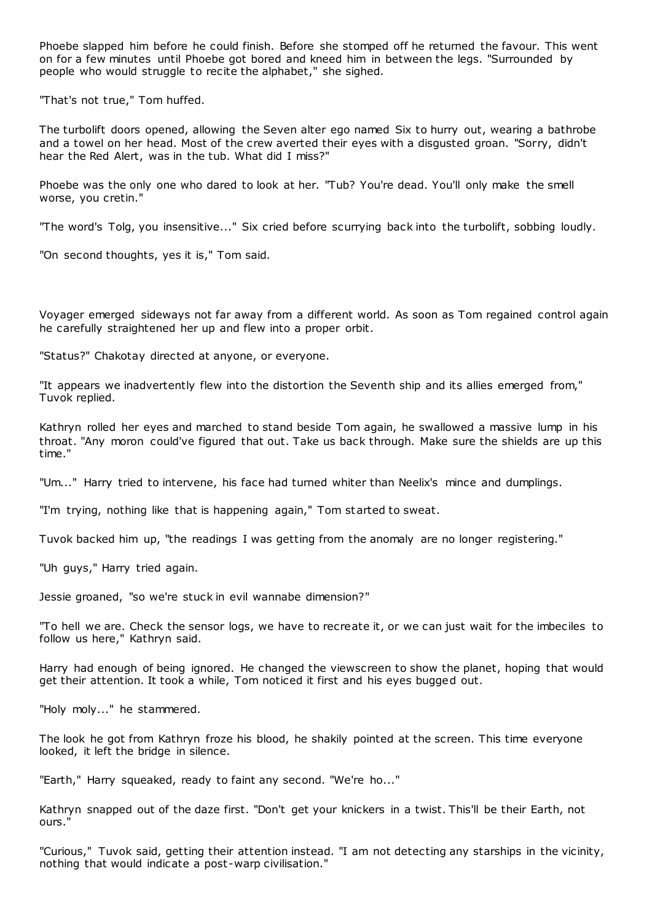Phoebe slapped him before he could finish. Before she stomped off he returned the favour. This went on for a few minutes until Phoebe got bored and kneed him in between the legs. "Surrounded by people who would struggle to recite the alphabet," she sighed.

"That's not true," Tom huffed.

The turbolift doors opened, allowing the Seven alter ego named Six to hurry out, wearing a bathrobe and a towel on her head. Most of the crew averted their eyes with a disgusted groan. "Sorry, didn't hear the Red Alert, was in the tub. What did I miss?"

Phoebe was the only one who dared to look at her. "Tub? You're dead. You'll only make the smell worse, you cretin."

"The word's Tolg, you insensitive..." Six cried before scurrying back into the turbolift, sobbing loudly.

"On second thoughts, yes it is," Tom said.

Voyager emerged sideways not far away from a different world. As soon as Tom regained control again he carefully straightened her up and flew into a proper orbit.

"Status?" Chakotay directed at anyone, or everyone.

"It appears we inadvertently flew into the distortion the Seventh ship and its allies emerged from," Tuvok replied.

Kathryn rolled her eyes and marched to stand beside Tom again, he swallowed a massive lump in his throat. "Any moron could've figured that out. Take us back through. Make sure the shields are up this time."

"Um..." Harry tried to intervene, his face had turned whiter than Neelix's mince and dumplings.

"I'm trying, nothing like that is happening again," Tom started to sweat.

Tuvok backed him up, "the readings I was getting from the anomaly are no longer registering."

"Uh guys," Harry tried again.

Jessie groaned, "so we're stuck in evil wannabe dimension?"

"To hell we are. Check the sensor logs, we have to recreate it, or we can just wait for the imbeciles to follow us here," Kathryn said.

Harry had enough of being ignored. He changed the viewscreen to show the planet, hoping that would get their attention. It took a while, Tom noticed it first and his eyes bugged out.

"Holy moly..." he stammered.

The look he got from Kathryn froze his blood, he shakily pointed at the screen. This time everyone looked, it left the bridge in silence.

"Earth," Harry squeaked, ready to faint any second. "We're ho..."

Kathryn snapped out of the daze first. "Don't get your knickers in a twist. This'll be their Earth, not ours."

"Curious," Tuvok said, getting their attention instead. "I am not detecting any starships in the vicinity, nothing that would indicate a post-warp civilisation."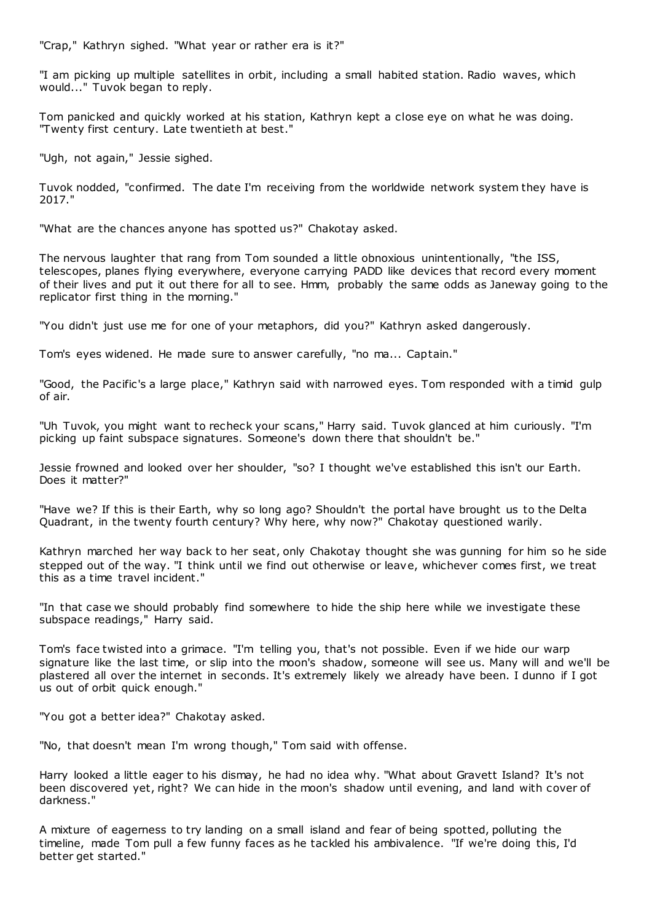"Crap," Kathryn sighed. "What year or rather era is it?"

"I am picking up multiple satellites in orbit, including a small habited station. Radio waves, which would..." Tuvok began to reply.

Tom panicked and quickly worked at his station, Kathryn kept a close eye on what he was doing. "Twenty first century. Late twentieth at best."

"Ugh, not again," Jessie sighed.

Tuvok nodded, "confirmed. The date I'm receiving from the worldwide network system they have is 2017."

"What are the chances anyone has spotted us?" Chakotay asked.

The nervous laughter that rang from Tom sounded a little obnoxious unintentionally, "the ISS, telescopes, planes flying everywhere, everyone carrying PADD like devices that record every moment of their lives and put it out there for all to see. Hmm, probably the same odds as Janeway going to the replicator first thing in the morning."

"You didn't just use me for one of your metaphors, did you?" Kathryn asked dangerously.

Tom's eyes widened. He made sure to answer carefully, "no ma... Captain."

"Good, the Pacific's a large place," Kathryn said with narrowed eyes. Tom responded with a timid gulp of air.

"Uh Tuvok, you might want to recheck your scans," Harry said. Tuvok glanced at him curiously. "I'm picking up faint subspace signatures. Someone's down there that shouldn't be."

Jessie frowned and looked over her shoulder, "so? I thought we've established this isn't our Earth. Does it matter?"

"Have we? If this is their Earth, why so long ago? Shouldn't the portal have brought us to the Delta Quadrant, in the twenty fourth century? Why here, why now?" Chakotay questioned warily.

Kathryn marched her way back to her seat, only Chakotay thought she was gunning for him so he side stepped out of the way. "I think until we find out otherwise or leave, whichever comes first, we treat this as a time travel incident."

"In that case we should probably find somewhere to hide the ship here while we investigate these subspace readings," Harry said.

Tom's face twisted into a grimace. "I'm telling you, that's not possible. Even if we hide our warp signature like the last time, or slip into the moon's shadow, someone will see us. Many will and we'll be plastered all over the internet in seconds. It's extremely likely we already have been. I dunno if I got us out of orbit quick enough."

"You got a better idea?" Chakotay asked.

"No, that doesn't mean I'm wrong though," Tom said with offense.

Harry looked a little eager to his dismay, he had no idea why. "What about Gravett Island? It's not been discovered yet, right? We can hide in the moon's shadow until evening, and land with cover of darkness."

A mixture of eagerness to try landing on a small island and fear of being spotted, polluting the timeline, made Tom pull a few funny faces as he tackled his ambivalence. "If we're doing this, I'd better get started."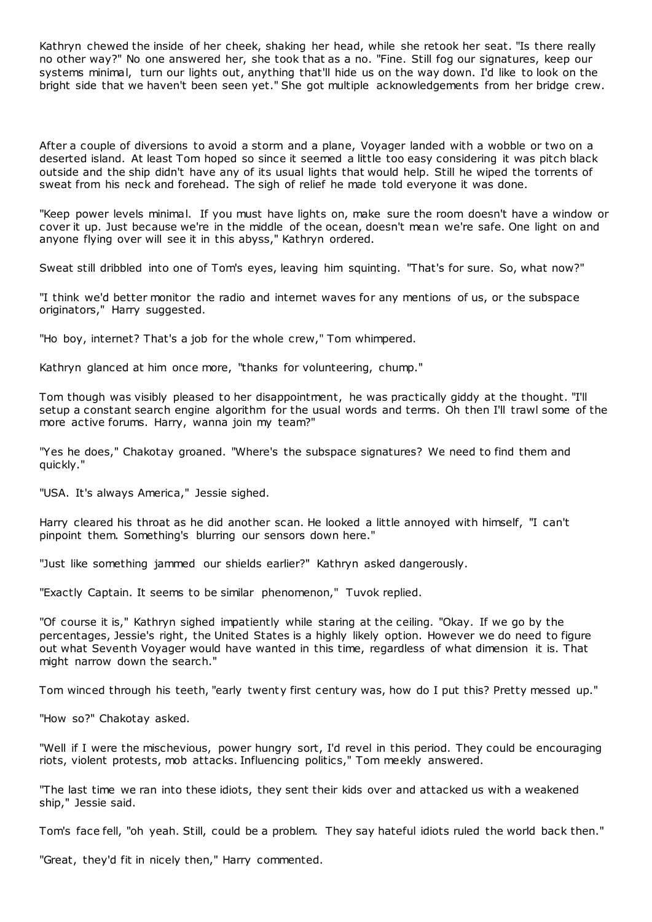Kathryn chewed the inside of her cheek, shaking her head, while she retook her seat. "Is there really no other way?" No one answered her, she took that as a no. "Fine. Still fog our signatures, keep our systems minimal, turn our lights out, anything that'll hide us on the way down. I'd like to look on the bright side that we haven't been seen yet." She got multiple acknowledgements from her bridge crew.

After a couple of diversions to avoid a storm and a plane, Voyager landed with a wobble or two on a deserted island. At least Tom hoped so since it seemed a little too easy considering it was pitch black outside and the ship didn't have any of its usual lights that would help. Still he wiped the torrents of sweat from his neck and forehead. The sigh of relief he made told everyone it was done.

"Keep power levels minimal. If you must have lights on, make sure the room doesn't have a window or cover it up. Just because we're in the middle of the ocean, doesn't mean we're safe. One light on and anyone flying over will see it in this abyss," Kathryn ordered.

Sweat still dribbled into one of Tom's eyes, leaving him squinting. "That's for sure. So, what now?"

"I think we'd better monitor the radio and internet waves for any mentions of us, or the subspace originators," Harry suggested.

"Ho boy, internet? That's a job for the whole crew," Tom whimpered.

Kathryn glanced at him once more, "thanks for volunteering, chump."

Tom though was visibly pleased to her disappointment, he was practically giddy at the thought. "I'll setup a constant search engine algorithm for the usual words and terms. Oh then I'll trawl some of the more active forums. Harry, wanna join my team?"

"Yes he does," Chakotay groaned. "Where's the subspace signatures? We need to find them and quickly."

"USA. It's always America," Jessie sighed.

Harry cleared his throat as he did another scan. He looked a little annoyed with himself, "I can't pinpoint them. Something's blurring our sensors down here."

"Just like something jammed our shields earlier?" Kathryn asked dangerously.

"Exactly Captain. It seems to be similar phenomenon," Tuvok replied.

"Of course it is," Kathryn sighed impatiently while staring at the ceiling. "Okay. If we go by the percentages, Jessie's right, the United States is a highly likely option. However we do need to figure out what Seventh Voyager would have wanted in this time, regardless of what dimension it is. That might narrow down the search."

Tom winced through his teeth, "early twenty first century was, how do I put this? Pretty messed up."

"How so?" Chakotay asked.

"Well if I were the mischevious, power hungry sort, I'd revel in this period. They could be encouraging riots, violent protests, mob attacks. Influencing politics," Tom meekly answered.

"The last time we ran into these idiots, they sent their kids over and attacked us with a weakened ship," Jessie said.

Tom's face fell, "oh yeah. Still, could be a problem. They say hateful idiots ruled the world back then."

"Great, they'd fit in nicely then," Harry commented.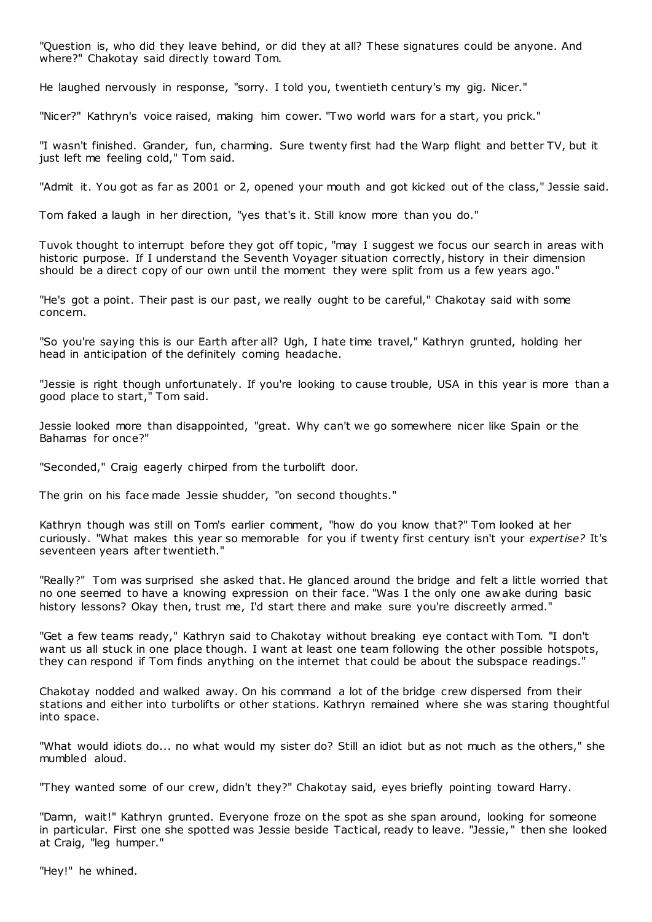"Question is, who did they leave behind, or did they at all? These signatures could be anyone. And where?" Chakotay said directly toward Tom.

He laughed nervously in response, "sorry. I told you, twentieth century's my gig. Nicer."

"Nicer?" Kathryn's voice raised, making him cower. "Two world wars for a start, you prick."

"I wasn't finished. Grander, fun, charming. Sure twenty first had the Warp flight and better TV, but it just left me feeling cold," Tom said.

"Admit it. You got as far as 2001 or 2, opened your mouth and got kicked out of the class," Jessie said.

Tom faked a laugh in her direction, "yes that's it. Still know more than you do."

Tuvok thought to interrupt before they got off topic , "may I suggest we focus our search in areas with historic purpose. If I understand the Seventh Voyager situation correctly, history in their dimension should be a direct copy of our own until the moment they were split from us a few years ago."

"He's got a point. Their past is our past, we really ought to be careful," Chakotay said with some concern.

"So you're saying this is our Earth after all? Ugh, I hate time travel," Kathryn grunted, holding her head in anticipation of the definitely coming headache.

"Jessie is right though unfortunately. If you're looking to cause trouble, USA in this year is more than a good place to start," Tom said.

Jessie looked more than disappointed, "great. Why can't we go somewhere nicer like Spain or the Bahamas for once?"

"Seconded," Craig eagerly chirped from the turbolift door.

The grin on his face made Jessie shudder, "on second thoughts."

Kathryn though was still on Tom's earlier comment, "how do you know that?" Tom looked at her curiously. "What makes this year so memorable for you if twenty first century isn't your *expertise?* It's seventeen years after twentieth."

"Really?" Tom was surprised she asked that. He glanced around the bridge and felt a little worried that no one seemed to have a knowing expression on their face. "Was I the only one aw ake during basic history lessons? Okay then, trust me, I'd start there and make sure you're discreetly armed."

"Get a few teams ready," Kathryn said to Chakotay without breaking eye contact with Tom. "I don't want us all stuck in one place though. I want at least one team following the other possible hotspots, they can respond if Tom finds anything on the internet that could be about the subspace readings."

Chakotay nodded and walked away. On his command a lot of the bridge crew dispersed from their stations and either into turbolifts or other stations. Kathryn remained where she was staring thoughtful into space.

"What would idiots do... no what would my sister do? Still an idiot but as not much as the others," she mumbled aloud.

"They wanted some of our crew, didn't they?" Chakotay said, eyes briefly pointing toward Harry.

"Damn, wait!" Kathryn grunted. Everyone froze on the spot as she span around, looking for someone in particular. First one she spotted was Jessie beside Tactical, ready to leave. "Jessie, " then she looked at Craig, "leg humper."

"Hey!" he whined.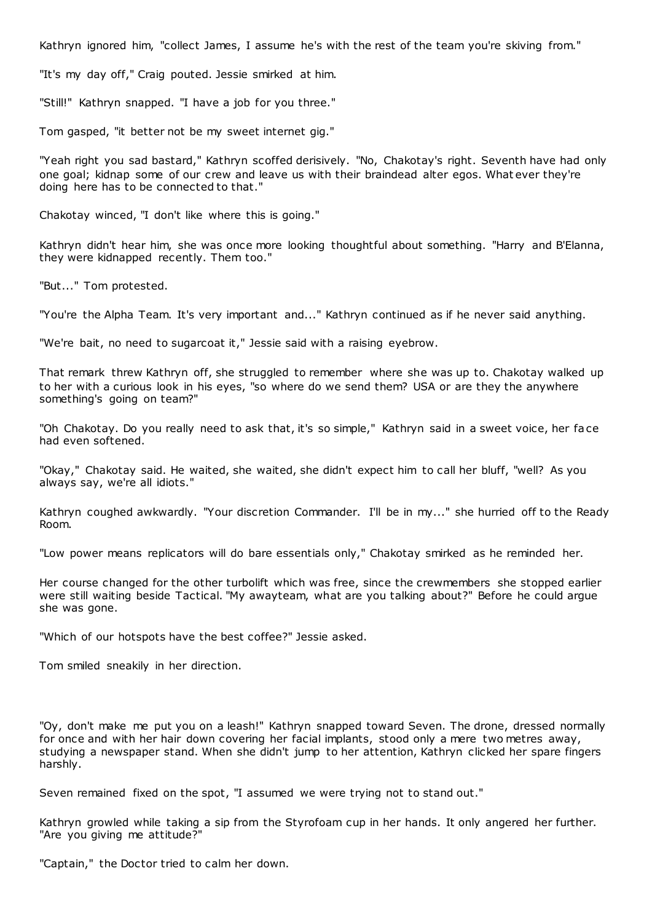Kathryn ignored him, "collect James, I assume he's with the rest of the team you're skiving from."

"It's my day off," Craig pouted. Jessie smirked at him.

"Still!" Kathryn snapped. "I have a job for you three."

Tom gasped, "it better not be my sweet internet gig."

"Yeah right you sad bastard," Kathryn scoffed derisively. "No, Chakotay's right. Seventh have had only one goal; kidnap some of our crew and leave us with their braindead alter egos. What ever they're doing here has to be connected to that."

Chakotay winced, "I don't like where this is going."

Kathryn didn't hear him, she was once more looking thoughtful about something. "Harry and B'Elanna, they were kidnapped recently. Them too."

"But..." Tom protested.

"You're the Alpha Team. It's very important and..." Kathryn continued as if he never said anything.

"We're bait, no need to sugarcoat it," Jessie said with a raising eyebrow.

That remark threw Kathryn off, she struggled to remember where she was up to. Chakotay walked up to her with a curious look in his eyes, "so where do we send them? USA or are they the anywhere something's going on team?"

"Oh Chakotay. Do you really need to ask that, it's so simple," Kathryn said in a sweet voice, her face had even softened.

"Okay," Chakotay said. He waited, she waited, she didn't expect him to call her bluff, "well? As you always say, we're all idiots."

Kathryn coughed awkwardly. "Your discretion Commander. I'll be in my..." she hurried off to the Ready Room.

"Low power means replicators will do bare essentials only," Chakotay smirked as he reminded her.

Her course changed for the other turbolift which was free, since the crewmembers she stopped earlier were still waiting beside Tactical. "My awayteam, what are you talking about?" Before he could argue she was gone.

"Which of our hotspots have the best coffee?" Jessie asked.

Tom smiled sneakily in her direction.

"Oy, don't make me put you on a leash!" Kathryn snapped toward Seven. The drone, dressed normally for once and with her hair down covering her facial implants, stood only a mere two metres away, studying a newspaper stand. When she didn't jump to her attention, Kathryn clicked her spare fingers harshly.

Seven remained fixed on the spot, "I assumed we were trying not to stand out."

Kathryn growled while taking a sip from the Styrofoam cup in her hands. It only angered her further. "Are you giving me attitude?"

"Captain," the Doctor tried to calm her down.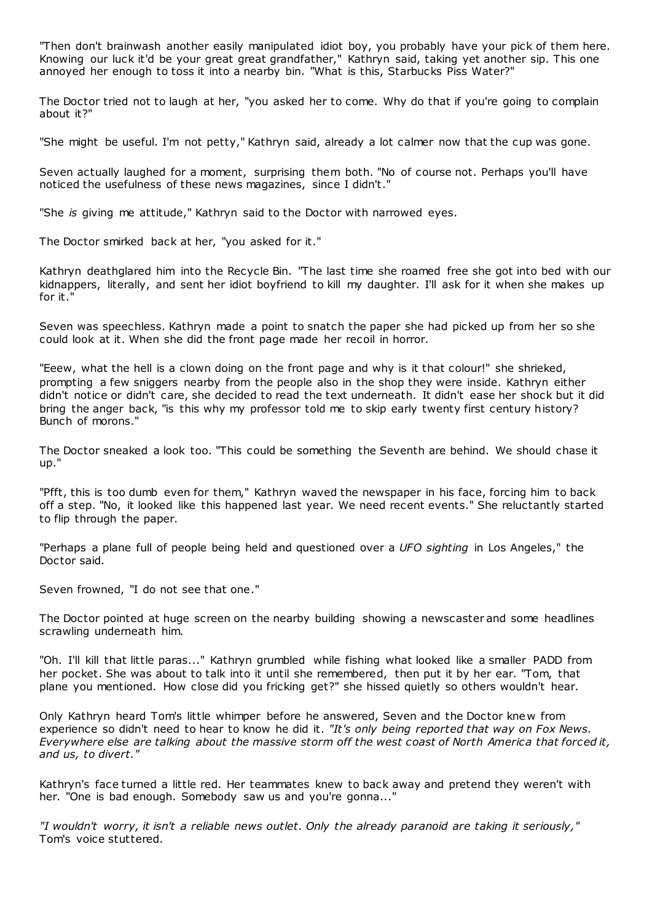"Then don't brainwash another easily manipulated idiot boy, you probably have your pick of them here. Knowing our luck it'd be your great great grandfather," Kathryn said, taking yet another sip. This one annoyed her enough to toss it into a nearby bin. "What is this, Starbucks Piss Water?"

The Doctor tried not to laugh at her, "you asked her to come. Why do that if you're going to complain about it?"

"She might be useful. I'm not petty," Kathryn said, already a lot calmer now that the cup was gone.

Seven actually laughed for a moment, surprising them both. "No of course not. Perhaps you'll have noticed the usefulness of these news magazines, since I didn't."

"She *is* giving me attitude," Kathryn said to the Doctor with narrowed eyes.

The Doctor smirked back at her, "you asked for it."

Kathryn deathglared him into the Recycle Bin. "The last time she roamed free she got into bed with our kidnappers, literally, and sent her idiot boyfriend to kill my daughter. I'll ask for it when she makes up for it."

Seven was speechless. Kathryn made a point to snatch the paper she had picked up from her so she could look at it. When she did the front page made her recoil in horror.

"Eeew, what the hell is a clown doing on the front page and why is it that colour!" she shrieked, prompting a few sniggers nearby from the people also in the shop they were inside. Kathryn either didn't notice or didn't care, she decided to read the text underneath. It didn't ease her shock but it did bring the anger back, "is this why my professor told me to skip early twenty first century history? Bunch of morons."

The Doctor sneaked a look too. "This could be something the Seventh are behind. We should chase it up."

"Pfft, this is too dumb even for them," Kathryn waved the newspaper in his face, forcing him to back off a step. "No, it looked like this happened last year. We need recent events." She reluctantly started to flip through the paper.

"Perhaps a plane full of people being held and questioned over a *UFO sighting* in Los Angeles," the Doctor said.

Seven frowned, "I do not see that one."

The Doctor pointed at huge screen on the nearby building showing a newscaster and some headlines scrawling underneath him.

"Oh. I'll kill that little paras..." Kathryn grumbled while fishing what looked like a smaller PADD from her pocket. She was about to talk into it until she remembered, then put it by her ear. "Tom, that plane you mentioned. How close did you fricking get?" she hissed quietly so others wouldn't hear.

Only Kathryn heard Tom's little whimper before he answered, Seven and the Doctor knew from experience so didn't need to hear to know he did it. *"It's only being reported that way on Fox News. Everywhere else are talking about the massive storm off the west coast of North America that forced it, and us, to divert."*

Kathryn's face turned a little red. Her teammates knew to back away and pretend they weren't with her. "One is bad enough. Somebody saw us and you're gonna..."

*"I wouldn't worry, it isn't a reliable news outlet. Only the already paranoid are taking it seriously,"*  Tom's voice stuttered.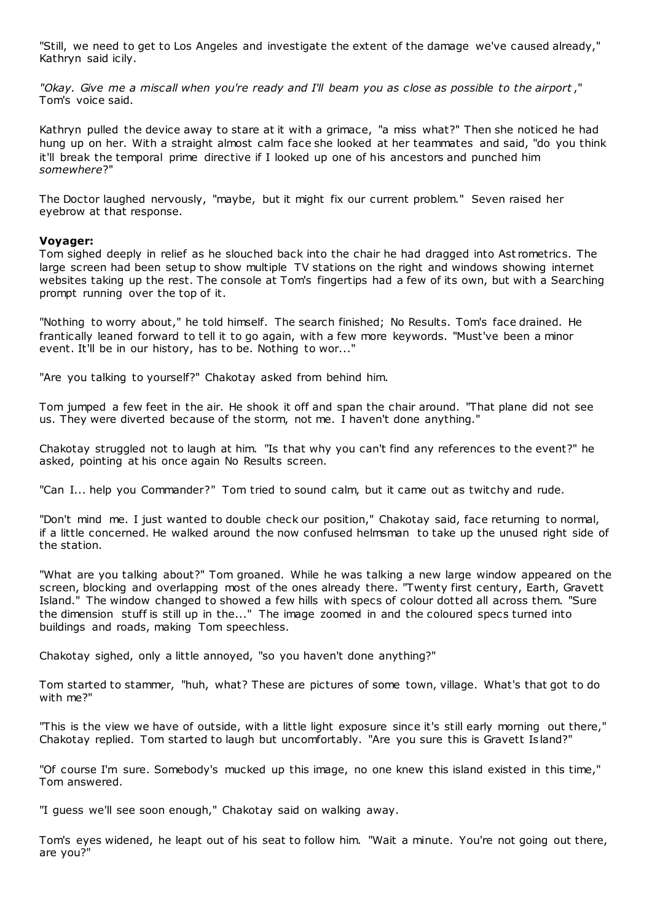"Still, we need to get to Los Angeles and investigate the extent of the damage we've caused already," Kathryn said icily.

*"Okay. Give me a miscall when you're ready and I'll beam you as close as possible to the airport* ," Tom's voice said.

Kathryn pulled the device away to stare at it with a grimace, "a miss what?" Then she noticed he had hung up on her. With a straight almost calm face she looked at her teammates and said, "do you think it'll break the temporal prime directive if I looked up one of his ancestors and punched him *somewhere*?"

The Doctor laughed nervously, "maybe, but it might fix our current problem." Seven raised her eyebrow at that response.

# **Voyager:**

Tom sighed deeply in relief as he slouched back into the chair he had dragged into Ast rometrics. The large screen had been setup to show multiple TV stations on the right and windows showing internet websites taking up the rest. The console at Tom's fingertips had a few of its own, but with a Searching prompt running over the top of it.

"Nothing to worry about," he told himself. The search finished; No Results. Tom's face drained. He frantically leaned forward to tell it to go again, with a few more keywords. "Must've been a minor event. It'll be in our history, has to be. Nothing to wor..."

"Are you talking to yourself?" Chakotay asked from behind him.

Tom jumped a few feet in the air. He shook it off and span the chair around. "That plane did not see us. They were diverted because of the storm, not me. I haven't done anything."

Chakotay struggled not to laugh at him. "Is that why you can't find any references to the event?" he asked, pointing at his once again No Results screen.

"Can I... help you Commander?" Tom tried to sound calm, but it came out as twitchy and rude.

"Don't mind me. I just wanted to double check our position," Chakotay said, face returning to normal, if a little concerned. He walked around the now confused helmsman to take up the unused right side of the station.

"What are you talking about?" Tom groaned. While he was talking a new large window appeared on the screen, blocking and overlapping most of the ones already there. "Twenty first century, Earth, Gravett Island." The window changed to showed a few hills with specs of colour dotted all across them. "Sure the dimension stuff is still up in the..." The image zoomed in and the coloured specs turned into buildings and roads, making Tom speechless.

Chakotay sighed, only a little annoyed, "so you haven't done anything?"

Tom started to stammer, "huh, what? These are pictures of some town, village. What's that got to do with me?"

"This is the view we have of outside, with a little light exposure since it's still early morning out there," Chakotay replied. Tom started to laugh but uncomfortably. "Are you sure this is Gravett Is land?"

"Of course I'm sure. Somebody's mucked up this image, no one knew this island existed in this time," Tom answered.

"I guess we'll see soon enough," Chakotay said on walking away.

Tom's eyes widened, he leapt out of his seat to follow him. "Wait a minute. You're not going out there, are you?"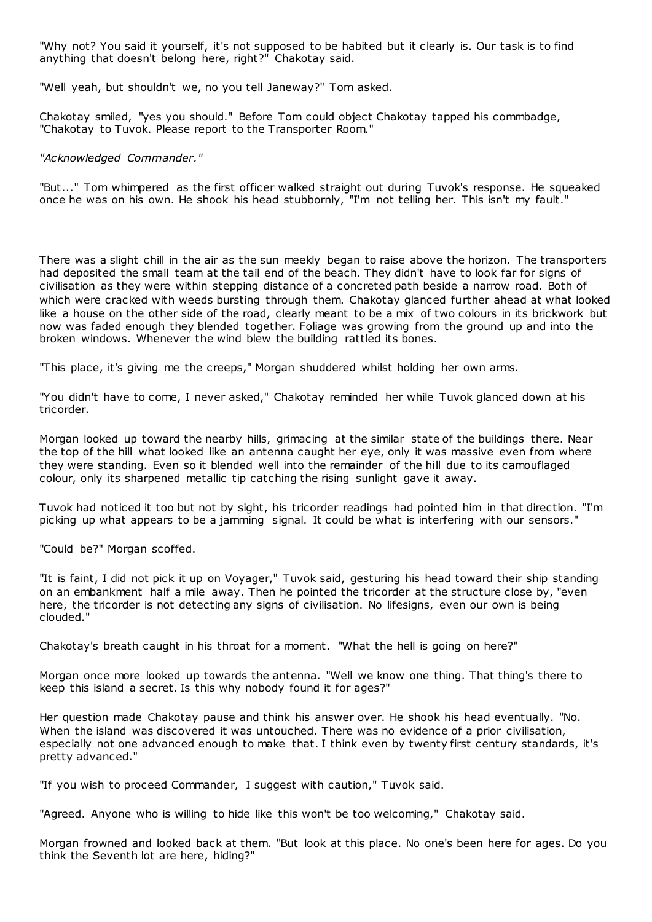"Why not? You said it yourself, it's not supposed to be habited but it clearly is. Our task is to find anything that doesn't belong here, right?" Chakotay said.

"Well yeah, but shouldn't we, no you tell Janeway?" Tom asked.

Chakotay smiled, "yes you should." Before Tom could object Chakotay tapped his commbadge, "Chakotay to Tuvok. Please report to the Transporter Room."

# *"Acknowledged Commander."*

"But..." Tom whimpered as the first officer walked straight out during Tuvok's response. He squeaked once he was on his own. He shook his head stubbornly, "I'm not telling her. This isn't my fault."

There was a slight chill in the air as the sun meekly began to raise above the horizon. The transporters had deposited the small team at the tail end of the beach. They didn't have to look far for signs of civilisation as they were within stepping distance of a concreted path beside a narrow road. Both of which were cracked with weeds bursting through them. Chakotay glanced further ahead at what looked like a house on the other side of the road, clearly meant to be a mix of two colours in its brickwork but now was faded enough they blended together. Foliage was growing from the ground up and into the broken windows. Whenever the wind blew the building rattled its bones.

"This place, it's giving me the creeps," Morgan shuddered whilst holding her own arms.

"You didn't have to come, I never asked," Chakotay reminded her while Tuvok glanced down at his tricorder.

Morgan looked up toward the nearby hills, grimacing at the similar state of the buildings there. Near the top of the hill what looked like an antenna caught her eye, only it was massive even from where they were standing. Even so it blended well into the remainder of the hill due to its camouflaged colour, only its sharpened metallic tip catching the rising sunlight gave it away.

Tuvok had noticed it too but not by sight, his tricorder readings had pointed him in that direction. "I'm picking up what appears to be a jamming signal. It could be what is interfering with our sensors."

"Could be?" Morgan scoffed.

"It is faint, I did not pick it up on Voyager," Tuvok said, gesturing his head toward their ship standing on an embankment half a mile away. Then he pointed the tricorder at the structure close by, "even here, the tricorder is not detecting any signs of civilisation. No lifesigns, even our own is being clouded."

Chakotay's breath caught in his throat for a moment. "What the hell is going on here?"

Morgan once more looked up towards the antenna. "Well we know one thing. That thing's there to keep this island a secret. Is this why nobody found it for ages?"

Her question made Chakotay pause and think his answer over. He shook his head eventually. "No. When the island was discovered it was untouched. There was no evidence of a prior civilisation, especially not one advanced enough to make that. I think even by twenty first century standards, it's pretty advanced."

"If you wish to proceed Commander, I suggest with caution," Tuvok said.

"Agreed. Anyone who is willing to hide like this won't be too welcoming," Chakotay said.

Morgan frowned and looked back at them. "But look at this place. No one's been here for ages. Do you think the Seventh lot are here, hiding?"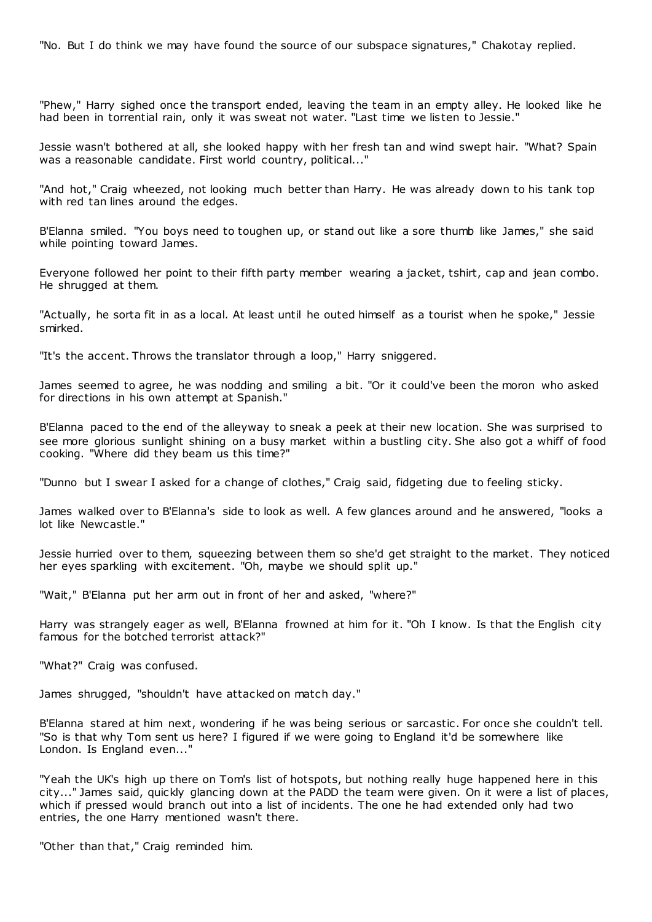"No. But I do think we may have found the source of our subspace signatures," Chakotay replied.

"Phew," Harry sighed once the transport ended, leaving the team in an empty alley. He looked like he had been in torrential rain, only it was sweat not water. "Last time we listen to Jessie."

Jessie wasn't bothered at all, she looked happy with her fresh tan and wind swept hair. "What? Spain was a reasonable candidate. First world country, political..."

"And hot," Craig wheezed, not looking much better than Harry. He was already down to his tank top with red tan lines around the edges.

B'Elanna smiled. "You boys need to toughen up, or stand out like a sore thumb like James," she said while pointing toward James.

Everyone followed her point to their fifth party member wearing a jacket, tshirt, cap and jean combo. He shrugged at them.

"Actually, he sorta fit in as a local. At least until he outed himself as a tourist when he spoke," Jessie smirked.

"It's the accent. Throws the translator through a loop," Harry sniggered.

James seemed to agree, he was nodding and smiling a bit. "Or it could've been the moron who asked for directions in his own attempt at Spanish."

B'Elanna paced to the end of the alleyway to sneak a peek at their new location. She was surprised to see more glorious sunlight shining on a busy market within a bustling city. She also got a whiff of food cooking. "Where did they beam us this time?"

"Dunno but I swear I asked for a change of clothes," Craig said, fidgeting due to feeling sticky.

James walked over to B'Elanna's side to look as well. A few glances around and he answered, "looks a lot like Newcastle."

Jessie hurried over to them, squeezing between them so she'd get straight to the market. They noticed her eyes sparkling with excitement. "Oh, maybe we should split up."

"Wait," B'Elanna put her arm out in front of her and asked, "where?"

Harry was strangely eager as well, B'Elanna frowned at him for it. "Oh I know. Is that the English city famous for the botched terrorist attack?"

"What?" Craig was confused.

James shrugged, "shouldn't have attacked on match day."

B'Elanna stared at him next, wondering if he was being serious or sarcastic . For once she couldn't tell. "So is that why Tom sent us here? I figured if we were going to England it'd be somewhere like London. Is England even..."

"Yeah the UK's high up there on Tom's list of hotspots, but nothing really huge happened here in this city..." James said, quickly glancing down at the PADD the team were given. On it were a list of places, which if pressed would branch out into a list of incidents. The one he had extended only had two entries, the one Harry mentioned wasn't there.

"Other than that," Craig reminded him.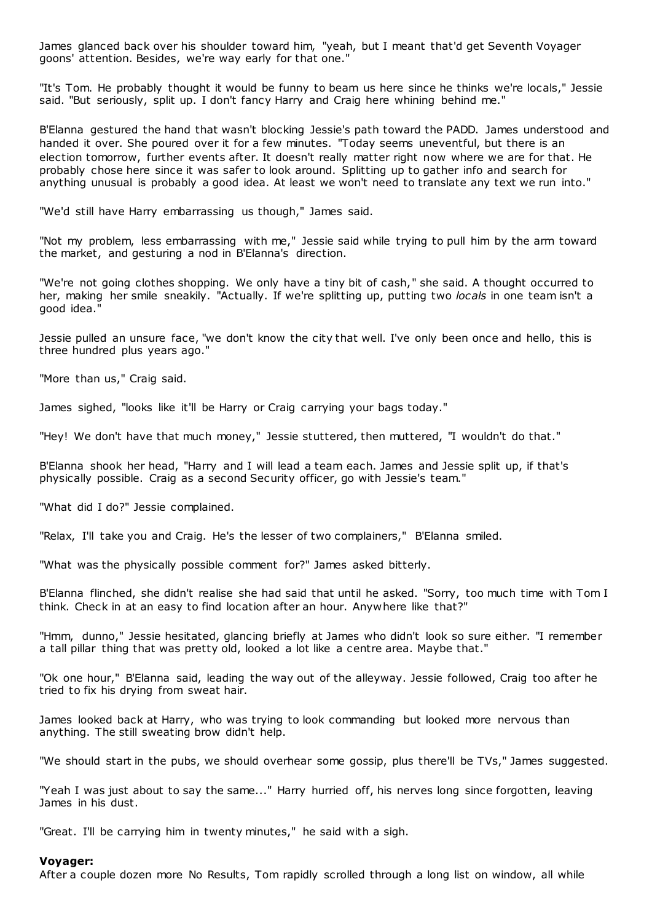James glanced back over his shoulder toward him, "yeah, but I meant that'd get Seventh Voyager goons' attention. Besides, we're way early for that one."

"It's Tom. He probably thought it would be funny to beam us here since he thinks we're locals," Jessie said. "But seriously, split up. I don't fancy Harry and Craig here whining behind me."

B'Elanna gestured the hand that wasn't blocking Jessie's path toward the PADD. James understood and handed it over. She poured over it for a few minutes. "Today seems uneventful, but there is an election tomorrow, further events after. It doesn't really matter right now where we are for that. He probably chose here since it was safer to look around. Splitting up to gather info and search for anything unusual is probably a good idea. At least we won't need to translate any text we run into."

"We'd still have Harry embarrassing us though," James said.

"Not my problem, less embarrassing with me," Jessie said while trying to pull him by the arm toward the market, and gesturing a nod in B'Elanna's direction.

"We're not going clothes shopping. We only have a tiny bit of cash," she said. A thought occurred to her, making her smile sneakily. "Actually. If we're splitting up, putting two *locals* in one team isn't a good idea."

Jessie pulled an unsure face, "we don't know the city that well. I've only been once and hello, this is three hundred plus years ago."

"More than us," Craig said.

James sighed, "looks like it'll be Harry or Craig carrying your bags today."

"Hey! We don't have that much money," Jessie stuttered, then muttered, "I wouldn't do that."

B'Elanna shook her head, "Harry and I will lead a team each. James and Jessie split up, if that's physically possible. Craig as a second Security officer, go with Jessie's team."

"What did I do?" Jessie complained.

"Relax, I'll take you and Craig. He's the lesser of two complainers," B'Elanna smiled.

"What was the physically possible comment for?" James asked bitterly.

B'Elanna flinched, she didn't realise she had said that until he asked. "Sorry, too much time with Tom I think. Check in at an easy to find location after an hour. Anywhere like that?"

"Hmm, dunno," Jessie hesitated, glancing briefly at James who didn't look so sure either. "I remember a tall pillar thing that was pretty old, looked a lot like a centre area. Maybe that."

"Ok one hour," B'Elanna said, leading the way out of the alleyway. Jessie followed, Craig too after he tried to fix his drying from sweat hair.

James looked back at Harry, who was trying to look commanding but looked more nervous than anything. The still sweating brow didn't help.

"We should start in the pubs, we should overhear some gossip, plus there'll be TVs," James suggested.

"Yeah I was just about to say the same..." Harry hurried off, his nerves long since forgotten, leaving James in his dust.

"Great. I'll be carrying him in twenty minutes," he said with a sigh.

### **Voyager:**

After a couple dozen more No Results, Tom rapidly scrolled through a long list on window, all while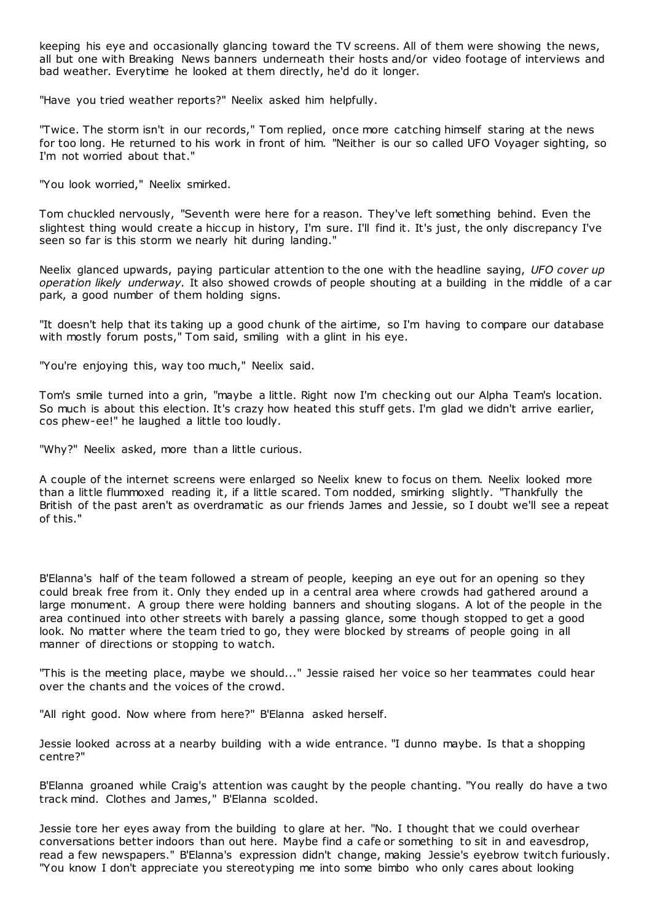keeping his eye and occasionally glancing toward the TV screens. All of them were showing the news, all but one with Breaking News banners underneath their hosts and/or video footage of interviews and bad weather. Everytime he looked at them directly, he'd do it longer.

"Have you tried weather reports?" Neelix asked him helpfully.

"Twice. The storm isn't in our records," Tom replied, once more catching himself staring at the news for too long. He returned to his work in front of him. "Neither is our so called UFO Voyager sighting, so I'm not worried about that."

"You look worried," Neelix smirked.

Tom chuckled nervously, "Seventh were here for a reason. They've left something behind. Even the slightest thing would create a hiccup in history, I'm sure. I'll find it. It's just, the only discrepancy I've seen so far is this storm we nearly hit during landing."

Neelix glanced upwards, paying particular attention to the one with the headline saying, *UFO cover up operation likely underway.* It also showed crowds of people shouting at a building in the middle of a car park, a good number of them holding signs.

"It doesn't help that its taking up a good chunk of the airtime, so I'm having to compare our database with mostly forum posts," Tom said, smiling with a glint in his eye.

"You're enjoying this, way too much," Neelix said.

Tom's smile turned into a grin, "maybe a little. Right now I'm checking out our Alpha Team's location. So much is about this election. It's crazy how heated this stuff gets. I'm glad we didn't arrive earlier, cos phew-ee!" he laughed a little too loudly.

"Why?" Neelix asked, more than a little curious.

A couple of the internet screens were enlarged so Neelix knew to focus on them. Neelix looked more than a little flummoxed reading it, if a little scared. Tom nodded, smirking slightly. "Thankfully the British of the past aren't as overdramatic as our friends James and Jessie, so I doubt we'll see a repeat of this."

B'Elanna's half of the team followed a stream of people, keeping an eye out for an opening so they could break free from it. Only they ended up in a central area where crowds had gathered around a large monument. A group there were holding banners and shouting slogans. A lot of the people in the area continued into other streets with barely a passing glance, some though stopped to get a good look. No matter where the team tried to go, they were blocked by streams of people going in all manner of directions or stopping to watch.

"This is the meeting place, maybe we should..." Jessie raised her voice so her teammates could hear over the chants and the voices of the crowd.

"All right good. Now where from here?" B'Elanna asked herself.

Jessie looked across at a nearby building with a wide entrance. "I dunno maybe. Is that a shopping centre?"

B'Elanna groaned while Craig's attention was caught by the people chanting. "You really do have a two track mind. Clothes and James," B'Elanna scolded.

Jessie tore her eyes away from the building to glare at her. "No. I thought that we could overhear conversations better indoors than out here. Maybe find a cafe or something to sit in and eavesdrop, read a few newspapers." B'Elanna's expression didn't change, making Jessie's eyebrow twitch furiously. "You know I don't appreciate you stereotyping me into some bimbo who only cares about looking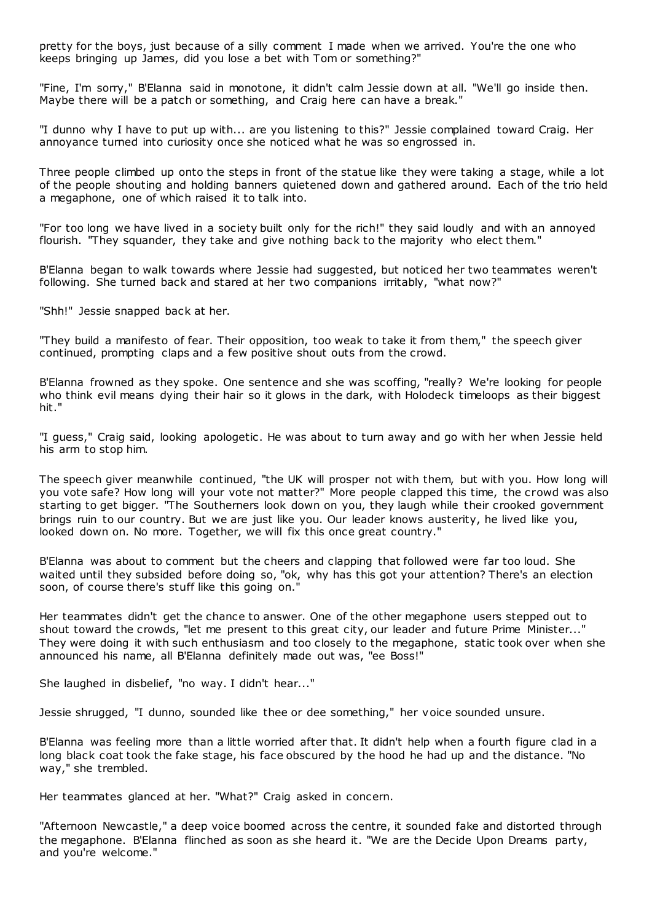pretty for the boys, just because of a silly comment I made when we arrived. You're the one who keeps bringing up James, did you lose a bet with Tom or something?"

"Fine, I'm sorry," B'Elanna said in monotone, it didn't calm Jessie down at all. "We'll go inside then. Maybe there will be a patch or something, and Craig here can have a break."

"I dunno why I have to put up with... are you listening to this?" Jessie complained toward Craig. Her annoyance turned into curiosity once she noticed what he was so engrossed in.

Three people climbed up onto the steps in front of the statue like they were taking a stage, while a lot of the people shouting and holding banners quietened down and gathered around. Each of the trio held a megaphone, one of which raised it to talk into.

"For too long we have lived in a society built only for the rich!" they said loudly and with an annoyed flourish. "They squander, they take and give nothing back to the majority who elect them."

B'Elanna began to walk towards where Jessie had suggested, but noticed her two teammates weren't following. She turned back and stared at her two companions irritably, "what now?"

"Shh!" Jessie snapped back at her.

"They build a manifesto of fear. Their opposition, too weak to take it from them," the speech giver continued, prompting claps and a few positive shout outs from the crowd.

B'Elanna frowned as they spoke. One sentence and she was scoffing, "really? We're looking for people who think evil means dying their hair so it glows in the dark, with Holodeck timeloops as their biggest hit."

"I guess," Craig said, looking apologetic . He was about to turn away and go with her when Jessie held his arm to stop him.

The speech giver meanwhile continued, "the UK will prosper not with them, but with you. How long will you vote safe? How long will your vote not matter?" More people clapped this time, the crowd was also starting to get bigger. "The Southerners look down on you, they laugh while their crooked government brings ruin to our country. But we are just like you. Our leader knows austerity, he lived like you, looked down on. No more. Together, we will fix this once great country."

B'Elanna was about to comment but the cheers and clapping that followed were far too loud. She waited until they subsided before doing so, "ok, why has this got your attention? There's an election soon, of course there's stuff like this going on."

Her teammates didn't get the chance to answer. One of the other megaphone users stepped out to shout toward the crowds, "let me present to this great city, our leader and future Prime Minister..." They were doing it with such enthusiasm and too closely to the megaphone, static took over when she announced his name, all B'Elanna definitely made out was, "ee Boss!"

She laughed in disbelief, "no way. I didn't hear..."

Jessie shrugged, "I dunno, sounded like thee or dee something," her voice sounded unsure.

B'Elanna was feeling more than a little worried after that. It didn't help when a fourth figure clad in a long black coat took the fake stage, his face obscured by the hood he had up and the distance. "No way," she trembled.

Her teammates glanced at her. "What?" Craig asked in concern.

"Afternoon Newcastle," a deep voice boomed across the centre, it sounded fake and distorted through the megaphone. B'Elanna flinched as soon as she heard it. "We are the Decide Upon Dreams party, and you're welcome."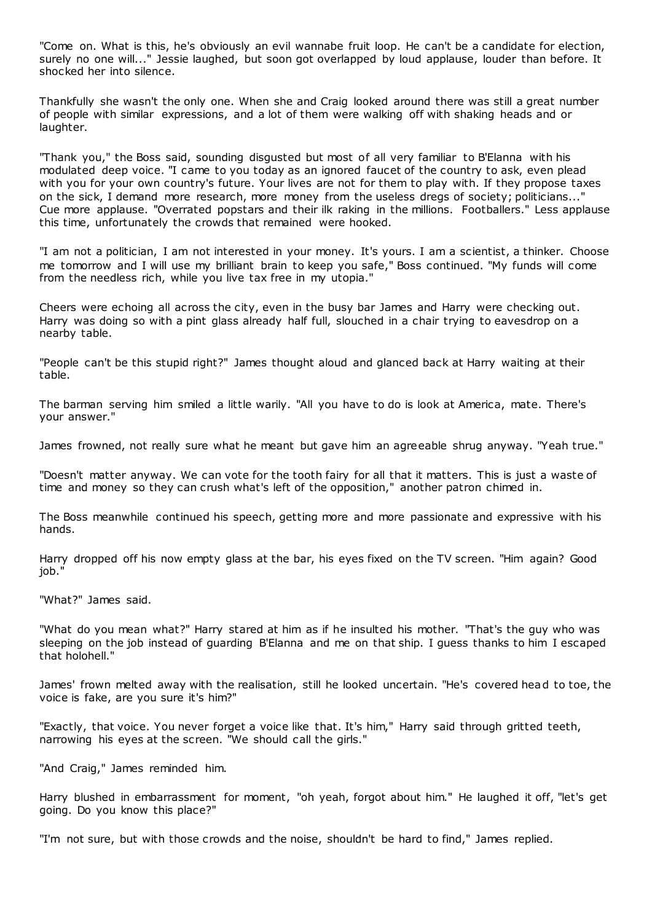"Come on. What is this, he's obviously an evil wannabe fruit loop. He can't be a candidate for election, surely no one will..." Jessie laughed, but soon got overlapped by loud applause, louder than before. It shocked her into silence.

Thankfully she wasn't the only one. When she and Craig looked around there was still a great number of people with similar expressions, and a lot of them were walking off with shaking heads and or laughter.

"Thank you," the Boss said, sounding disgusted but most of all very familiar to B'Elanna with his modulated deep voice. "I came to you today as an ignored faucet of the country to ask, even plead with you for your own country's future. Your lives are not for them to play with. If they propose taxes on the sick, I demand more research, more money from the useless dregs of society; politicians..." Cue more applause. "Overrated popstars and their ilk raking in the millions. Footballers." Less applause this time, unfortunately the crowds that remained were hooked.

"I am not a politician, I am not interested in your money. It's yours. I am a scientist, a thinker. Choose me tomorrow and I will use my brilliant brain to keep you safe," Boss continued. "My funds will come from the needless rich, while you live tax free in my utopia."

Cheers were echoing all across the city, even in the busy bar James and Harry were checking out. Harry was doing so with a pint glass already half full, slouched in a chair trying to eavesdrop on a nearby table.

"People can't be this stupid right?" James thought aloud and glanced back at Harry waiting at their table.

The barman serving him smiled a little warily. "All you have to do is look at America, mate. There's your answer."

James frowned, not really sure what he meant but gave him an agreeable shrug anyway. "Yeah true."

"Doesn't matter anyway. We can vote for the tooth fairy for all that it matters. This is just a waste of time and money so they can crush what's left of the opposition," another patron chimed in.

The Boss meanwhile continued his speech, getting more and more passionate and expressive with his hands.

Harry dropped off his now empty glass at the bar, his eyes fixed on the TV screen. "Him again? Good job."

"What?" James said.

"What do you mean what?" Harry stared at him as if he insulted his mother. "That's the guy who was sleeping on the job instead of guarding B'Elanna and me on that ship. I guess thanks to him I escaped that holohell."

James' frown melted away with the realisation, still he looked uncertain. "He's covered head to toe, the voice is fake, are you sure it's him?"

"Exactly, that voice. You never forget a voice like that. It's him," Harry said through gritted teeth, narrowing his eyes at the screen. "We should call the girls."

"And Craig," James reminded him.

Harry blushed in embarrassment for moment, "oh yeah, forgot about him." He laughed it off, "let's get going. Do you know this place?"

"I'm not sure, but with those crowds and the noise, shouldn't be hard to find," James replied.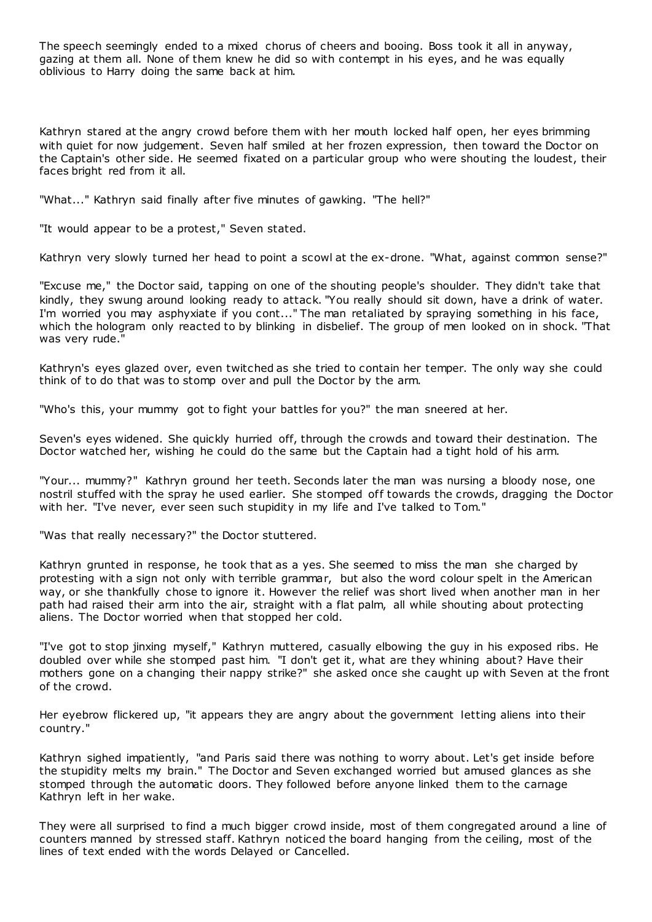The speech seemingly ended to a mixed chorus of cheers and booing. Boss took it all in anyway, gazing at them all. None of them knew he did so with contempt in his eyes, and he was equally oblivious to Harry doing the same back at him.

Kathryn stared at the angry crowd before them with her mouth locked half open, her eyes brimming with quiet for now judgement. Seven half smiled at her frozen expression, then toward the Doctor on the Captain's other side. He seemed fixated on a particular group who were shouting the loudest, their faces bright red from it all.

"What..." Kathryn said finally after five minutes of gawking. "The hell?"

"It would appear to be a protest," Seven stated.

Kathryn very slowly turned her head to point a scowl at the ex-drone. "What, against common sense?"

"Excuse me," the Doctor said, tapping on one of the shouting people's shoulder. They didn't take that kindly, they swung around looking ready to attack. "You really should sit down, have a drink of water. I'm worried you may asphyxiate if you cont..." The man retaliated by spraying something in his face, which the hologram only reacted to by blinking in disbelief. The group of men looked on in shock. "That was very rude."

Kathryn's eyes glazed over, even twitched as she tried to contain her temper. The only way she could think of to do that was to stomp over and pull the Doctor by the arm.

"Who's this, your mummy got to fight your battles for you?" the man sneered at her.

Seven's eyes widened. She quickly hurried off, through the crowds and toward their destination. The Doctor watched her, wishing he could do the same but the Captain had a tight hold of his arm.

"Your... mummy?" Kathryn ground her teeth. Seconds later the man was nursing a bloody nose, one nostril stuffed with the spray he used earlier. She stomped off towards the crowds, dragging the Doctor with her. "I've never, ever seen such stupidity in my life and I've talked to Tom."

"Was that really necessary?" the Doctor stuttered.

Kathryn grunted in response, he took that as a yes. She seemed to miss the man she charged by protesting with a sign not only with terrible grammar, but also the word colour spelt in the American way, or she thankfully chose to ignore it. However the relief was short lived when another man in her path had raised their arm into the air, straight with a flat palm, all while shouting about protecting aliens. The Doctor worried when that stopped her cold.

"I've got to stop jinxing myself," Kathryn muttered, casually elbowing the guy in his exposed ribs. He doubled over while she stomped past him. "I don't get it, what are they whining about? Have their mothers gone on a changing their nappy strike?" she asked once she caught up with Seven at the front of the crowd.

Her eyebrow flickered up, "it appears they are angry about the government letting aliens into their country."

Kathryn sighed impatiently, "and Paris said there was nothing to worry about. Let's get inside before the stupidity melts my brain." The Doctor and Seven exchanged worried but amused glances as she stomped through the automatic doors. They followed before anyone linked them to the carnage Kathryn left in her wake.

They were all surprised to find a much bigger crowd inside, most of them congregated around a line of counters manned by stressed staff. Kathryn noticed the board hanging from the ceiling, most of the lines of text ended with the words Delayed or Cancelled.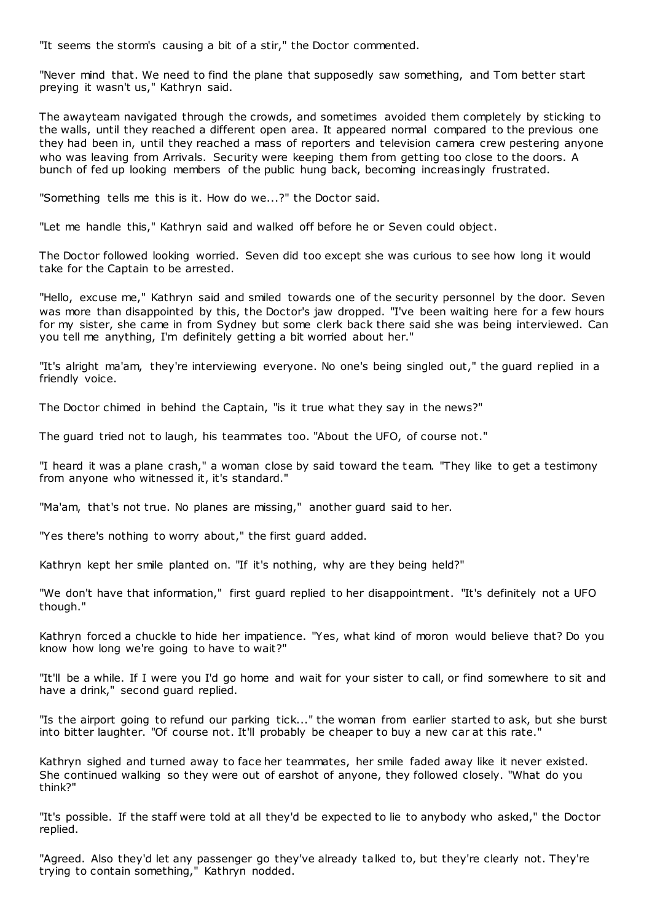"It seems the storm's causing a bit of a stir," the Doctor commented.

"Never mind that. We need to find the plane that supposedly saw something, and Tom better start preying it wasn't us," Kathryn said.

The awayteam navigated through the crowds, and sometimes avoided them completely by sticking to the walls, until they reached a different open area. It appeared normal compared to the previous one they had been in, until they reached a mass of reporters and television camera crew pestering anyone who was leaving from Arrivals. Security were keeping them from getting too close to the doors. A bunch of fed up looking members of the public hung back, becoming increasingly frustrated.

"Something tells me this is it. How do we...?" the Doctor said.

"Let me handle this," Kathryn said and walked off before he or Seven could object.

The Doctor followed looking worried. Seven did too except she was curious to see how long it would take for the Captain to be arrested.

"Hello, excuse me," Kathryn said and smiled towards one of the security personnel by the door. Seven was more than disappointed by this, the Doctor's jaw dropped. "I've been waiting here for a few hours for my sister, she came in from Sydney but some clerk back there said she was being interviewed. Can you tell me anything, I'm definitely getting a bit worried about her."

"It's alright ma'am, they're interviewing everyone. No one's being singled out," the guard replied in a friendly voice.

The Doctor chimed in behind the Captain, "is it true what they say in the news?"

The guard tried not to laugh, his teammates too. "About the UFO, of course not."

"I heard it was a plane crash," a woman close by said toward the t eam. "They like to get a testimony from anyone who witnessed it, it's standard."

"Ma'am, that's not true. No planes are missing," another guard said to her.

"Yes there's nothing to worry about," the first guard added.

Kathryn kept her smile planted on. "If it's nothing, why are they being held?"

"We don't have that information," first guard replied to her disappointment. "It's definitely not a UFO though."

Kathryn forced a chuckle to hide her impatience. "Yes, what kind of moron would believe that? Do you know how long we're going to have to wait?"

"It'll be a while. If I were you I'd go home and wait for your sister to call, or find somewhere to sit and have a drink," second guard replied.

"Is the airport going to refund our parking tick..." the woman from earlier started to ask, but she burst into bitter laughter. "Of course not. It'll probably be cheaper to buy a new car at this rate."

Kathryn sighed and turned away to face her teammates, her smile faded away like it never existed. She continued walking so they were out of earshot of anyone, they followed closely. "What do you think?"

"It's possible. If the staff were told at all they'd be expected to lie to anybody who asked," the Doctor replied.

"Agreed. Also they'd let any passenger go they've already talked to, but they're clearly not. They're trying to contain something," Kathryn nodded.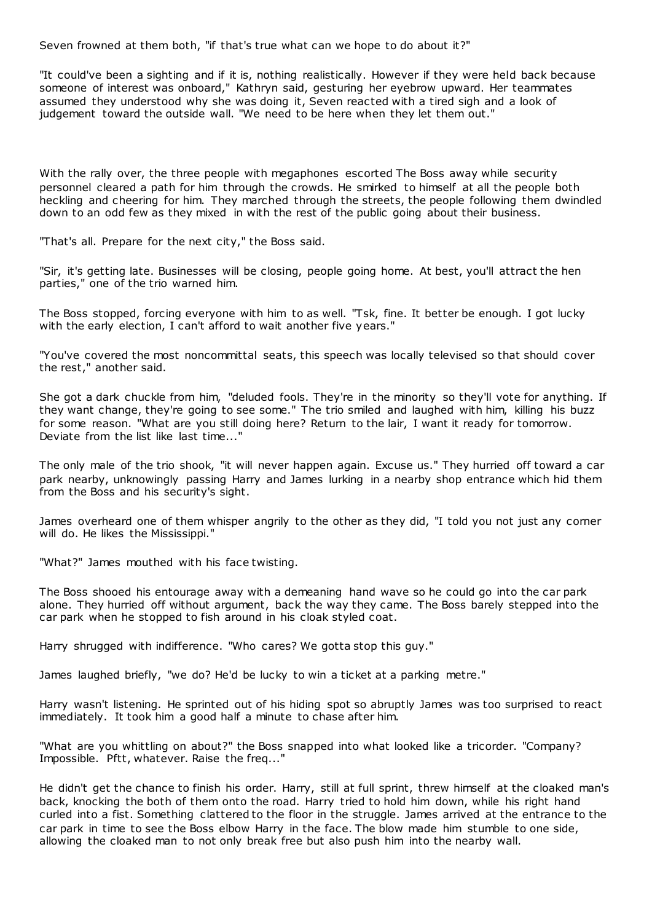Seven frowned at them both, "if that's true what can we hope to do about it?"

"It could've been a sighting and if it is, nothing realistically. However if they were held back because someone of interest was onboard," Kathryn said, gesturing her eyebrow upward. Her teammates assumed they understood why she was doing it, Seven reacted with a tired sigh and a look of judgement toward the outside wall. "We need to be here when they let them out."

With the rally over, the three people with megaphones escorted The Boss away while security personnel cleared a path for him through the crowds. He smirked to himself at all the people both heckling and cheering for him. They marched through the streets, the people following them dwindled down to an odd few as they mixed in with the rest of the public going about their business.

"That's all. Prepare for the next city," the Boss said.

"Sir, it's getting late. Businesses will be closing, people going home. At best, you'll attract the hen parties," one of the trio warned him.

The Boss stopped, forcing everyone with him to as well. "Tsk, fine. It better be enough. I got lucky with the early election, I can't afford to wait another five years."

"You've covered the most noncommittal seats, this speech was locally televised so that should cover the rest," another said.

She got a dark chuckle from him, "deluded fools. They're in the minority so they'll vote for anything. If they want change, they're going to see some." The trio smiled and laughed with him, killing his buzz for some reason. "What are you still doing here? Return to the lair, I want it ready for tomorrow. Deviate from the list like last time..."

The only male of the trio shook, "it will never happen again. Excuse us." They hurried off toward a car park nearby, unknowingly passing Harry and James lurking in a nearby shop entrance which hid them from the Boss and his security's sight.

James overheard one of them whisper angrily to the other as they did, "I told you not just any corner will do. He likes the Mississippi."

"What?" James mouthed with his face twisting.

The Boss shooed his entourage away with a demeaning hand wave so he could go into the car park alone. They hurried off without argument, back the way they came. The Boss barely stepped into the car park when he stopped to fish around in his cloak styled coat.

Harry shrugged with indifference. "Who cares? We gotta stop this guy."

James laughed briefly, "we do? He'd be lucky to win a ticket at a parking metre."

Harry wasn't listening. He sprinted out of his hiding spot so abruptly James was too surprised to react immediately. It took him a good half a minute to chase after him.

"What are you whittling on about?" the Boss snapped into what looked like a tricorder. "Company? Impossible. Pftt, whatever. Raise the freq..."

He didn't get the chance to finish his order. Harry, still at full sprint, threw himself at the cloaked man's back, knocking the both of them onto the road. Harry tried to hold him down, while his right hand curled into a fist. Something clattered to the floor in the struggle. James arrived at the entrance to the car park in time to see the Boss elbow Harry in the face. The blow made him stumble to one side, allowing the cloaked man to not only break free but also push him into the nearby wall.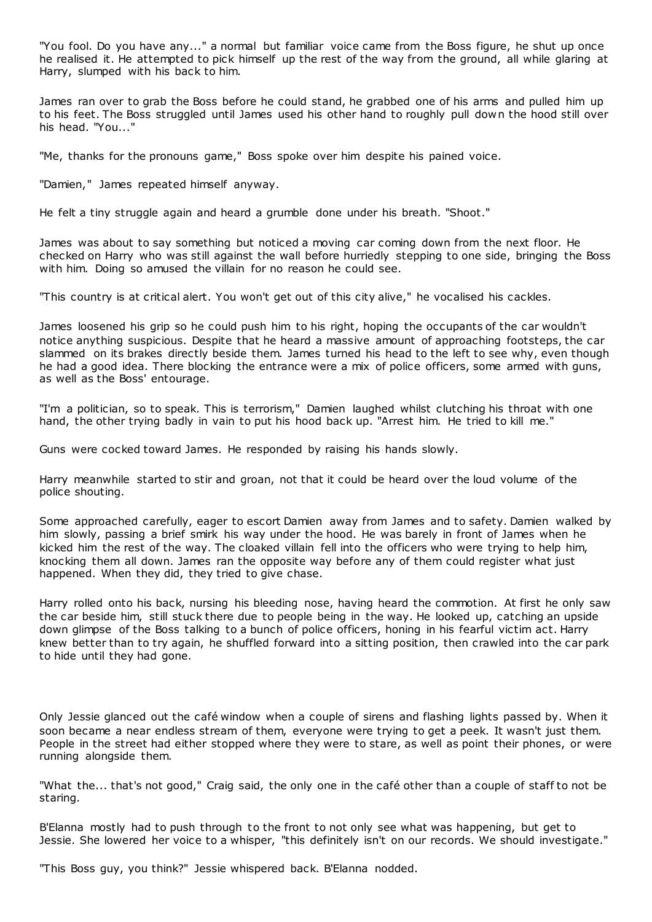"You fool. Do you have any..." a normal but familiar voice came from the Boss figure, he shut up once he realised it. He attempted to pick himself up the rest of the way from the ground, all while glaring at Harry, slumped with his back to him.

James ran over to grab the Boss before he could stand, he grabbed one of his arms and pulled him up to his feet. The Boss struggled until James used his other hand to roughly pull down the hood still over his head. "You..."

"Me, thanks for the pronouns game," Boss spoke over him despite his pained voice.

"Damien," James repeated himself anyway.

He felt a tiny struggle again and heard a grumble done under his breath. "Shoot."

James was about to say something but noticed a moving car coming down from the next floor. He checked on Harry who was still against the wall before hurriedly stepping to one side, bringing the Boss with him. Doing so amused the villain for no reason he could see.

"This country is at critical alert. You won't get out of this city alive," he vocalised his cackles.

James loosened his grip so he could push him to his right, hoping the occupants of the car wouldn't notice anything suspicious. Despite that he heard a massive amount of approaching footsteps, the car slammed on its brakes directly beside them. James turned his head to the left to see why, even though he had a good idea. There blocking the entrance were a mix of police officers, some armed with guns, as well as the Boss' entourage.

"I'm a politician, so to speak. This is terrorism," Damien laughed whilst clutching his throat with one hand, the other trying badly in vain to put his hood back up. "Arrest him. He tried to kill me."

Guns were cocked toward James. He responded by raising his hands slowly.

Harry meanwhile started to stir and groan, not that it could be heard over the loud volume of the police shouting.

Some approached carefully, eager to escort Damien away from James and to safety. Damien walked by him slowly, passing a brief smirk his way under the hood. He was barely in front of James when he kicked him the rest of the way. The cloaked villain fell into the officers who were trying to help him, knocking them all down. James ran the opposite way before any of them could register what just happened. When they did, they tried to give chase.

Harry rolled onto his back, nursing his bleeding nose, having heard the commotion. At first he only saw the car beside him, still stuck there due to people being in the way. He looked up, catching an upside down glimpse of the Boss talking to a bunch of police officers, honing in his fearful victim act. Harry knew better than to try again, he shuffled forward into a sitting position, then crawled into the car park to hide until they had gone.

Only Jessie glanced out the café window when a couple of sirens and flashing lights passed by. When it soon became a near endless stream of them, everyone were trying to get a peek. It wasn't just them. People in the street had either stopped where they were to stare, as well as point their phones, or were running alongside them.

"What the... that's not good," Craig said, the only one in the café other than a couple of staff to not be staring.

B'Elanna mostly had to push through to the front to not only see what was happening, but get to Jessie. She lowered her voice to a whisper, "this definitely isn't on our records. We should investigate."

"This Boss guy, you think?" Jessie whispered back. B'Elanna nodded.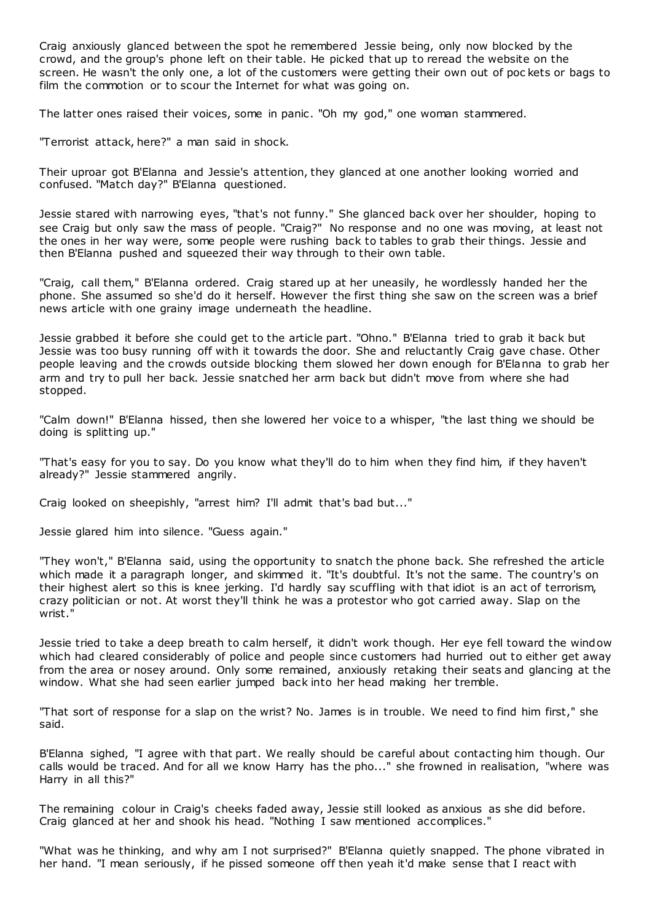Craig anxiously glanced between the spot he remembered Jessie being, only now blocked by the crowd, and the group's phone left on their table. He picked that up to reread the website on the screen. He wasn't the only one, a lot of the customers were getting their own out of poc kets or bags to film the commotion or to scour the Internet for what was going on.

The latter ones raised their voices, some in panic . "Oh my god," one woman stammered.

"Terrorist attack, here?" a man said in shock.

Their uproar got B'Elanna and Jessie's attention, they glanced at one another looking worried and confused. "Match day?" B'Elanna questioned.

Jessie stared with narrowing eyes, "that's not funny." She glanced back over her shoulder, hoping to see Craig but only saw the mass of people. "Craig?" No response and no one was moving, at least not the ones in her way were, some people were rushing back to tables to grab their things. Jessie and then B'Elanna pushed and squeezed their way through to their own table.

"Craig, call them," B'Elanna ordered. Craig stared up at her uneasily, he wordlessly handed her the phone. She assumed so she'd do it herself. However the first thing she saw on the screen was a brief news article with one grainy image underneath the headline.

Jessie grabbed it before she could get to the article part. "Ohno." B'Elanna tried to grab it back but Jessie was too busy running off with it towards the door. She and reluctantly Craig gave chase. Other people leaving and the crowds outside blocking them slowed her down enough for B'Elanna to grab her arm and try to pull her back. Jessie snatched her arm back but didn't move from where she had stopped.

"Calm down!" B'Elanna hissed, then she lowered her voice to a whisper, "the last thing we should be doing is splitting up."

"That's easy for you to say. Do you know what they'll do to him when they find him, if they haven't already?" Jessie stammered angrily.

Craig looked on sheepishly, "arrest him? I'll admit that's bad but..."

Jessie glared him into silence. "Guess again."

"They won't," B'Elanna said, using the opportunity to snatch the phone back. She refreshed the article which made it a paragraph longer, and skimmed it. "It's doubtful. It's not the same. The country's on their highest alert so this is knee jerking. I'd hardly say scuffling with that idiot is an act of terrorism, crazy politician or not. At worst they'll think he was a protestor who got carried away. Slap on the wrist."

Jessie tried to take a deep breath to calm herself, it didn't work though. Her eye fell toward the window which had cleared considerably of police and people since customers had hurried out to either get away from the area or nosey around. Only some remained, anxiously retaking their seats and glancing at the window. What she had seen earlier jumped back into her head making her tremble.

"That sort of response for a slap on the wrist? No. James is in trouble. We need to find him first," she said.

B'Elanna sighed, "I agree with that part. We really should be careful about contacting him though. Our calls would be traced. And for all we know Harry has the pho..." she frowned in realisation, "where was Harry in all this?"

The remaining colour in Craig's cheeks faded away, Jessie still looked as anxious as she did before. Craig glanced at her and shook his head. "Nothing I saw mentioned accomplices."

"What was he thinking, and why am I not surprised?" B'Elanna quietly snapped. The phone vibrated in her hand. "I mean seriously, if he pissed someone off then yeah it'd make sense that I react with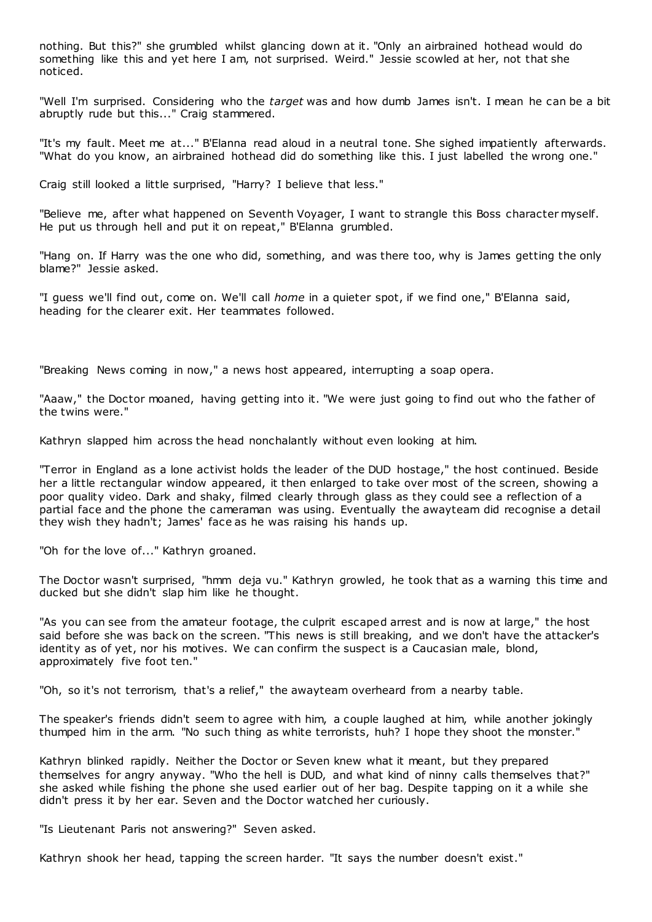nothing. But this?" she grumbled whilst glancing down at it. "Only an airbrained hothead would do something like this and yet here I am, not surprised. Weird." Jessie scowled at her, not that she noticed.

"Well I'm surprised. Considering who the *target* was and how dumb James isn't. I mean he can be a bit abruptly rude but this..." Craig stammered.

"It's my fault. Meet me at..." B'Elanna read aloud in a neutral tone. She sighed impatiently afterwards. "What do you know, an airbrained hothead did do something like this. I just labelled the wrong one."

Craig still looked a little surprised, "Harry? I believe that less."

"Believe me, after what happened on Seventh Voyager, I want to strangle this Boss character myself. He put us through hell and put it on repeat," B'Elanna grumbled.

"Hang on. If Harry was the one who did, something, and was there too, why is James getting the only blame?" Jessie asked.

"I guess we'll find out, come on. We'll call *home* in a quieter spot, if we find one," B'Elanna said, heading for the clearer exit. Her teammates followed.

"Breaking News coming in now," a news host appeared, interrupting a soap opera.

"Aaaw," the Doctor moaned, having getting into it. "We were just going to find out who the father of the twins were."

Kathryn slapped him across the head nonchalantly without even looking at him.

"Terror in England as a lone activist holds the leader of the DUD hostage," the host continued. Beside her a little rectangular window appeared, it then enlarged to take over most of the screen, showing a poor quality video. Dark and shaky, filmed clearly through glass as they could see a reflection of a partial face and the phone the cameraman was using. Eventually the awayteam did recognise a detail they wish they hadn't; James' face as he was raising his hands up.

"Oh for the love of..." Kathryn groaned.

The Doctor wasn't surprised, "hmm deja vu." Kathryn growled, he took that as a warning this time and ducked but she didn't slap him like he thought.

"As you can see from the amateur footage, the culprit escaped arrest and is now at large," the host said before she was back on the screen. "This news is still breaking, and we don't have the attacker's identity as of yet, nor his motives. We can confirm the suspect is a Caucasian male, blond, approximately five foot ten."

"Oh, so it's not terrorism, that's a relief," the awayteam overheard from a nearby table.

The speaker's friends didn't seem to agree with him, a couple laughed at him, while another jokingly thumped him in the arm. "No such thing as white terrorists, huh? I hope they shoot the monster."

Kathryn blinked rapidly. Neither the Doctor or Seven knew what it meant, but they prepared themselves for angry anyway. "Who the hell is DUD, and what kind of ninny calls themselves that?" she asked while fishing the phone she used earlier out of her bag. Despite tapping on it a while she didn't press it by her ear. Seven and the Doctor watched her curiously.

"Is Lieutenant Paris not answering?" Seven asked.

Kathryn shook her head, tapping the screen harder. "It says the number doesn't exist."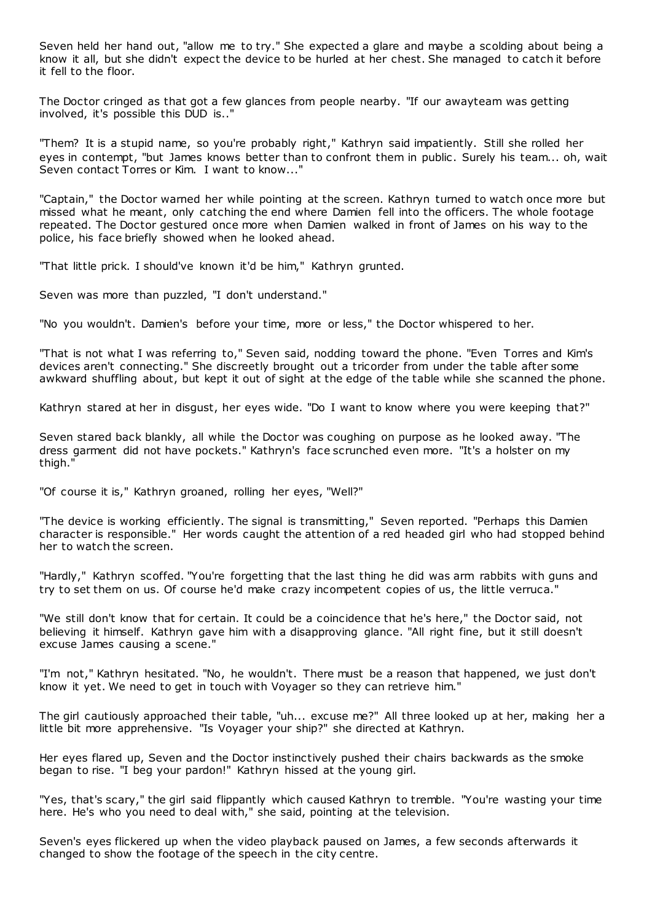Seven held her hand out, "allow me to try." She expected a glare and maybe a scolding about being a know it all, but she didn't expect the device to be hurled at her chest. She managed to catch it before it fell to the floor.

The Doctor cringed as that got a few glances from people nearby. "If our awayteam was getting involved, it's possible this DUD is.."

"Them? It is a stupid name, so you're probably right," Kathryn said impatiently. Still she rolled her eyes in contempt, "but James knows better than to confront them in public. Surely his team... oh, wait Seven contact Torres or Kim. I want to know..."

"Captain," the Doctor warned her while pointing at the screen. Kathryn turned to watch once more but missed what he meant, only catching the end where Damien fell into the officers. The whole footage repeated. The Doctor gestured once more when Damien walked in front of James on his way to the police, his face briefly showed when he looked ahead.

"That little prick. I should've known it'd be him," Kathryn grunted.

Seven was more than puzzled, "I don't understand."

"No you wouldn't. Damien's before your time, more or less," the Doctor whispered to her.

"That is not what I was referring to," Seven said, nodding toward the phone. "Even Torres and Kim's devices aren't connecting." She discreetly brought out a tricorder from under the table after some awkward shuffling about, but kept it out of sight at the edge of the table while she scanned the phone.

Kathryn stared at her in disgust, her eyes wide. "Do I want to know where you were keeping that?"

Seven stared back blankly, all while the Doctor was coughing on purpose as he looked away. "The dress garment did not have pockets." Kathryn's face scrunched even more. "It's a holster on my thigh."

"Of course it is," Kathryn groaned, rolling her eyes, "Well?"

"The device is working efficiently. The signal is transmitting," Seven reported. "Perhaps this Damien character is responsible." Her words caught the attention of a red headed girl who had stopped behind her to watch the screen.

"Hardly," Kathryn scoffed. "You're forgetting that the last thing he did was arm rabbits with guns and try to set them on us. Of course he'd make crazy incompetent copies of us, the little verruca."

"We still don't know that for certain. It could be a coincidence that he's here," the Doctor said, not believing it himself. Kathryn gave him with a disapproving glance. "All right fine, but it still doesn't excuse James causing a scene."

"I'm not," Kathryn hesitated. "No, he wouldn't. There must be a reason that happened, we just don't know it yet. We need to get in touch with Voyager so they can retrieve him."

The girl cautiously approached their table, "uh... excuse me?" All three looked up at her, making her a little bit more apprehensive. "Is Voyager your ship?" she directed at Kathryn.

Her eyes flared up, Seven and the Doctor instinctively pushed their chairs backwards as the smoke began to rise. "I beg your pardon!" Kathryn hissed at the young girl.

"Yes, that's scary," the girl said flippantly which caused Kathryn to tremble. "You're wasting your time here. He's who you need to deal with," she said, pointing at the television.

Seven's eyes flickered up when the video playback paused on James, a few seconds afterwards it changed to show the footage of the speech in the city centre.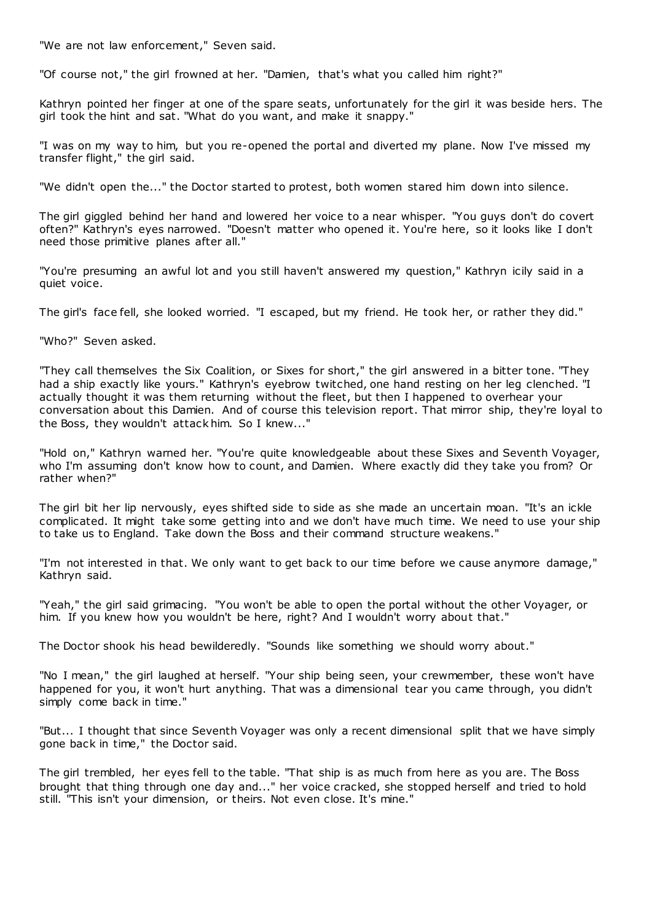"We are not law enforcement," Seven said.

"Of course not," the girl frowned at her. "Damien, that's what you called him right?"

Kathryn pointed her finger at one of the spare seats, unfortunately for the girl it was beside hers. The girl took the hint and sat. "What do you want, and make it snappy."

"I was on my way to him, but you re-opened the portal and diverted my plane. Now I've missed my transfer flight," the girl said.

"We didn't open the..." the Doctor started to protest, both women stared him down into silence.

The girl giggled behind her hand and lowered her voice to a near whisper. "You guys don't do covert often?" Kathryn's eyes narrowed. "Doesn't matter who opened it. You're here, so it looks like I don't need those primitive planes after all."

"You're presuming an awful lot and you still haven't answered my question," Kathryn icily said in a quiet voice.

The girl's face fell, she looked worried. "I escaped, but my friend. He took her, or rather they did."

"Who?" Seven asked.

"They call themselves the Six Coalition, or Sixes for short," the girl answered in a bitter tone. "They had a ship exactly like yours." Kathryn's eyebrow twitched, one hand resting on her leg clenched. "I actually thought it was them returning without the fleet, but then I happened to overhear your conversation about this Damien. And of course this television report. That mirror ship, they're loyal to the Boss, they wouldn't attack him. So I knew..."

"Hold on," Kathryn warned her. "You're quite knowledgeable about these Sixes and Seventh Voyager, who I'm assuming don't know how to count, and Damien. Where exactly did they take you from? Or rather when?"

The girl bit her lip nervously, eyes shifted side to side as she made an uncertain moan. "It's an ickle complicated. It might take some getting into and we don't have much time. We need to use your ship to take us to England. Take down the Boss and their command structure weakens."

"I'm not interested in that. We only want to get back to our time before we cause anymore damage," Kathryn said.

"Yeah," the girl said grimacing. "You won't be able to open the portal without the other Voyager, or him. If you knew how you wouldn't be here, right? And I wouldn't worry about that."

The Doctor shook his head bewilderedly. "Sounds like something we should worry about."

"No I mean," the girl laughed at herself. "Your ship being seen, your crewmember, these won't have happened for you, it won't hurt anything. That was a dimensional tear you came through, you didn't simply come back in time."

"But... I thought that since Seventh Voyager was only a recent dimensional split that we have simply gone back in time," the Doctor said.

The girl trembled, her eyes fell to the table. "That ship is as much from here as you are. The Boss brought that thing through one day and..." her voice cracked, she stopped herself and tried to hold still. "This isn't your dimension, or theirs. Not even close. It's mine."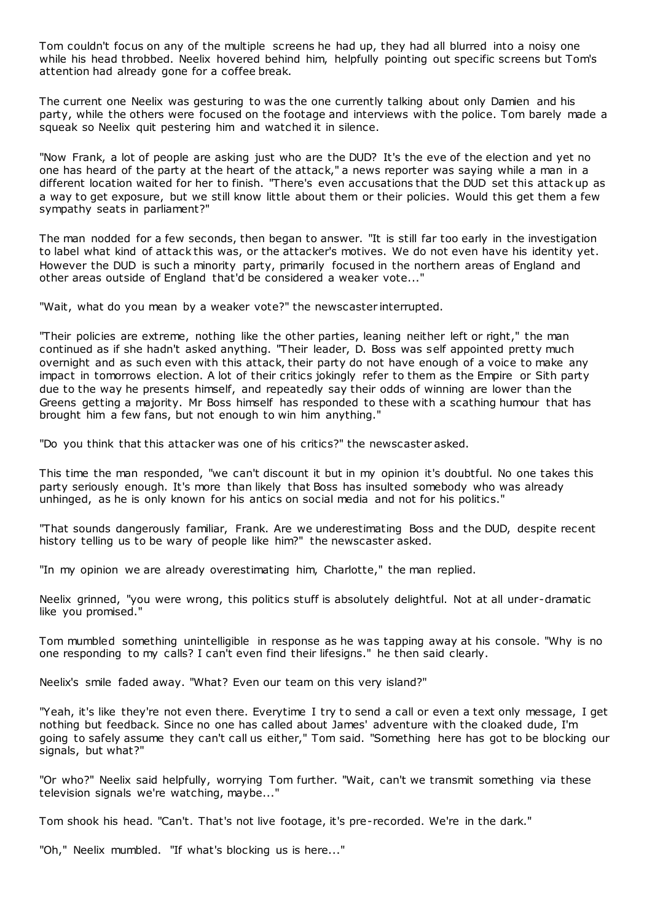Tom couldn't focus on any of the multiple screens he had up, they had all blurred into a noisy one while his head throbbed. Neelix hovered behind him, helpfully pointing out specific screens but Tom's attention had already gone for a coffee break.

The current one Neelix was gesturing to was the one currently talking about only Damien and his party, while the others were focused on the footage and interviews with the police. Tom barely made a squeak so Neelix quit pestering him and watched it in silence.

"Now Frank, a lot of people are asking just who are the DUD? It's the eve of the election and yet no one has heard of the party at the heart of the attack," a news reporter was saying while a man in a different location waited for her to finish. "There's even accusations that the DUD set this attack up as a way to get exposure, but we still know little about them or their policies. Would this get them a few sympathy seats in parliament?"

The man nodded for a few seconds, then began to answer. "It is still far too early in the investigation to label what kind of attack this was, or the attacker's motives. We do not even have his identity yet. However the DUD is such a minority party, primarily focused in the northern areas of England and other areas outside of England that'd be considered a weaker vote..."

"Wait, what do you mean by a weaker vote?" the newscaster interrupted.

"Their policies are extreme, nothing like the other parties, leaning neither left or right," the man continued as if she hadn't asked anything. "Their leader, D. Boss was self appointed pretty much overnight and as such even with this attack, their party do not have enough of a voice to make any impact in tomorrows election. A lot of their critics jokingly refer to them as the Empire or Sith party due to the way he presents himself, and repeatedly say their odds of winning are lower than the Greens getting a majority. Mr Boss himself has responded to these with a scathing humour that has brought him a few fans, but not enough to win him anything."

"Do you think that this attacker was one of his critics?" the newscaster asked.

This time the man responded, "we can't discount it but in my opinion it's doubtful. No one takes this party seriously enough. It's more than likely that Boss has insulted somebody who was already unhinged, as he is only known for his antics on social media and not for his politics."

"That sounds dangerously familiar, Frank. Are we underestimating Boss and the DUD, despite recent history telling us to be wary of people like him?" the newscaster asked.

"In my opinion we are already overestimating him, Charlotte," the man replied.

Neelix grinned, "you were wrong, this politics stuff is absolutely delightful. Not at all under-dramatic like you promised."

Tom mumbled something unintelligible in response as he was tapping away at his console. "Why is no one responding to my calls? I can't even find their lifesigns." he then said clearly.

Neelix's smile faded away. "What? Even our team on this very island?"

"Yeah, it's like they're not even there. Everytime I try to send a call or even a text only message, I get nothing but feedback. Since no one has called about James' adventure with the cloaked dude, I'm going to safely assume they can't call us either," Tom said. "Something here has got to be blocking our signals, but what?"

"Or who?" Neelix said helpfully, worrying Tom further. "Wait, can't we transmit something via these television signals we're watching, maybe..."

Tom shook his head. "Can't. That's not live footage, it's pre-recorded. We're in the dark."

"Oh," Neelix mumbled. "If what's blocking us is here..."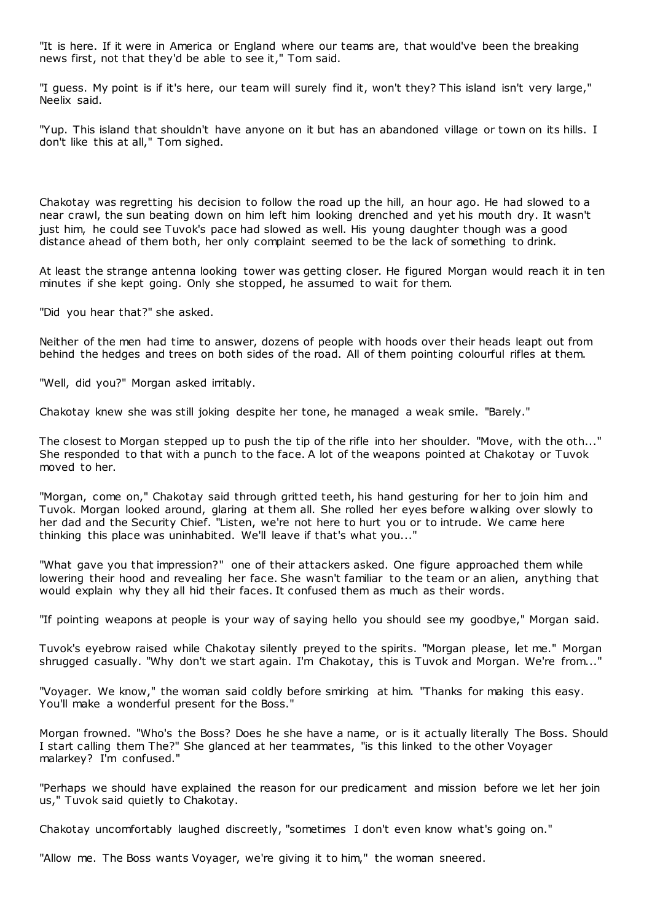"It is here. If it were in America or England where our teams are, that would've been the breaking news first, not that they'd be able to see it," Tom said.

"I guess. My point is if it's here, our team will surely find it, won't they? This island isn't very large," Neelix said.

"Yup. This island that shouldn't have anyone on it but has an abandoned village or town on its hills. I don't like this at all," Tom sighed.

Chakotay was regretting his decision to follow the road up the hill, an hour ago. He had slowed to a near crawl, the sun beating down on him left him looking drenched and yet his mouth dry. It wasn't just him, he could see Tuvok's pace had slowed as well. His young daughter though was a good distance ahead of them both, her only complaint seemed to be the lack of something to drink.

At least the strange antenna looking tower was getting closer. He figured Morgan would reach it in ten minutes if she kept going. Only she stopped, he assumed to wait for them.

"Did you hear that?" she asked.

Neither of the men had time to answer, dozens of people with hoods over their heads leapt out from behind the hedges and trees on both sides of the road. All of them pointing colourful rifles at them.

"Well, did you?" Morgan asked irritably.

Chakotay knew she was still joking despite her tone, he managed a weak smile. "Barely."

The closest to Morgan stepped up to push the tip of the rifle into her shoulder. "Move, with the oth..." She responded to that with a punch to the face. A lot of the weapons pointed at Chakotay or Tuvok moved to her.

"Morgan, come on," Chakotay said through gritted teeth, his hand gesturing for her to join him and Tuvok. Morgan looked around, glaring at them all. She rolled her eyes before walking over slowly to her dad and the Security Chief. "Listen, we're not here to hurt you or to intrude. We came here thinking this place was uninhabited. We'll leave if that's what you..."

"What gave you that impression?" one of their attackers asked. One figure approached them while lowering their hood and revealing her face. She wasn't familiar to the team or an alien, anything that would explain why they all hid their faces. It confused them as much as their words.

"If pointing weapons at people is your way of saying hello you should see my goodbye," Morgan said.

Tuvok's eyebrow raised while Chakotay silently preyed to the spirits. "Morgan please, let me." Morgan shrugged casually. "Why don't we start again. I'm Chakotay, this is Tuvok and Morgan. We're from..."

"Voyager. We know," the woman said coldly before smirking at him. "Thanks for making this easy. You'll make a wonderful present for the Boss."

Morgan frowned. "Who's the Boss? Does he she have a name, or is it actually literally The Boss. Should I start calling them The?" She glanced at her teammates, "is this linked to the other Voyager malarkey? I'm confused."

"Perhaps we should have explained the reason for our predicament and mission before we let her join us," Tuvok said quietly to Chakotay.

Chakotay uncomfortably laughed discreetly, "sometimes I don't even know what's going on."

"Allow me. The Boss wants Voyager, we're giving it to him," the woman sneered.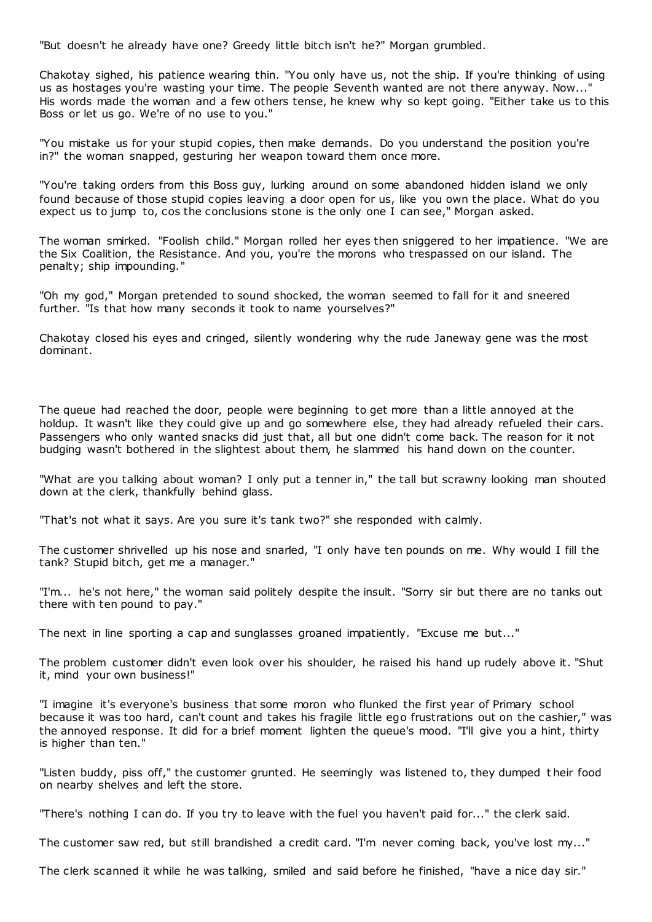"But doesn't he already have one? Greedy little bitch isn't he?" Morgan grumbled.

Chakotay sighed, his patience wearing thin. "You only have us, not the ship. If you're thinking of using us as hostages you're wasting your time. The people Seventh wanted are not there anyway. Now..." His words made the woman and a few others tense, he knew why so kept going. "Either take us to this Boss or let us go. We're of no use to you."

"You mistake us for your stupid copies, then make demands. Do you understand the position you're in?" the woman snapped, gesturing her weapon toward them once more.

"You're taking orders from this Boss guy, lurking around on some abandoned hidden island we only found because of those stupid copies leaving a door open for us, like you own the place. What do you expect us to jump to, cos the conclusions stone is the only one I can see," Morgan asked.

The woman smirked. "Foolish child." Morgan rolled her eyes then sniggered to her impatience. "We are the Six Coalition, the Resistance. And you, you're the morons who trespassed on our island. The penalty; ship impounding."

"Oh my god," Morgan pretended to sound shocked, the woman seemed to fall for it and sneered further. "Is that how many seconds it took to name yourselves?"

Chakotay closed his eyes and cringed, silently wondering why the rude Janeway gene was the most dominant.

The queue had reached the door, people were beginning to get more than a little annoyed at the holdup. It wasn't like they could give up and go somewhere else, they had already refueled their cars. Passengers who only wanted snacks did just that, all but one didn't come back. The reason for it not budging wasn't bothered in the slightest about them, he slammed his hand down on the counter.

"What are you talking about woman? I only put a tenner in," the tall but scrawny looking man shouted down at the clerk, thankfully behind glass.

"That's not what it says. Are you sure it's tank two?" she responded with calmly.

The customer shrivelled up his nose and snarled, "I only have ten pounds on me. Why would I fill the tank? Stupid bitch, get me a manager."

"I'm... he's not here," the woman said politely despite the insult. "Sorry sir but there are no tanks out there with ten pound to pay."

The next in line sporting a cap and sunglasses groaned impatiently. "Excuse me but..."

The problem customer didn't even look over his shoulder, he raised his hand up rudely above it. "Shut it, mind your own business!"

"I imagine it's everyone's business that some moron who flunked the first year of Primary school because it was too hard, can't count and takes his fragile little ego frustrations out on the cashier," was the annoyed response. It did for a brief moment lighten the queue's mood. "I'll give you a hint, thirty is higher than ten."

"Listen buddy, piss off," the customer grunted. He seemingly was listened to, they dumped t heir food on nearby shelves and left the store.

"There's nothing I can do. If you try to leave with the fuel you haven't paid for..." the clerk said.

The customer saw red, but still brandished a credit card. "I'm never coming back, you've lost my..."

The clerk scanned it while he was talking, smiled and said before he finished, "have a nice day sir."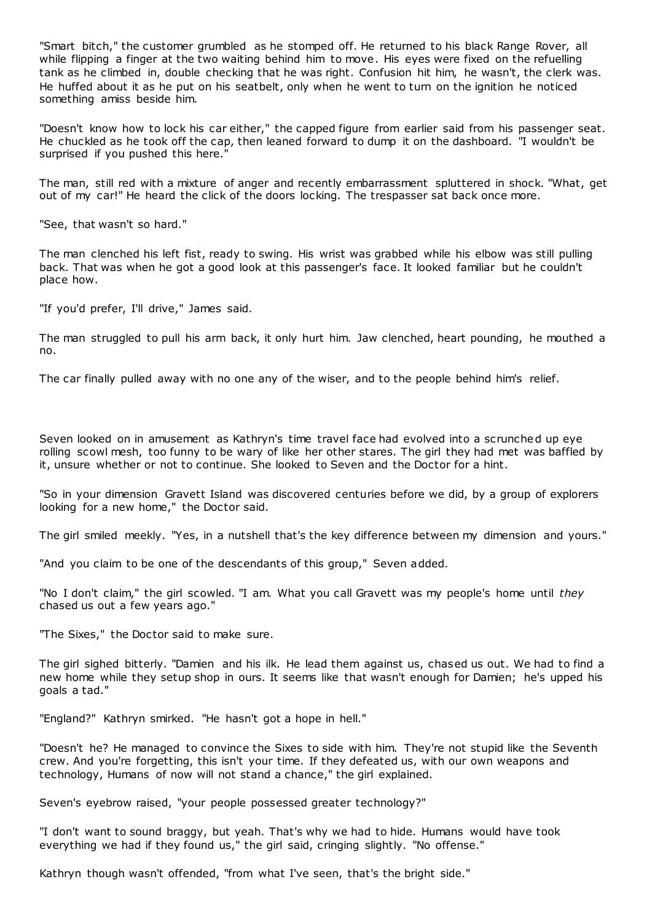"Smart bitch," the customer grumbled as he stomped off. He returned to his black Range Rover, all while flipping a finger at the two waiting behind him to move. His eyes were fixed on the refuelling tank as he climbed in, double checking that he was right. Confusion hit him, he wasn't, the clerk was. He huffed about it as he put on his seatbelt, only when he went to turn on the ignition he noticed something amiss beside him.

"Doesn't know how to lock his car either," the capped figure from earlier said from his passenger seat. He chuckled as he took off the cap, then leaned forward to dump it on the dashboard. "I wouldn't be surprised if you pushed this here."

The man, still red with a mixture of anger and recently embarrassment spluttered in shock. "What, get out of my car!" He heard the click of the doors locking. The trespasser sat back once more.

"See, that wasn't so hard."

The man clenched his left fist, ready to swing. His wrist was grabbed while his elbow was still pulling back. That was when he got a good look at this passenger's face. It looked familiar but he couldn't place how.

"If you'd prefer, I'll drive," James said.

The man struggled to pull his arm back, it only hurt him. Jaw clenched, heart pounding, he mouthed a no.

The car finally pulled away with no one any of the wiser, and to the people behind him's relief.

Seven looked on in amusement as Kathryn's time travel face had evolved into a scrunched up eye rolling scowl mesh, too funny to be wary of like her other stares. The girl they had met was baffled by it, unsure whether or not to continue. She looked to Seven and the Doctor for a hint.

"So in your dimension Gravett Island was discovered centuries before we did, by a group of explorers looking for a new home," the Doctor said.

The girl smiled meekly. "Yes, in a nutshell that's the key difference between my dimension and yours."

"And you claim to be one of the descendants of this group," Seven added.

"No I don't claim," the girl scowled. "I am. What you call Gravett was my people's home until *they*  chased us out a few years ago."

"The Sixes," the Doctor said to make sure.

The girl sighed bitterly. "Damien and his ilk. He lead them against us, chased us out. We had to find a new home while they setup shop in ours. It seems like that wasn't enough for Damien; he's upped his goals a tad."

"England?" Kathryn smirked. "He hasn't got a hope in hell."

"Doesn't he? He managed to convince the Sixes to side with him. They're not stupid like the Seventh crew. And you're forgetting, this isn't your time. If they defeated us, with our own weapons and technology, Humans of now will not stand a chance," the girl explained.

Seven's eyebrow raised, "your people possessed greater technology?"

"I don't want to sound braggy, but yeah. That's why we had to hide. Humans would have took everything we had if they found us," the girl said, cringing slightly. "No offense."

Kathryn though wasn't offended, "from what I've seen, that's the bright side."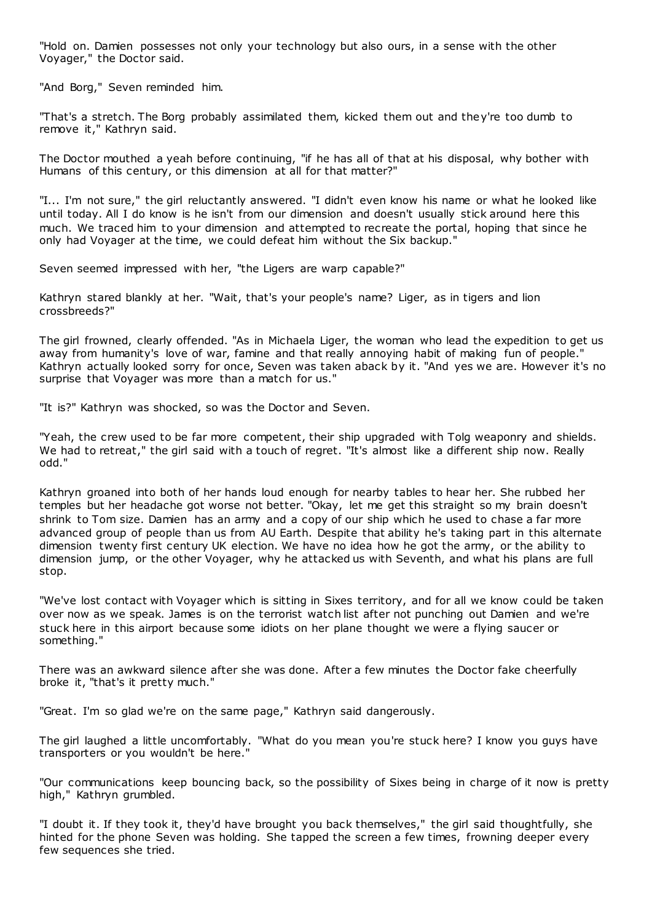"Hold on. Damien possesses not only your technology but also ours, in a sense with the other Voyager," the Doctor said.

"And Borg," Seven reminded him.

"That's a stretch. The Borg probably assimilated them, kicked them out and they're too dumb to remove it," Kathryn said.

The Doctor mouthed a yeah before continuing, "if he has all of that at his disposal, why bother with Humans of this century, or this dimension at all for that matter?"

"I... I'm not sure," the girl reluctantly answered. "I didn't even know his name or what he looked like until today. All I do know is he isn't from our dimension and doesn't usually stick around here this much. We traced him to your dimension and attempted to recreate the portal, hoping that since he only had Voyager at the time, we could defeat him without the Six backup."

Seven seemed impressed with her, "the Ligers are warp capable?"

Kathryn stared blankly at her. "Wait, that's your people's name? Liger, as in tigers and lion crossbreeds?"

The girl frowned, clearly offended. "As in Michaela Liger, the woman who lead the expedition to get us away from humanity's love of war, famine and that really annoying habit of making fun of people." Kathryn actually looked sorry for once, Seven was taken aback by it. "And yes we are. However it's no surprise that Voyager was more than a match for us."

"It is?" Kathryn was shocked, so was the Doctor and Seven.

"Yeah, the crew used to be far more competent, their ship upgraded with Tolg weaponry and shields. We had to retreat," the girl said with a touch of regret. "It's almost like a different ship now. Really odd."

Kathryn groaned into both of her hands loud enough for nearby tables to hear her. She rubbed her temples but her headache got worse not better. "Okay, let me get this straight so my brain doesn't shrink to Tom size. Damien has an army and a copy of our ship which he used to chase a far more advanced group of people than us from AU Earth. Despite that ability he's taking part in this alternate dimension twenty first century UK election. We have no idea how he got the army, or the ability to dimension jump, or the other Voyager, why he attacked us with Seventh, and what his plans are full stop.

"We've lost contact with Voyager which is sitting in Sixes territory, and for all we know could be taken over now as we speak. James is on the terrorist watch list after not punching out Damien and we're stuck here in this airport because some idiots on her plane thought we were a flying saucer or something."

There was an awkward silence after she was done. After a few minutes the Doctor fake cheerfully broke it, "that's it pretty much."

"Great. I'm so glad we're on the same page," Kathryn said dangerously.

The girl laughed a little uncomfortably. "What do you mean you're stuck here? I know you guys have transporters or you wouldn't be here."

"Our communications keep bouncing back, so the possibility of Sixes being in charge of it now is pretty high," Kathryn grumbled.

"I doubt it. If they took it, they'd have brought you back themselves," the girl said thoughtfully, she hinted for the phone Seven was holding. She tapped the screen a few times, frowning deeper every few sequences she tried.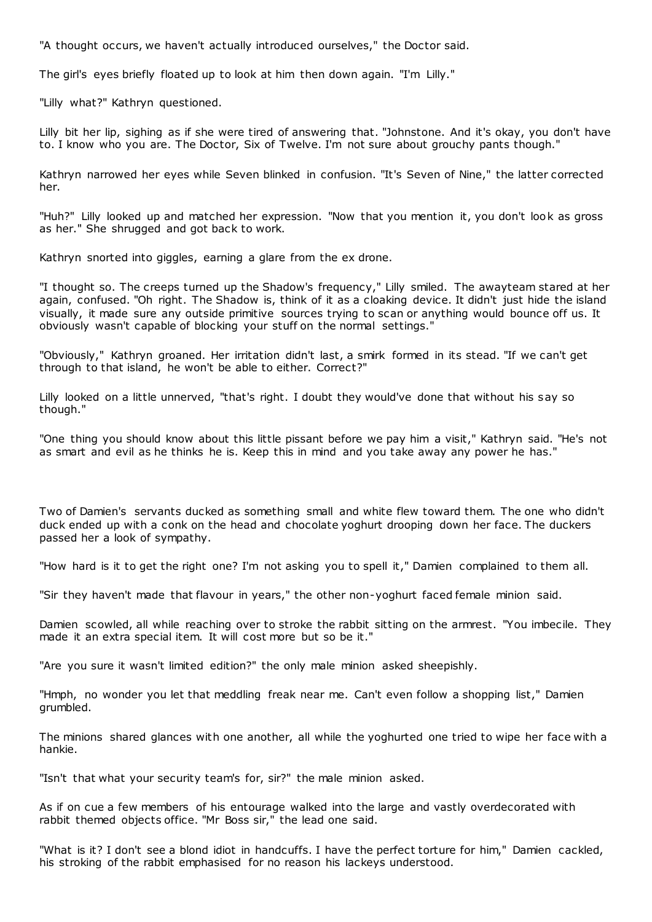"A thought occurs, we haven't actually introduced ourselves," the Doctor said.

The girl's eyes briefly floated up to look at him then down again. "I'm Lilly."

"Lilly what?" Kathryn questioned.

Lilly bit her lip, sighing as if she were tired of answering that. "Johnstone. And it's okay, you don't have to. I know who you are. The Doctor, Six of Twelve. I'm not sure about grouchy pants though."

Kathryn narrowed her eyes while Seven blinked in confusion. "It's Seven of Nine," the latter corrected her.

"Huh?" Lilly looked up and matched her expression. "Now that you mention it, you don't look as gross as her." She shrugged and got back to work.

Kathryn snorted into giggles, earning a glare from the ex drone.

"I thought so. The creeps turned up the Shadow's frequency," Lilly smiled. The awayteam stared at her again, confused. "Oh right. The Shadow is, think of it as a cloaking device. It didn't just hide the island visually, it made sure any outside primitive sources trying to scan or anything would bounce off us. It obviously wasn't capable of blocking your stuff on the normal settings."

"Obviously," Kathryn groaned. Her irritation didn't last, a smirk formed in its stead. "If we can't get through to that island, he won't be able to either. Correct?"

Lilly looked on a little unnerved, "that's right. I doubt they would've done that without his say so though."

"One thing you should know about this little pissant before we pay him a visit," Kathryn said. "He's not as smart and evil as he thinks he is. Keep this in mind and you take away any power he has."

Two of Damien's servants ducked as something small and white flew toward them. The one who didn't duck ended up with a conk on the head and chocolate yoghurt drooping down her face. The duckers passed her a look of sympathy.

"How hard is it to get the right one? I'm not asking you to spell it," Damien complained to them all.

"Sir they haven't made that flavour in years," the other non-yoghurt faced female minion said.

Damien scowled, all while reaching over to stroke the rabbit sitting on the armrest. "You imbecile. They made it an extra special item. It will cost more but so be it."

"Are you sure it wasn't limited edition?" the only male minion asked sheepishly.

"Hmph, no wonder you let that meddling freak near me. Can't even follow a shopping list," Damien grumbled.

The minions shared glances with one another, all while the yoghurted one tried to wipe her face with a hankie.

"Isn't that what your security team's for, sir?" the male minion asked.

As if on cue a few members of his entourage walked into the large and vastly overdecorated with rabbit themed objects office. "Mr Boss sir," the lead one said.

"What is it? I don't see a blond idiot in handcuffs. I have the perfect torture for him," Damien cackled, his stroking of the rabbit emphasised for no reason his lackeys understood.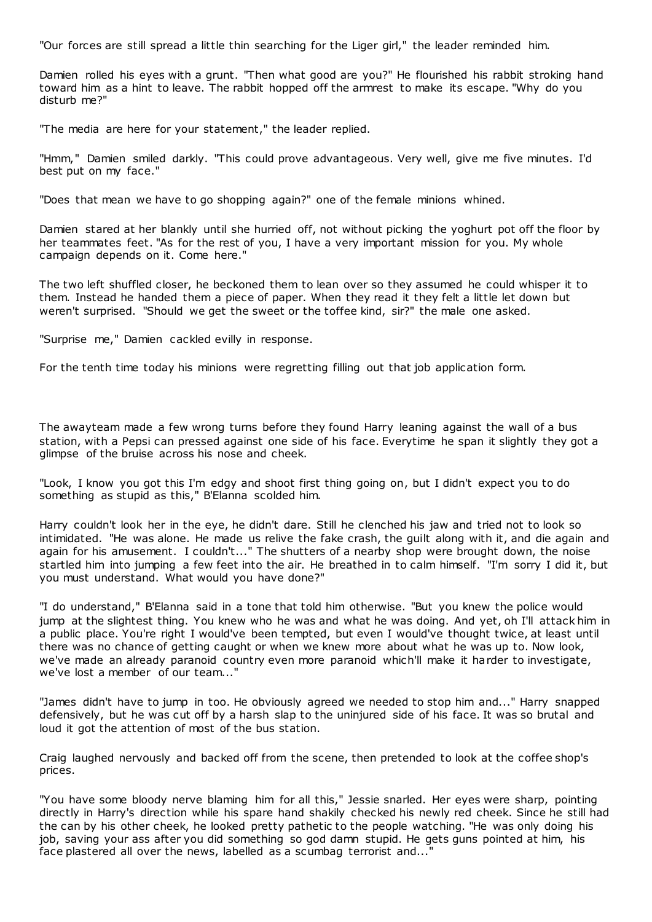"Our forces are still spread a little thin searching for the Liger girl," the leader reminded him.

Damien rolled his eyes with a grunt. "Then what good are you?" He flourished his rabbit stroking hand toward him as a hint to leave. The rabbit hopped off the armrest to make its escape. "Why do you disturb me?"

"The media are here for your statement," the leader replied.

"Hmm," Damien smiled darkly. "This could prove advantageous. Very well, give me five minutes. I'd best put on my face."

"Does that mean we have to go shopping again?" one of the female minions whined.

Damien stared at her blankly until she hurried off, not without picking the yoghurt pot off the floor by her teammates feet. "As for the rest of you, I have a very important mission for you. My whole campaign depends on it. Come here."

The two left shuffled closer, he beckoned them to lean over so they assumed he could whisper it to them. Instead he handed them a piece of paper. When they read it they felt a little let down but weren't surprised. "Should we get the sweet or the toffee kind, sir?" the male one asked.

"Surprise me," Damien cackled evilly in response.

For the tenth time today his minions were regretting filling out that job application form.

The awayteam made a few wrong turns before they found Harry leaning against the wall of a bus station, with a Pepsi can pressed against one side of his face. Everytime he span it slightly they got a glimpse of the bruise across his nose and cheek.

"Look, I know you got this I'm edgy and shoot first thing going on, but I didn't expect you to do something as stupid as this," B'Elanna scolded him.

Harry couldn't look her in the eye, he didn't dare. Still he clenched his jaw and tried not to look so intimidated. "He was alone. He made us relive the fake crash, the guilt along with it, and die again and again for his amusement. I couldn't..." The shutters of a nearby shop were brought down, the noise startled him into jumping a few feet into the air. He breathed in to calm himself. "I'm sorry I did it, but you must understand. What would you have done?"

"I do understand," B'Elanna said in a tone that told him otherwise. "But you knew the police would jump at the slightest thing. You knew who he was and what he was doing. And yet, oh I'll attack him in a public place. You're right I would've been tempted, but even I would've thought twice, at least until there was no chance of getting caught or when we knew more about what he was up to. Now look, we've made an already paranoid country even more paranoid which'll make it harder to investigate, we've lost a member of our team..."

"James didn't have to jump in too. He obviously agreed we needed to stop him and..." Harry snapped defensively, but he was cut off by a harsh slap to the uninjured side of his face. It was so brutal and loud it got the attention of most of the bus station.

Craig laughed nervously and backed off from the scene, then pretended to look at the coffee shop's prices.

"You have some bloody nerve blaming him for all this," Jessie snarled. Her eyes were sharp, pointing directly in Harry's direction while his spare hand shakily checked his newly red cheek. Since he still had the can by his other cheek, he looked pretty pathetic to the people watching. "He was only doing his job, saving your ass after you did something so god damn stupid. He gets guns pointed at him, his face plastered all over the news, labelled as a scumbag terrorist and..."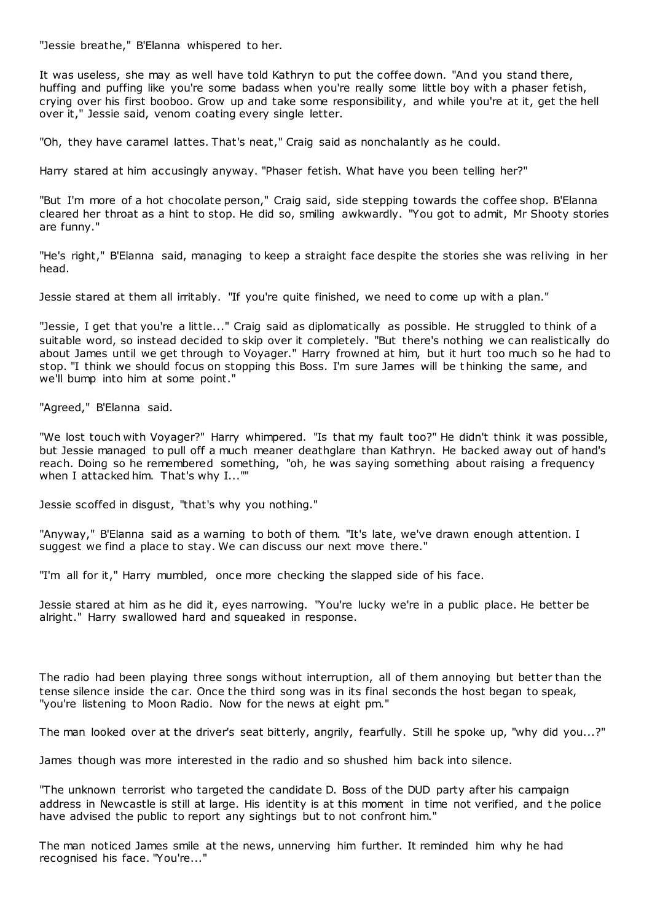"Jessie breathe," B'Elanna whispered to her.

It was useless, she may as well have told Kathryn to put the coffee down. "And you stand there, huffing and puffing like you're some badass when you're really some little boy with a phaser fetish, crying over his first booboo. Grow up and take some responsibility, and while you're at it, get the hell over it," Jessie said, venom coating every single letter.

"Oh, they have caramel lattes. That's neat," Craig said as nonchalantly as he could.

Harry stared at him accusingly anyway. "Phaser fetish. What have you been telling her?"

"But I'm more of a hot chocolate person," Craig said, side stepping towards the coffee shop. B'Elanna cleared her throat as a hint to stop. He did so, smiling awkwardly. "You got to admit, Mr Shooty stories are funny."

"He's right," B'Elanna said, managing to keep a straight face despite the stories she was reliving in her head.

Jessie stared at them all irritably. "If you're quite finished, we need to come up with a plan."

"Jessie, I get that you're a little..." Craig said as diplomatically as possible. He struggled to think of a suitable word, so instead decided to skip over it completely. "But there's nothing we can realistically do about James until we get through to Voyager." Harry frowned at him, but it hurt too much so he had to stop. "I think we should focus on stopping this Boss. I'm sure James will be t hinking the same, and we'll bump into him at some point."

"Agreed," B'Elanna said.

"We lost touch with Voyager?" Harry whimpered. "Is that my fault too?" He didn't think it was possible, but Jessie managed to pull off a much meaner deathglare than Kathryn. He backed away out of hand's reach. Doing so he remembered something, "oh, he was saying something about raising a frequency when I attacked him. That's why I...""

Jessie scoffed in disgust, "that's why you nothing."

"Anyway," B'Elanna said as a warning to both of them. "It's late, we've drawn enough attention. I suggest we find a place to stay. We can discuss our next move there."

"I'm all for it," Harry mumbled, once more checking the slapped side of his face.

Jessie stared at him as he did it, eyes narrowing. "You're lucky we're in a public place. He better be alright." Harry swallowed hard and squeaked in response.

The radio had been playing three songs without interruption, all of them annoying but better than the tense silence inside the car. Once the third song was in its final seconds the host began to speak, "you're listening to Moon Radio. Now for the news at eight pm."

The man looked over at the driver's seat bitterly, angrily, fearfully. Still he spoke up, "why did you...?"

James though was more interested in the radio and so shushed him back into silence.

"The unknown terrorist who targeted the candidate D. Boss of the DUD party after his campaign address in Newcastle is still at large. His identity is at this moment in time not verified, and t he police have advised the public to report any sightings but to not confront him."

The man noticed James smile at the news, unnerving him further. It reminded him why he had recognised his face. "You're..."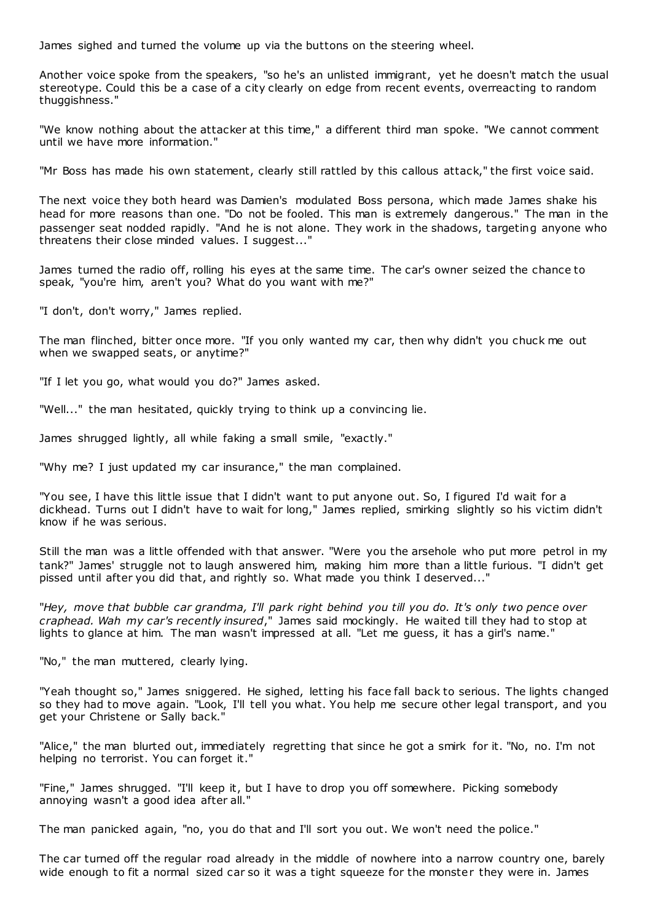James sighed and turned the volume up via the buttons on the steering wheel.

Another voice spoke from the speakers, "so he's an unlisted immigrant, yet he doesn't match the usual stereotype. Could this be a case of a city clearly on edge from recent events, overreacting to random thuggishness."

"We know nothing about the attacker at this time," a different third man spoke. "We cannot comment until we have more information."

"Mr Boss has made his own statement, clearly still rattled by this callous attack," the first voice said.

The next voice they both heard was Damien's modulated Boss persona, which made James shake his head for more reasons than one. "Do not be fooled. This man is extremely dangerous." The man in the passenger seat nodded rapidly. "And he is not alone. They work in the shadows, targeting anyone who threatens their close minded values. I suggest..."

James turned the radio off, rolling his eyes at the same time. The car's owner seized the chance to speak, "you're him, aren't you? What do you want with me?"

"I don't, don't worry," James replied.

The man flinched, bitter once more. "If you only wanted my car, then why didn't you chuck me out when we swapped seats, or anytime?"

"If I let you go, what would you do?" James asked.

"Well..." the man hesitated, quickly trying to think up a convincing lie.

James shrugged lightly, all while faking a small smile, "exactly."

"Why me? I just updated my car insurance," the man complained.

"You see, I have this little issue that I didn't want to put anyone out. So, I figured I'd wait for a dickhead. Turns out I didn't have to wait for long," James replied, smirking slightly so his victim didn't know if he was serious.

Still the man was a little offended with that answer. "Were you the arsehole who put more petrol in my tank?" James' struggle not to laugh answered him, making him more than a little furious. "I didn't get pissed until after you did that, and rightly so. What made you think I deserved..."

"*Hey, move that bubble car grandma, I'll park right behind you till you do. It's only two pence over craphead. Wah my car's recently insured*," James said mockingly. He waited till they had to stop at lights to glance at him. The man wasn't impressed at all. "Let me guess, it has a girl's name."

"No," the man muttered, clearly lying.

"Yeah thought so," James sniggered. He sighed, letting his face fall back to serious. The lights changed so they had to move again. "Look, I'll tell you what. You help me secure other legal transport, and you get your Christene or Sally back."

"Alice," the man blurted out, immediately regretting that since he got a smirk for it. "No, no. I'm not helping no terrorist. You can forget it."

"Fine," James shrugged. "I'll keep it, but I have to drop you off somewhere. Picking somebody annoying wasn't a good idea after all."

The man panicked again, "no, you do that and I'll sort you out. We won't need the police."

The car turned off the regular road already in the middle of nowhere into a narrow country one, barely wide enough to fit a normal sized car so it was a tight squeeze for the monster they were in. James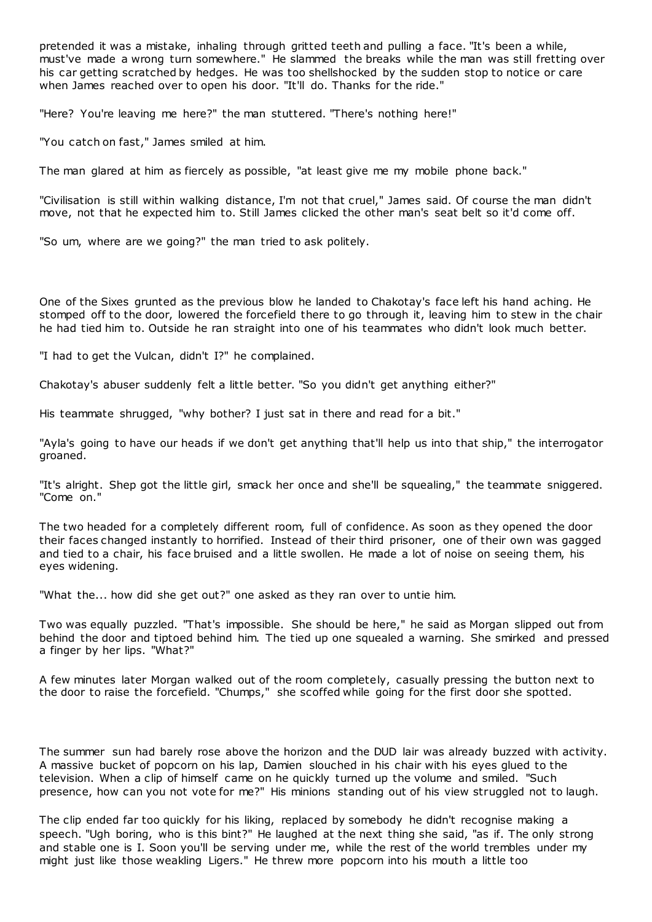pretended it was a mistake, inhaling through gritted teeth and pulling a face. "It's been a while, must've made a wrong turn somewhere." He slammed the breaks while the man was still fretting over his car getting scratched by hedges. He was too shellshocked by the sudden stop to notice or care when James reached over to open his door. "It'll do. Thanks for the ride."

"Here? You're leaving me here?" the man stuttered. "There's nothing here!"

"You catch on fast," James smiled at him.

The man glared at him as fiercely as possible, "at least give me my mobile phone back."

"Civilisation is still within walking distance, I'm not that cruel," James said. Of course the man didn't move, not that he expected him to. Still James clicked the other man's seat belt so it'd come off.

"So um, where are we going?" the man tried to ask politely.

One of the Sixes grunted as the previous blow he landed to Chakotay's face left his hand aching. He stomped off to the door, lowered the forcefield there to go through it, leaving him to stew in the chair he had tied him to. Outside he ran straight into one of his teammates who didn't look much better.

"I had to get the Vulcan, didn't I?" he complained.

Chakotay's abuser suddenly felt a little better. "So you didn't get anything either?"

His teammate shrugged, "why bother? I just sat in there and read for a bit."

"Ayla's going to have our heads if we don't get anything that'll help us into that ship," the interrogator groaned.

"It's alright. Shep got the little girl, smack her once and she'll be squealing," the teammate sniggered. "Come on."

The two headed for a completely different room, full of confidence. As soon as they opened the door their faces changed instantly to horrified. Instead of their third prisoner, one of their own was gagged and tied to a chair, his face bruised and a little swollen. He made a lot of noise on seeing them, his eyes widening.

"What the... how did she get out?" one asked as they ran over to untie him.

Two was equally puzzled. "That's impossible. She should be here," he said as Morgan slipped out from behind the door and tiptoed behind him. The tied up one squealed a warning. She smirked and pressed a finger by her lips. "What?"

A few minutes later Morgan walked out of the room completely, casually pressing the button next to the door to raise the forcefield. "Chumps," she scoffed while going for the first door she spotted.

The summer sun had barely rose above the horizon and the DUD lair was already buzzed with activity. A massive bucket of popcorn on his lap, Damien slouched in his chair with his eyes glued to the television. When a clip of himself came on he quickly turned up the volume and smiled. "Such presence, how can you not vote for me?" His minions standing out of his view struggled not to laugh.

The clip ended far too quickly for his liking, replaced by somebody he didn't recognise making a speech. "Ugh boring, who is this bint?" He laughed at the next thing she said, "as if. The only strong and stable one is I. Soon you'll be serving under me, while the rest of the world trembles under my might just like those weakling Ligers." He threw more popcorn into his mouth a little too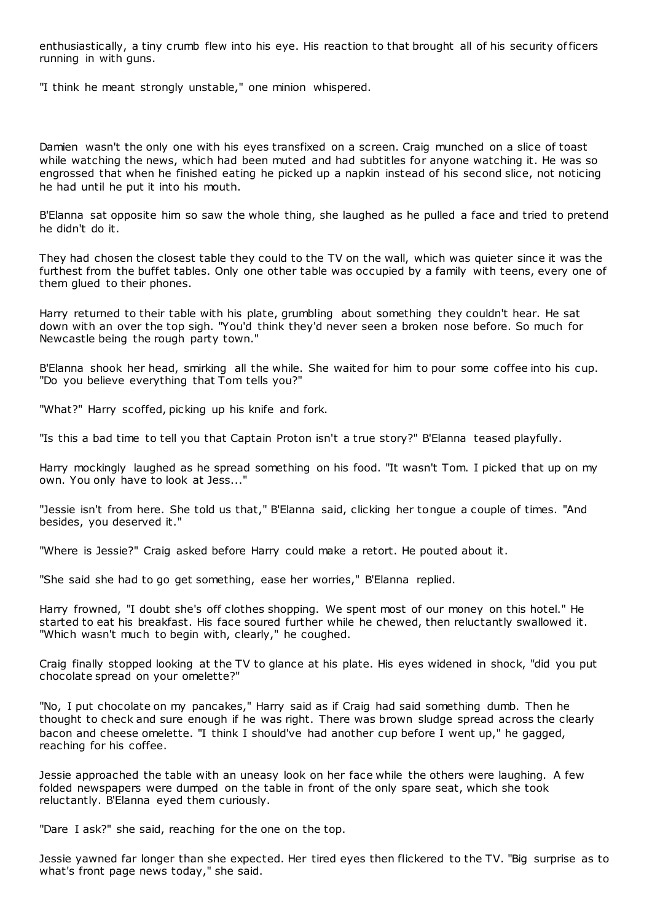enthusiastically, a tiny crumb flew into his eye. His reaction to that brought all of his security officers running in with guns.

"I think he meant strongly unstable," one minion whispered.

Damien wasn't the only one with his eyes transfixed on a screen. Craig munched on a slice of toast while watching the news, which had been muted and had subtitles for anyone watching it. He was so engrossed that when he finished eating he picked up a napkin instead of his second slice, not noticing he had until he put it into his mouth.

B'Elanna sat opposite him so saw the whole thing, she laughed as he pulled a face and tried to pretend he didn't do it.

They had chosen the closest table they could to the TV on the wall, which was quieter since it was the furthest from the buffet tables. Only one other table was occupied by a family with teens, every one of them glued to their phones.

Harry returned to their table with his plate, grumbling about something they couldn't hear. He sat down with an over the top sigh. "You'd think they'd never seen a broken nose before. So much for Newcastle being the rough party town."

B'Elanna shook her head, smirking all the while. She waited for him to pour some coffee into his cup. "Do you believe everything that Tom tells you?"

"What?" Harry scoffed, picking up his knife and fork.

"Is this a bad time to tell you that Captain Proton isn't a true story?" B'Elanna teased playfully.

Harry mockingly laughed as he spread something on his food. "It wasn't Tom. I picked that up on my own. You only have to look at Jess..."

"Jessie isn't from here. She told us that," B'Elanna said, clicking her tongue a couple of times. "And besides, you deserved it."

"Where is Jessie?" Craig asked before Harry could make a retort. He pouted about it.

"She said she had to go get something, ease her worries," B'Elanna replied.

Harry frowned, "I doubt she's off clothes shopping. We spent most of our money on this hotel." He started to eat his breakfast. His face soured further while he chewed, then reluctantly swallowed it. "Which wasn't much to begin with, clearly," he coughed.

Craig finally stopped looking at the TV to glance at his plate. His eyes widened in shock, "did you put chocolate spread on your omelette?"

"No, I put chocolate on my pancakes," Harry said as if Craig had said something dumb. Then he thought to check and sure enough if he was right. There was brown sludge spread across the clearly bacon and cheese omelette. "I think I should've had another cup before I went up," he gagged, reaching for his coffee.

Jessie approached the table with an uneasy look on her face while the others were laughing. A few folded newspapers were dumped on the table in front of the only spare seat, which she took reluctantly. B'Elanna eyed them curiously.

"Dare I ask?" she said, reaching for the one on the top.

Jessie yawned far longer than she expected. Her tired eyes then flickered to the TV. "Big surprise as to what's front page news today," she said.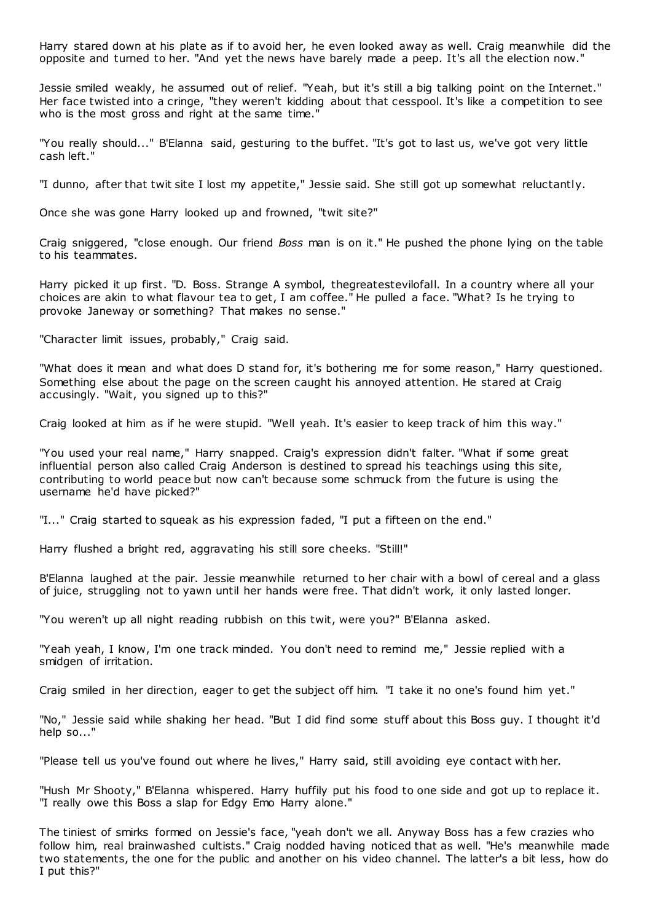Harry stared down at his plate as if to avoid her, he even looked away as well. Craig meanwhile did the opposite and turned to her. "And yet the news have barely made a peep. It's all the election now."

Jessie smiled weakly, he assumed out of relief. "Yeah, but it's still a big talking point on the Internet." Her face twisted into a cringe, "they weren't kidding about that cesspool. It's like a competition to see who is the most gross and right at the same time."

"You really should..." B'Elanna said, gesturing to the buffet. "It's got to last us, we've got very little cash left."

"I dunno, after that twit site I lost my appetite," Jessie said. She still got up somewhat reluctantly.

Once she was gone Harry looked up and frowned, "twit site?"

Craig sniggered, "close enough. Our friend *Boss* man is on it." He pushed the phone lying on the table to his teammates.

Harry picked it up first. "D. Boss. Strange A symbol, thegreatestevilofall. In a country where all your choices are akin to what flavour tea to get, I am coffee." He pulled a face. "What? Is he trying to provoke Janeway or something? That makes no sense."

"Character limit issues, probably," Craig said.

"What does it mean and what does D stand for, it's bothering me for some reason," Harry questioned. Something else about the page on the screen caught his annoyed attention. He stared at Craig accusingly. "Wait, you signed up to this?"

Craig looked at him as if he were stupid. "Well yeah. It's easier to keep track of him this way."

"You used your real name," Harry snapped. Craig's expression didn't falter. "What if some great influential person also called Craig Anderson is destined to spread his teachings using this site, contributing to world peace but now can't because some schmuck from the future is using the username he'd have picked?"

"I..." Craig started to squeak as his expression faded, "I put a fifteen on the end."

Harry flushed a bright red, aggravating his still sore cheeks. "Still!"

B'Elanna laughed at the pair. Jessie meanwhile returned to her chair with a bowl of cereal and a glass of juice, struggling not to yawn until her hands were free. That didn't work, it only lasted longer.

"You weren't up all night reading rubbish on this twit, were you?" B'Elanna asked.

"Yeah yeah, I know, I'm one track minded. You don't need to remind me," Jessie replied with a smidgen of irritation.

Craig smiled in her direction, eager to get the subject off him. "I take it no one's found him yet."

"No," Jessie said while shaking her head. "But I did find some stuff about this Boss guy. I thought it'd help so..."

"Please tell us you've found out where he lives," Harry said, still avoiding eye contact with her.

"Hush Mr Shooty," B'Elanna whispered. Harry huffily put his food to one side and got up to replace it. "I really owe this Boss a slap for Edgy Emo Harry alone."

The tiniest of smirks formed on Jessie's face, "yeah don't we all. Anyway Boss has a few crazies who follow him, real brainwashed cultists." Craig nodded having noticed that as well. "He's meanwhile made two statements, the one for the public and another on his video channel. The latter's a bit less, how do I put this?"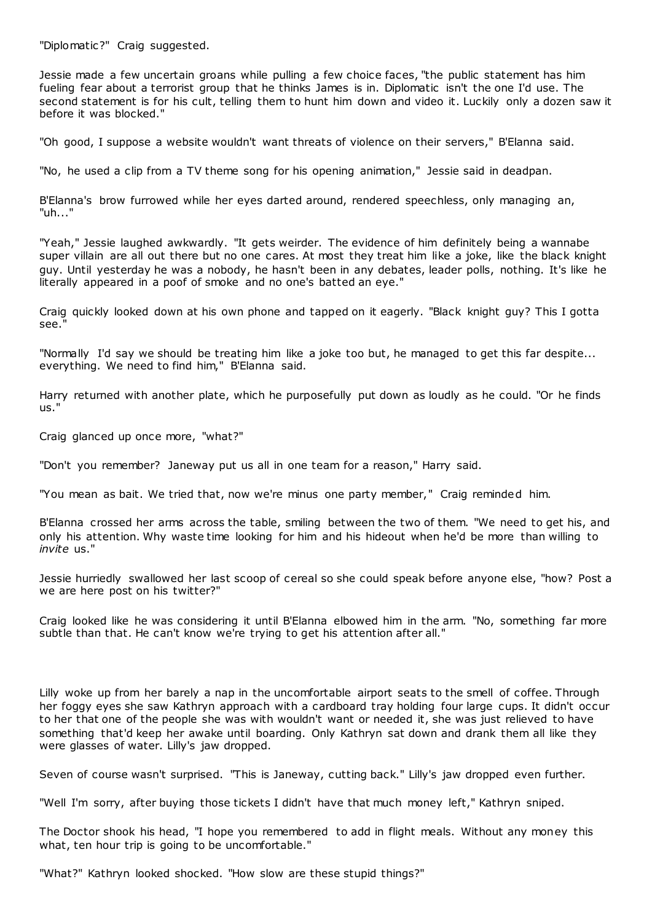"Diplomatic?" Craig suggested.

Jessie made a few uncertain groans while pulling a few choice faces, "the public statement has him fueling fear about a terrorist group that he thinks James is in. Diplomatic isn't the one I'd use. The second statement is for his cult, telling them to hunt him down and video it. Luckily only a dozen saw it before it was blocked."

"Oh good, I suppose a website wouldn't want threats of violence on their servers," B'Elanna said.

"No, he used a clip from a TV theme song for his opening animation," Jessie said in deadpan.

B'Elanna's brow furrowed while her eyes darted around, rendered speechless, only managing an, "uh..."

"Yeah," Jessie laughed awkwardly. "It gets weirder. The evidence of him definitely being a wannabe super villain are all out there but no one cares. At most they treat him like a joke, like the black knight guy. Until yesterday he was a nobody, he hasn't been in any debates, leader polls, nothing. It's like he literally appeared in a poof of smoke and no one's batted an eye."

Craig quickly looked down at his own phone and tapped on it eagerly. "Black knight guy? This I gotta see."

"Normally I'd say we should be treating him like a joke too but, he managed to get this far despite... everything. We need to find him," B'Elanna said.

Harry returned with another plate, which he purposefully put down as loudly as he could. "Or he finds us."

Craig glanced up once more, "what?"

"Don't you remember? Janeway put us all in one team for a reason," Harry said.

"You mean as bait. We tried that, now we're minus one party member," Craig reminded him.

B'Elanna crossed her arms across the table, smiling between the two of them. "We need to get his, and only his attention. Why waste time looking for him and his hideout when he'd be more than willing to *invite* us."

Jessie hurriedly swallowed her last scoop of cereal so she could speak before anyone else, "how? Post a we are here post on his twitter?"

Craig looked like he was considering it until B'Elanna elbowed him in the arm. "No, something far more subtle than that. He can't know we're trying to get his attention after all."

Lilly woke up from her barely a nap in the uncomfortable airport seats to the smell of coffee. Through her foggy eyes she saw Kathryn approach with a cardboard tray holding four large cups. It didn't occur to her that one of the people she was with wouldn't want or needed it, she was just relieved to have something that'd keep her awake until boarding. Only Kathryn sat down and drank them all like they were glasses of water. Lilly's jaw dropped.

Seven of course wasn't surprised. "This is Janeway, cutting back." Lilly's jaw dropped even further.

"Well I'm sorry, after buying those tickets I didn't have that much money left," Kathryn sniped.

The Doctor shook his head, "I hope you remembered to add in flight meals. Without any money this what, ten hour trip is going to be uncomfortable."

"What?" Kathryn looked shocked. "How slow are these stupid things?"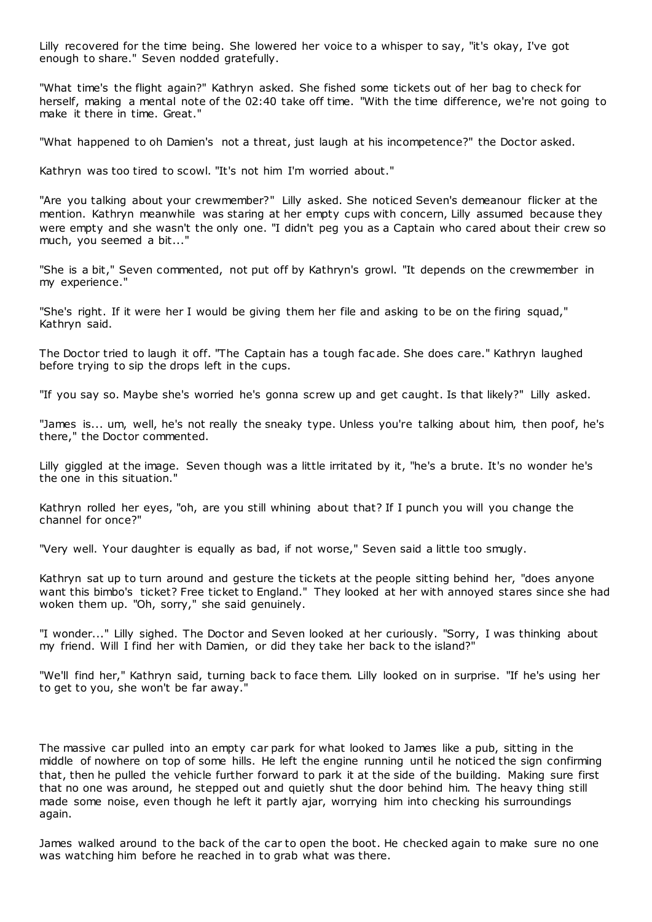Lilly recovered for the time being. She lowered her voice to a whisper to say, "it's okay, I've got enough to share." Seven nodded gratefully.

"What time's the flight again?" Kathryn asked. She fished some tickets out of her bag to check for herself, making a mental note of the 02:40 take off time. "With the time difference, we're not going to make it there in time. Great."

"What happened to oh Damien's not a threat, just laugh at his incompetence?" the Doctor asked.

Kathryn was too tired to scowl. "It's not him I'm worried about."

"Are you talking about your crewmember?" Lilly asked. She noticed Seven's demeanour flicker at the mention. Kathryn meanwhile was staring at her empty cups with concern, Lilly assumed because they were empty and she wasn't the only one. "I didn't peg you as a Captain who cared about their crew so much, you seemed a bit..."

"She is a bit," Seven commented, not put off by Kathryn's growl. "It depends on the crewmember in my experience."

"She's right. If it were her I would be giving them her file and asking to be on the firing squad," Kathryn said.

The Doctor tried to laugh it off. "The Captain has a tough fac ade. She does care." Kathryn laughed before trying to sip the drops left in the cups.

"If you say so. Maybe she's worried he's gonna screw up and get caught. Is that likely?" Lilly asked.

"James is... um, well, he's not really the sneaky type. Unless you're talking about him, then poof, he's there," the Doctor commented.

Lilly giggled at the image. Seven though was a little irritated by it, "he's a brute. It's no wonder he's the one in this situation."

Kathryn rolled her eyes, "oh, are you still whining about that? If I punch you will you change the channel for once?"

"Very well. Your daughter is equally as bad, if not worse," Seven said a little too smugly.

Kathryn sat up to turn around and gesture the tickets at the people sitting behind her, "does anyone want this bimbo's ticket? Free ticket to England." They looked at her with annoyed stares since she had woken them up. "Oh, sorry," she said genuinely.

"I wonder..." Lilly sighed. The Doctor and Seven looked at her curiously. "Sorry, I was thinking about my friend. Will I find her with Damien, or did they take her back to the island?"

"We'll find her," Kathryn said, turning back to face them. Lilly looked on in surprise. "If he's using her to get to you, she won't be far away."

The massive car pulled into an empty car park for what looked to James like a pub, sitting in the middle of nowhere on top of some hills. He left the engine running until he noticed the sign confirming that, then he pulled the vehicle further forward to park it at the side of the building. Making sure first that no one was around, he stepped out and quietly shut the door behind him. The heavy thing still made some noise, even though he left it partly ajar, worrying him into checking his surroundings again.

James walked around to the back of the car to open the boot. He checked again to make sure no one was watching him before he reached in to grab what was there.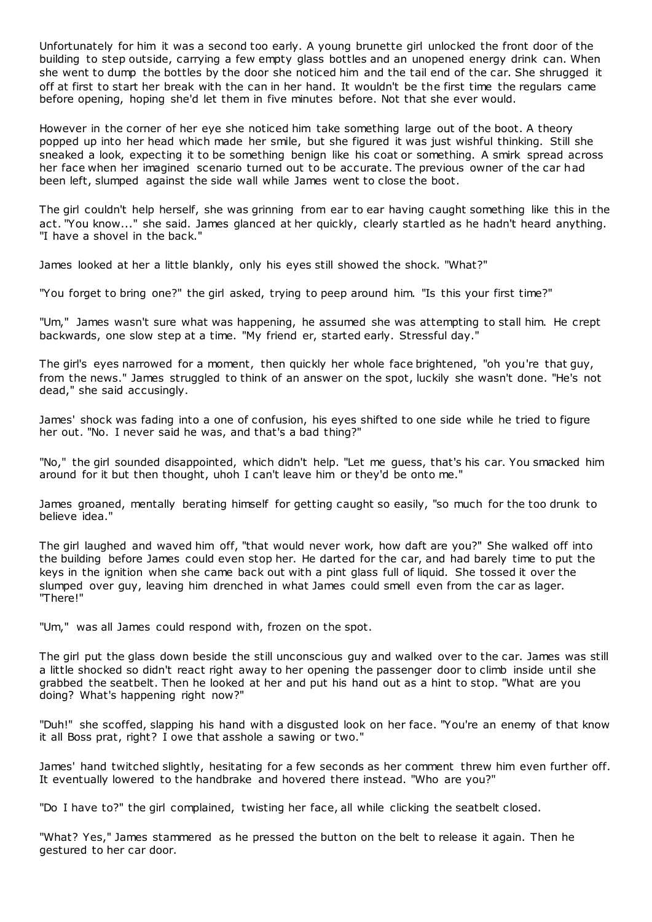Unfortunately for him it was a second too early. A young brunette girl unlocked the front door of the building to step outside, carrying a few empty glass bottles and an unopened energy drink can. When she went to dump the bottles by the door she noticed him and the tail end of the car. She shrugged it off at first to start her break with the can in her hand. It wouldn't be the first time the regulars came before opening, hoping she'd let them in five minutes before. Not that she ever would.

However in the corner of her eye she noticed him take something large out of the boot. A theory popped up into her head which made her smile, but she figured it was just wishful thinking. Still she sneaked a look, expecting it to be something benign like his coat or something. A smirk spread across her face when her imagined scenario turned out to be accurate. The previous owner of the car had been left, slumped against the side wall while James went to close the boot.

The girl couldn't help herself, she was grinning from ear to ear having caught something like this in the act. "You know..." she said. James glanced at her quickly, clearly startled as he hadn't heard anything. "I have a shovel in the back."

James looked at her a little blankly, only his eyes still showed the shock. "What?"

"You forget to bring one?" the girl asked, trying to peep around him. "Is this your first time?"

"Um," James wasn't sure what was happening, he assumed she was attempting to stall him. He crept backwards, one slow step at a time. "My friend er, started early. Stressful day."

The girl's eyes narrowed for a moment, then quickly her whole face brightened, "oh you're that guy, from the news." James struggled to think of an answer on the spot, luckily she wasn't done. "He's not dead," she said accusingly.

James' shock was fading into a one of confusion, his eyes shifted to one side while he tried to figure her out. "No. I never said he was, and that's a bad thing?"

"No," the girl sounded disappointed, which didn't help. "Let me guess, that's his car. You smacked him around for it but then thought, uhoh I can't leave him or they'd be onto me."

James groaned, mentally berating himself for getting caught so easily, "so much for the too drunk to believe idea."

The girl laughed and waved him off, "that would never work, how daft are you?" She walked off into the building before James could even stop her. He darted for the car, and had barely time to put the keys in the ignition when she came back out with a pint glass full of liquid. She tossed it over the slumped over guy, leaving him drenched in what James could smell even from the car as lager. "There!"

"Um," was all James could respond with, frozen on the spot.

The girl put the glass down beside the still unconscious guy and walked over to the car. James was still a little shocked so didn't react right away to her opening the passenger door to climb inside until she grabbed the seatbelt. Then he looked at her and put his hand out as a hint to stop. "What are you doing? What's happening right now?"

"Duh!" she scoffed, slapping his hand with a disgusted look on her face. "You're an enemy of that know it all Boss prat, right? I owe that asshole a sawing or two."

James' hand twitched slightly, hesitating for a few seconds as her comment threw him even further off. It eventually lowered to the handbrake and hovered there instead. "Who are you?"

"Do I have to?" the girl complained, twisting her face, all while clicking the seatbelt closed.

"What? Yes," James stammered as he pressed the button on the belt to release it again. Then he gestured to her car door.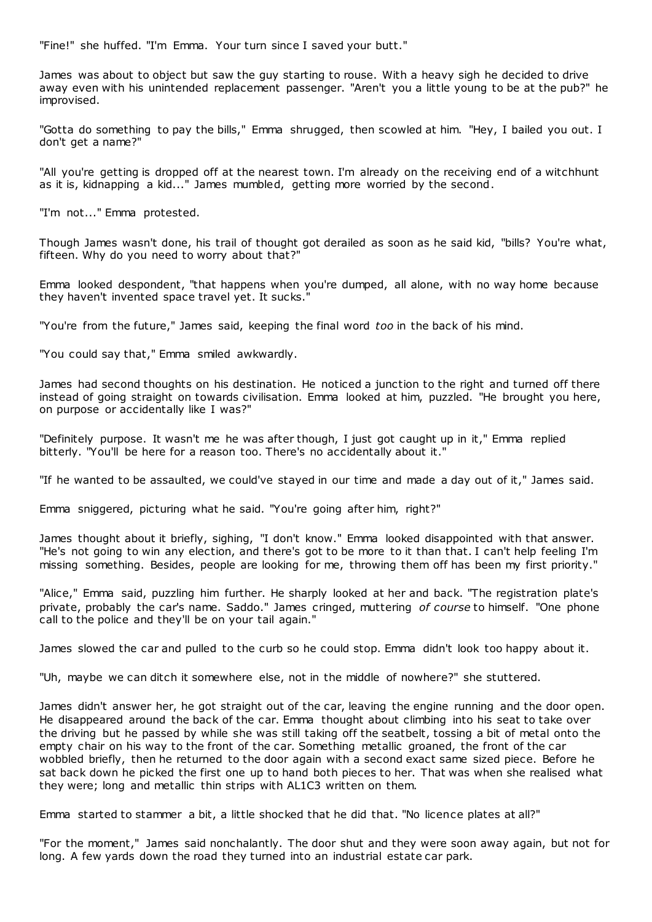"Fine!" she huffed. "I'm Emma. Your turn since I saved your butt."

James was about to object but saw the guy starting to rouse. With a heavy sigh he decided to drive away even with his unintended replacement passenger. "Aren't you a little young to be at the pub?" he improvised.

"Gotta do something to pay the bills," Emma shrugged, then scowled at him. "Hey, I bailed you out. I don't get a name?"

"All you're getting is dropped off at the nearest town. I'm already on the receiving end of a witchhunt as it is, kidnapping a kid..." James mumbled, getting more worried by the second.

"I'm not..." Emma protested.

Though James wasn't done, his trail of thought got derailed as soon as he said kid, "bills? You're what, fifteen. Why do you need to worry about that?"

Emma looked despondent, "that happens when you're dumped, all alone, with no way home because they haven't invented space travel yet. It sucks."

"You're from the future," James said, keeping the final word *too* in the back of his mind.

"You could say that," Emma smiled awkwardly.

James had second thoughts on his destination. He noticed a junction to the right and turned off there instead of going straight on towards civilisation. Emma looked at him, puzzled. "He brought you here, on purpose or accidentally like I was?"

"Definitely purpose. It wasn't me he was after though, I just got caught up in it," Emma replied bitterly. "You'll be here for a reason too. There's no accidentally about it."

"If he wanted to be assaulted, we could've stayed in our time and made a day out of it," James said.

Emma sniggered, picturing what he said. "You're going after him, right?"

James thought about it briefly, sighing, "I don't know." Emma looked disappointed with that answer. "He's not going to win any election, and there's got to be more to it than that. I can't help feeling I'm missing something. Besides, people are looking for me, throwing them off has been my first priority."

"Alice," Emma said, puzzling him further. He sharply looked at her and back. "The registration plate's private, probably the car's name. Saddo." James cringed, muttering *of course* to himself. "One phone call to the police and they'll be on your tail again."

James slowed the car and pulled to the curb so he could stop. Emma didn't look too happy about it.

"Uh, maybe we can ditch it somewhere else, not in the middle of nowhere?" she stuttered.

James didn't answer her, he got straight out of the car, leaving the engine running and the door open. He disappeared around the back of the car. Emma thought about climbing into his seat to take over the driving but he passed by while she was still taking off the seatbelt, tossing a bit of metal onto the empty chair on his way to the front of the car. Something metallic groaned, the front of the car wobbled briefly, then he returned to the door again with a second exact same sized piece. Before he sat back down he picked the first one up to hand both pieces to her. That was when she realised what they were; long and metallic thin strips with AL1C3 written on them.

Emma started to stammer a bit, a little shocked that he did that. "No licence plates at all?"

"For the moment," James said nonchalantly. The door shut and they were soon away again, but not for long. A few yards down the road they turned into an industrial estate car park.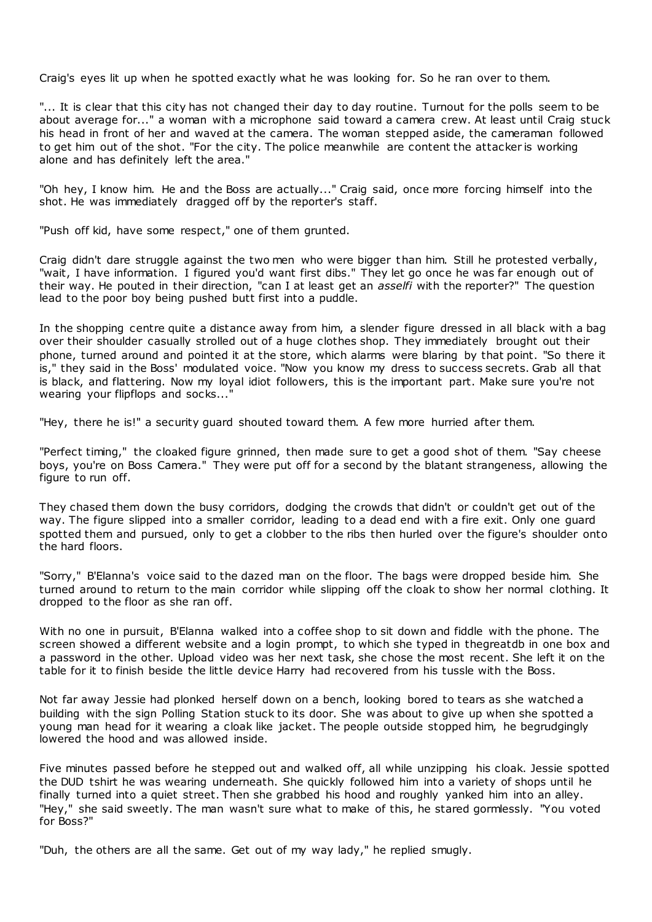Craig's eyes lit up when he spotted exactly what he was looking for. So he ran over to them.

"... It is clear that this city has not changed their day to day routine. Turnout for the polls seem to be about average for..." a woman with a microphone said toward a camera crew. At least until Craig stuck his head in front of her and waved at the camera. The woman stepped aside, the cameraman followed to get him out of the shot. "For the city. The police meanwhile are content the attacker is working alone and has definitely left the area."

"Oh hey, I know him. He and the Boss are actually..." Craig said, once more forcing himself into the shot. He was immediately dragged off by the reporter's staff.

"Push off kid, have some respect," one of them grunted.

Craig didn't dare struggle against the two men who were bigger than him. Still he protested verbally, "wait, I have information. I figured you'd want first dibs." They let go once he was far enough out of their way. He pouted in their direction, "can I at least get an *asselfi* with the reporter?" The question lead to the poor boy being pushed butt first into a puddle.

In the shopping centre quite a distance away from him, a slender figure dressed in all black with a bag over their shoulder casually strolled out of a huge clothes shop. They immediately brought out their phone, turned around and pointed it at the store, which alarms were blaring by that point. "So there it is," they said in the Boss' modulated voice. "Now you know my dress to success secrets. Grab all that is black, and flattering. Now my loyal idiot followers, this is the important part. Make sure you're not wearing your flipflops and socks...

"Hey, there he is!" a security guard shouted toward them. A few more hurried after them.

"Perfect timing," the cloaked figure grinned, then made sure to get a good shot of them. "Say cheese boys, you're on Boss Camera." They were put off for a second by the blatant strangeness, allowing the figure to run off.

They chased them down the busy corridors, dodging the crowds that didn't or couldn't get out of the way. The figure slipped into a smaller corridor, leading to a dead end with a fire exit. Only one guard spotted them and pursued, only to get a clobber to the ribs then hurled over the figure's shoulder onto the hard floors.

"Sorry," B'Elanna's voice said to the dazed man on the floor. The bags were dropped beside him. She turned around to return to the main corridor while slipping off the cloak to show her normal clothing. It dropped to the floor as she ran off.

With no one in pursuit, B'Elanna walked into a coffee shop to sit down and fiddle with the phone. The screen showed a different website and a login prompt, to which she typed in thegreatdb in one box and a password in the other. Upload video was her next task, she chose the most recent. She left it on the table for it to finish beside the little device Harry had recovered from his tussle with the Boss.

Not far away Jessie had plonked herself down on a bench, looking bored to tears as she watched a building with the sign Polling Station stuck to its door. She was about to give up when she spotted a young man head for it wearing a cloak like jacket. The people outside stopped him, he begrudgingly lowered the hood and was allowed inside.

Five minutes passed before he stepped out and walked off, all while unzipping his cloak. Jessie spotted the DUD tshirt he was wearing underneath. She quickly followed him into a variety of shops until he finally turned into a quiet street. Then she grabbed his hood and roughly yanked him into an alley. "Hey," she said sweetly. The man wasn't sure what to make of this, he stared gormlessly. "You voted for Boss?"

"Duh, the others are all the same. Get out of my way lady," he replied smugly.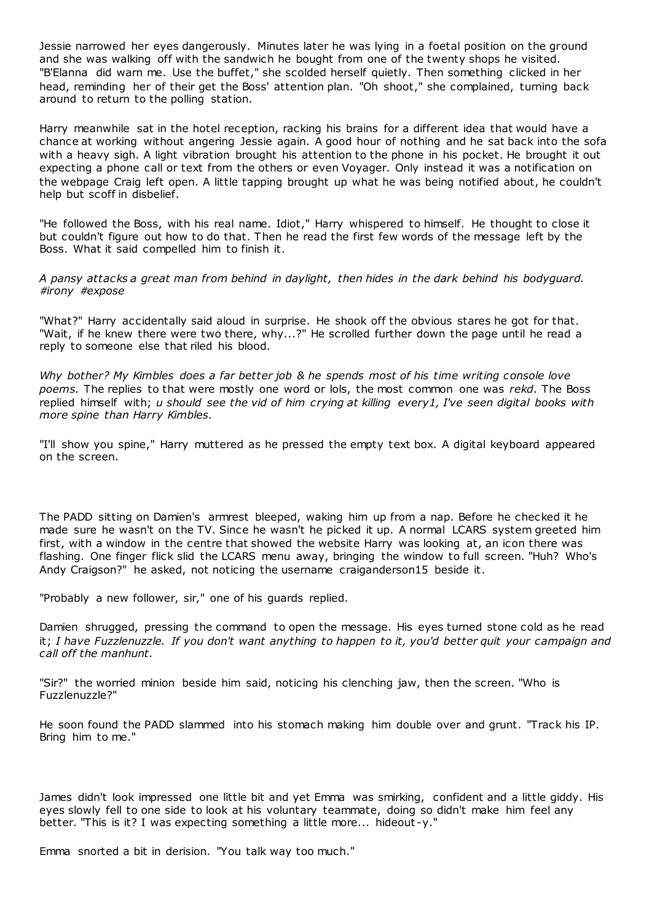Jessie narrowed her eyes dangerously. Minutes later he was lying in a foetal position on the ground and she was walking off with the sandwich he bought from one of the twenty shops he visited. "B'Elanna did warn me. Use the buffet," she scolded herself quietly. Then something clicked in her head, reminding her of their get the Boss' attention plan. "Oh shoot," she complained, turning back around to return to the polling station.

Harry meanwhile sat in the hotel reception, racking his brains for a different idea that would have a chance at working without angering Jessie again. A good hour of nothing and he sat back into the sofa with a heavy sigh. A light vibration brought his attention to the phone in his pocket. He brought it out expecting a phone call or text from the others or even Voyager. Only instead it was a notification on the webpage Craig left open. A little tapping brought up what he was being notified about, he couldn't help but scoff in disbelief.

"He followed the Boss, with his real name. Idiot," Harry whispered to himself. He thought to close it but couldn't figure out how to do that. Then he read the first few words of the message left by the Boss. What it said compelled him to finish it.

*A pansy attacks a great man from behind in daylight, then hides in the dark behind his bodyguard. #irony #expose*

"What?" Harry accidentally said aloud in surprise. He shook off the obvious stares he got for that. "Wait, if he knew there were two there, why...?" He scrolled further down the page until he read a reply to someone else that riled his blood.

*Why bother? My Kimbles does a far better job & he spends most of his time writing console love poems.* The replies to that were mostly one word or lols, the most common one was *rekd*. The Boss replied himself with; *u should see the vid of him crying at killing every1, I've seen digital books with more spine than Harry Kimbles.*

"I'll show you spine," Harry muttered as he pressed the empty text box. A digital keyboard appeared on the screen.

The PADD sitting on Damien's armrest bleeped, waking him up from a nap. Before he checked it he made sure he wasn't on the TV. Since he wasn't he picked it up. A normal LCARS system greeted him first, with a window in the centre that showed the website Harry was looking at, an icon there was flashing. One finger flick slid the LCARS menu away, bringing the window to full screen. "Huh? Who's Andy Craigson?" he asked, not noticing the username craiganderson15 beside it.

"Probably a new follower, sir," one of his guards replied.

Damien shrugged, pressing the command to open the message. His eyes turned stone cold as he read it; *I have Fuzzlenuzzle. If you don't want anything to happen to it, you'd better quit your campaign and call off the manhunt.*

"Sir?" the worried minion beside him said, noticing his clenching jaw, then the screen. "Who is Fuzzlenuzzle?"

He soon found the PADD slammed into his stomach making him double over and grunt. "Track his IP. Bring him to me."

James didn't look impressed one little bit and yet Emma was smirking, confident and a little giddy. His eyes slowly fell to one side to look at his voluntary teammate, doing so didn't make him feel any better. "This is it? I was expecting something a little more... hideout -y."

Emma snorted a bit in derision. "You talk way too much."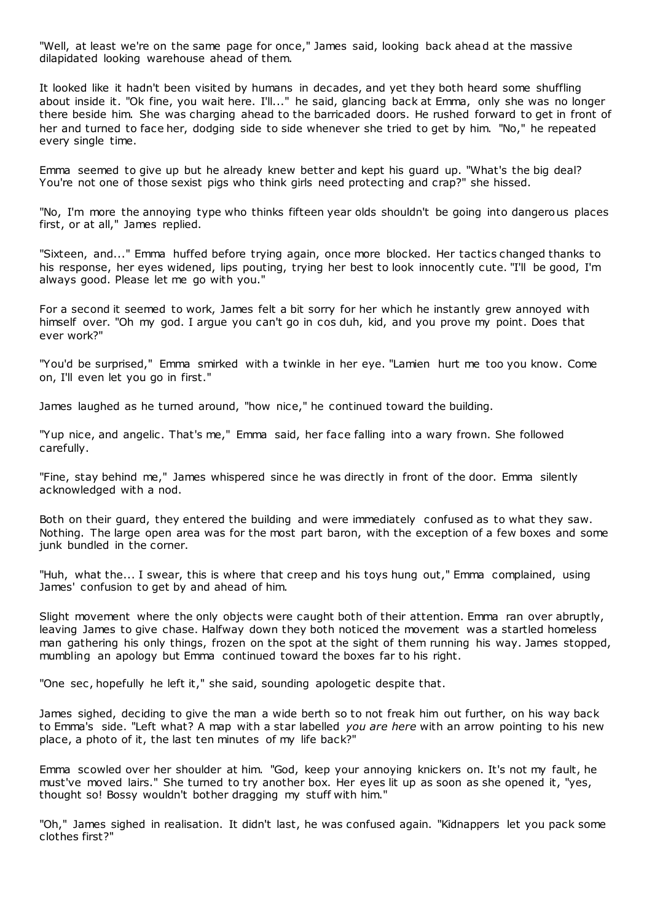"Well, at least we're on the same page for once," James said, looking back ahead at the massive dilapidated looking warehouse ahead of them.

It looked like it hadn't been visited by humans in decades, and yet they both heard some shuffling about inside it. "Ok fine, you wait here. I'll..." he said, glancing back at Emma, only she was no longer there beside him. She was charging ahead to the barricaded doors. He rushed forward to get in front of her and turned to face her, dodging side to side whenever she tried to get by him. "No," he repeated every single time.

Emma seemed to give up but he already knew better and kept his guard up. "What's the big deal? You're not one of those sexist pigs who think girls need protecting and crap?" she hissed.

"No, I'm more the annoying type who thinks fifteen year olds shouldn't be going into dangerous places first, or at all," James replied.

"Sixteen, and..." Emma huffed before trying again, once more blocked. Her tactics changed thanks to his response, her eyes widened, lips pouting, trying her best to look innocently cute. "I'll be good, I'm always good. Please let me go with you."

For a second it seemed to work, James felt a bit sorry for her which he instantly grew annoyed with himself over. "Oh my god. I argue you can't go in cos duh, kid, and you prove my point. Does that ever work?"

"You'd be surprised," Emma smirked with a twinkle in her eye. "Lamien hurt me too you know. Come on, I'll even let you go in first."

James laughed as he turned around, "how nice," he continued toward the building.

"Yup nice, and angelic . That's me," Emma said, her face falling into a wary frown. She followed carefully.

"Fine, stay behind me," James whispered since he was directly in front of the door. Emma silently acknowledged with a nod.

Both on their guard, they entered the building and were immediately confused as to what they saw. Nothing. The large open area was for the most part baron, with the exception of a few boxes and some junk bundled in the corner.

"Huh, what the... I swear, this is where that creep and his toys hung out," Emma complained, using James' confusion to get by and ahead of him.

Slight movement where the only objects were caught both of their attention. Emma ran over abruptly, leaving James to give chase. Halfway down they both noticed the movement was a startled homeless man gathering his only things, frozen on the spot at the sight of them running his way. James stopped, mumbling an apology but Emma continued toward the boxes far to his right.

"One sec, hopefully he left it," she said, sounding apologetic despite that.

James sighed, deciding to give the man a wide berth so to not freak him out further, on his way back to Emma's side. "Left what? A map with a star labelled *you are here* with an arrow pointing to his new place, a photo of it, the last ten minutes of my life back?"

Emma scowled over her shoulder at him. "God, keep your annoying knickers on. It's not my fault, he must've moved lairs." She turned to try another box. Her eyes lit up as soon as she opened it, "yes, thought so! Bossy wouldn't bother dragging my stuff with him."

"Oh," James sighed in realisation. It didn't last, he was confused again. "Kidnappers let you pack some clothes first?"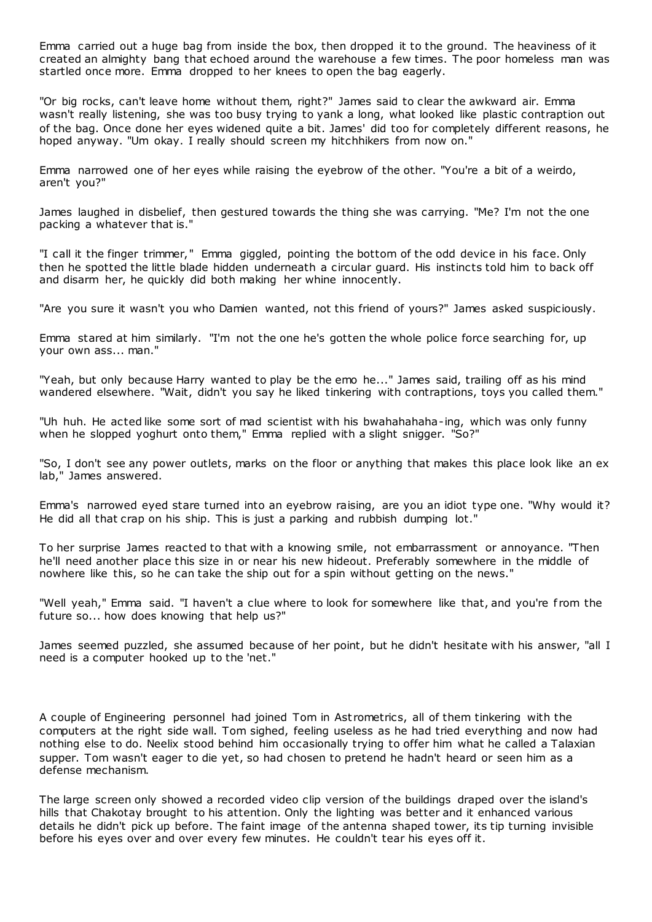Emma carried out a huge bag from inside the box, then dropped it to the ground. The heaviness of it created an almighty bang that echoed around the warehouse a few times. The poor homeless man was startled once more. Emma dropped to her knees to open the bag eagerly.

"Or big rocks, can't leave home without them, right?" James said to clear the awkward air. Emma wasn't really listening, she was too busy trying to yank a long, what looked like plastic contraption out of the bag. Once done her eyes widened quite a bit. James' did too for completely different reasons, he hoped anyway. "Um okay. I really should screen my hitchhikers from now on."

Emma narrowed one of her eyes while raising the eyebrow of the other. "You're a bit of a weirdo, aren't you?"

James laughed in disbelief, then gestured towards the thing she was carrying. "Me? I'm not the one packing a whatever that is."

"I call it the finger trimmer," Emma giggled, pointing the bottom of the odd device in his face. Only then he spotted the little blade hidden underneath a circular guard. His instincts told him to back off and disarm her, he quickly did both making her whine innocently.

"Are you sure it wasn't you who Damien wanted, not this friend of yours?" James asked suspiciously.

Emma stared at him similarly. "I'm not the one he's gotten the whole police force searching for, up your own ass... man."

"Yeah, but only because Harry wanted to play be the emo he..." James said, trailing off as his mind wandered elsewhere. "Wait, didn't you say he liked tinkering with contraptions, toys you called them."

"Uh huh. He acted like some sort of mad scientist with his bwahahahaha-ing, which was only funny when he slopped yoghurt onto them," Emma replied with a slight snigger. "So?"

"So, I don't see any power outlets, marks on the floor or anything that makes this place look like an ex lab," James answered.

Emma's narrowed eyed stare turned into an eyebrow raising, are you an idiot type one. "Why would it? He did all that crap on his ship. This is just a parking and rubbish dumping lot."

To her surprise James reacted to that with a knowing smile, not embarrassment or annoyance. "Then he'll need another place this size in or near his new hideout. Preferably somewhere in the middle of nowhere like this, so he can take the ship out for a spin without getting on the news."

"Well yeah," Emma said. "I haven't a clue where to look for somewhere like that, and you're from the future so... how does knowing that help us?"

James seemed puzzled, she assumed because of her point, but he didn't hesitate with his answer, "all I need is a computer hooked up to the 'net."

A couple of Engineering personnel had joined Tom in Ast rometrics, all of them tinkering with the computers at the right side wall. Tom sighed, feeling useless as he had tried everything and now had nothing else to do. Neelix stood behind him occasionally trying to offer him what he called a Talaxian supper. Tom wasn't eager to die yet, so had chosen to pretend he hadn't heard or seen him as a defense mechanism.

The large screen only showed a recorded video clip version of the buildings draped over the island's hills that Chakotay brought to his attention. Only the lighting was better and it enhanced various details he didn't pick up before. The faint image of the antenna shaped tower, its tip turning invisible before his eyes over and over every few minutes. He couldn't tear his eyes off it.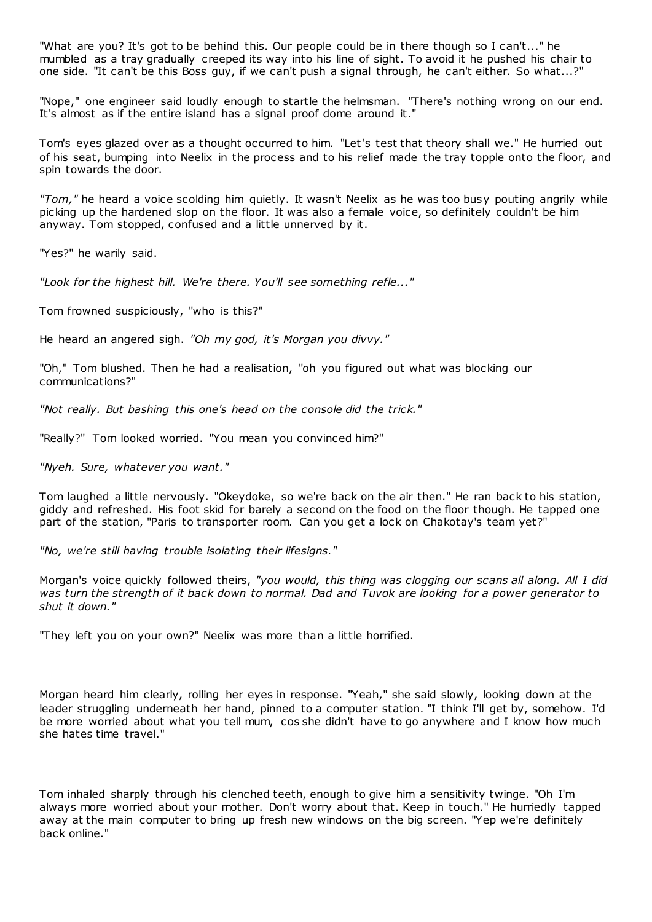"What are you? It's got to be behind this. Our people could be in there though so I can't..." he mumbled as a tray gradually creeped its way into his line of sight. To avoid it he pushed his chair to one side. "It can't be this Boss guy, if we can't push a signal through, he can't either. So what...?"

"Nope," one engineer said loudly enough to startle the helmsman. "There's nothing wrong on our end. It's almost as if the entire island has a signal proof dome around it."

Tom's eyes glazed over as a thought occurred to him. "Let's test that theory shall we." He hurried out of his seat, bumping into Neelix in the process and to his relief made the tray topple onto the floor, and spin towards the door.

*"Tom,"* he heard a voice scolding him quietly. It wasn't Neelix as he was too busy pouting angrily while picking up the hardened slop on the floor. It was also a female voice, so definitely couldn't be him anyway. Tom stopped, confused and a little unnerved by it.

"Yes?" he warily said.

*"Look for the highest hill. We're there. You'll see something refle..."*

Tom frowned suspiciously, "who is this?"

He heard an angered sigh. *"Oh my god, it's Morgan you divvy."*

"Oh," Tom blushed. Then he had a realisation, "oh you figured out what was blocking our communications?"

*"Not really. But bashing this one's head on the console did the trick."*

"Really?" Tom looked worried. "You mean you convinced him?"

*"Nyeh. Sure, whatever you want."*

Tom laughed a little nervously. "Okeydoke, so we're back on the air then." He ran back to his station, giddy and refreshed. His foot skid for barely a second on the food on the floor though. He tapped one part of the station, "Paris to transporter room. Can you get a lock on Chakotay's team yet?"

*"No, we're still having trouble isolating their lifesigns."*

Morgan's voice quickly followed theirs, *"you would, this thing was clogging our scans all along. All I did was turn the strength of it back down to normal. Dad and Tuvok are looking for a power generator to shut it down."*

"They left you on your own?" Neelix was more than a little horrified.

Morgan heard him clearly, rolling her eyes in response. "Yeah," she said slowly, looking down at the leader struggling underneath her hand, pinned to a computer station. "I think I'll get by, somehow. I'd be more worried about what you tell mum, cos she didn't have to go anywhere and I know how much she hates time travel."

Tom inhaled sharply through his clenched teeth, enough to give him a sensitivity twinge. "Oh I'm always more worried about your mother. Don't worry about that. Keep in touch." He hurriedly tapped away at the main computer to bring up fresh new windows on the big screen. "Yep we're definitely back online."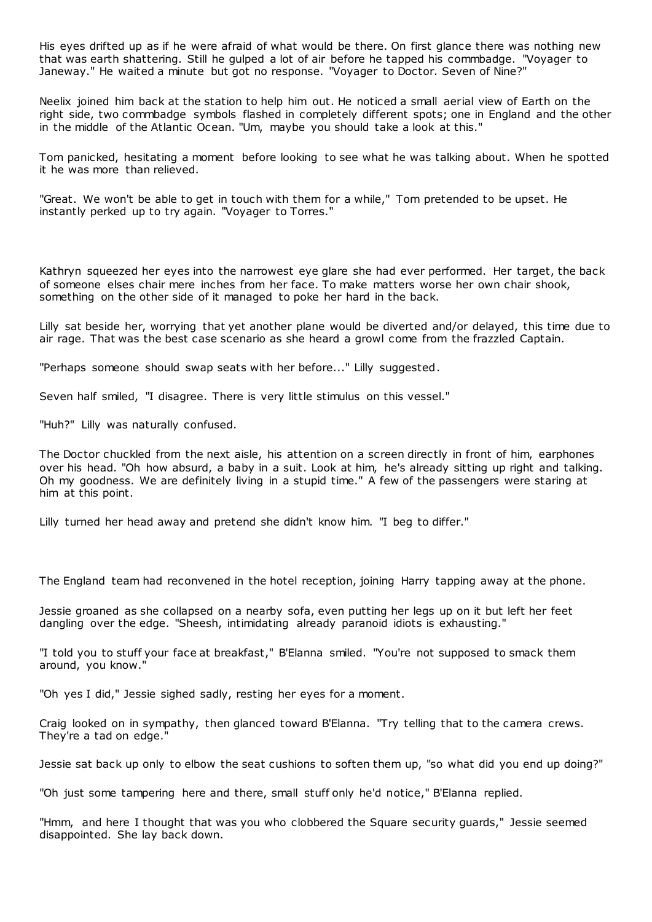His eyes drifted up as if he were afraid of what would be there. On first glance there was nothing new that was earth shattering. Still he gulped a lot of air before he tapped his commbadge. "Voyager to Janeway." He waited a minute but got no response. "Voyager to Doctor. Seven of Nine?"

Neelix joined him back at the station to help him out. He noticed a small aerial view of Earth on the right side, two commbadge symbols flashed in completely different spots; one in England and the other in the middle of the Atlantic Ocean. "Um, maybe you should take a look at this."

Tom panicked, hesitating a moment before looking to see what he was talking about. When he spotted it he was more than relieved.

"Great. We won't be able to get in touch with them for a while," Tom pretended to be upset. He instantly perked up to try again. "Voyager to Torres."

Kathryn squeezed her eyes into the narrowest eye glare she had ever performed. Her target, the back of someone elses chair mere inches from her face. To make matters worse her own chair shook, something on the other side of it managed to poke her hard in the back.

Lilly sat beside her, worrying that yet another plane would be diverted and/or delayed, this time due to air rage. That was the best case scenario as she heard a growl come from the frazzled Captain.

"Perhaps someone should swap seats with her before..." Lilly suggested.

Seven half smiled, "I disagree. There is very little stimulus on this vessel."

"Huh?" Lilly was naturally confused.

The Doctor chuckled from the next aisle, his attention on a screen directly in front of him, earphones over his head. "Oh how absurd, a baby in a suit. Look at him, he's already sitting up right and talking. Oh my goodness. We are definitely living in a stupid time." A few of the passengers were staring at him at this point.

Lilly turned her head away and pretend she didn't know him. "I beg to differ."

The England team had reconvened in the hotel reception, joining Harry tapping away at the phone.

Jessie groaned as she collapsed on a nearby sofa, even putting her legs up on it but left her feet dangling over the edge. "Sheesh, intimidating already paranoid idiots is exhausting."

"I told you to stuff your face at breakfast," B'Elanna smiled. "You're not supposed to smack them around, you know."

"Oh yes I did," Jessie sighed sadly, resting her eyes for a moment.

Craig looked on in sympathy, then glanced toward B'Elanna. "Try telling that to the camera crews. They're a tad on edge."

Jessie sat back up only to elbow the seat cushions to soften them up, "so what did you end up doing?"

"Oh just some tampering here and there, small stuff only he'd notice," B'Elanna replied.

"Hmm, and here I thought that was you who clobbered the Square security guards," Jessie seemed disappointed. She lay back down.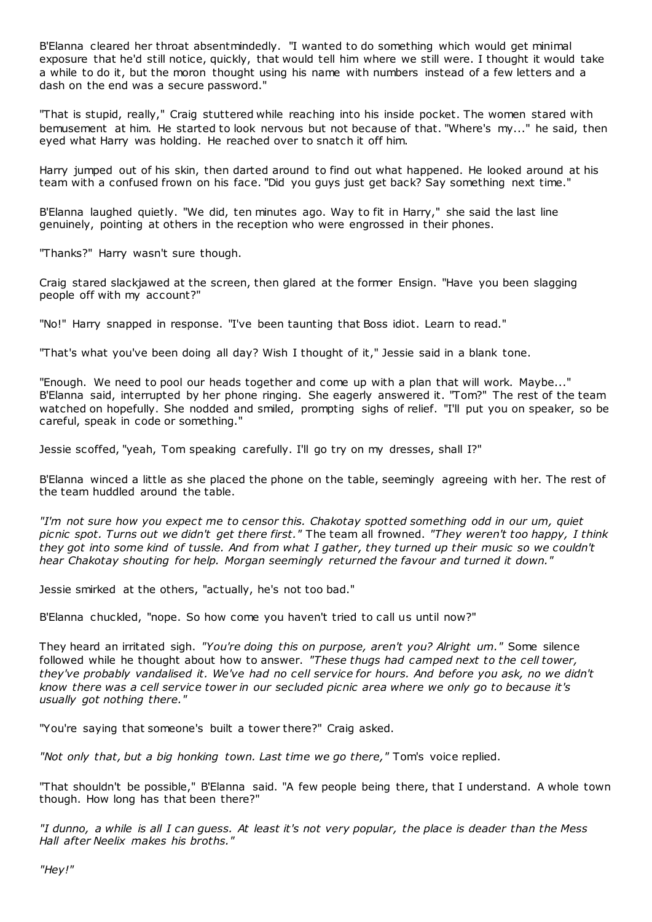B'Elanna cleared her throat absentmindedly. "I wanted to do something which would get minimal exposure that he'd still notice, quickly, that would tell him where we still were. I thought it would take a while to do it, but the moron thought using his name with numbers instead of a few letters and a dash on the end was a secure password."

"That is stupid, really," Craig stuttered while reaching into his inside pocket. The women stared with bemusement at him. He started to look nervous but not because of that. "Where's my..." he said, then eyed what Harry was holding. He reached over to snatch it off him.

Harry jumped out of his skin, then darted around to find out what happened. He looked around at his team with a confused frown on his face. "Did you guys just get back? Say something next time."

B'Elanna laughed quietly. "We did, ten minutes ago. Way to fit in Harry," she said the last line genuinely, pointing at others in the reception who were engrossed in their phones.

"Thanks?" Harry wasn't sure though.

Craig stared slackjawed at the screen, then glared at the former Ensign. "Have you been slagging people off with my account?"

"No!" Harry snapped in response. "I've been taunting that Boss idiot. Learn to read."

"That's what you've been doing all day? Wish I thought of it," Jessie said in a blank tone.

"Enough. We need to pool our heads together and come up with a plan that will work. Maybe..." B'Elanna said, interrupted by her phone ringing. She eagerly answered it. "Tom?" The rest of the team watched on hopefully. She nodded and smiled, prompting sighs of relief. "I'll put you on speaker, so be careful, speak in code or something."

Jessie scoffed, "yeah, Tom speaking carefully. I'll go try on my dresses, shall I?"

B'Elanna winced a little as she placed the phone on the table, seemingly agreeing with her. The rest of the team huddled around the table.

*"I'm not sure how you expect me to censor this. Chakotay spotted something odd in our um, quiet picnic spot. Turns out we didn't get there first."* The team all frowned. *"They weren't too happy, I think they got into some kind of tussle. And from what I gather, they turned up their music so we couldn't hear Chakotay shouting for help. Morgan seemingly returned the favour and turned it down."*

Jessie smirked at the others, "actually, he's not too bad."

B'Elanna chuckled, "nope. So how come you haven't tried to call us until now?"

They heard an irritated sigh. *"You're doing this on purpose, aren't you? Alright um."* Some silence followed while he thought about how to answer. *"These thugs had camped next to the cell tower, they've probably vandalised it. We've had no cell service for hours. And before you ask, no we didn't know there was a cell service tower in our secluded picnic area where we only go to because it's usually got nothing there."*

"You're saying that someone's built a tower there?" Craig asked.

*"Not only that, but a big honking town. Last time we go there,"* Tom's voice replied.

"That shouldn't be possible," B'Elanna said. "A few people being there, that I understand. A whole town though. How long has that been there?"

*"I dunno, a while is all I can guess. At least it's not very popular, the place is deader than the Mess Hall after Neelix makes his broths."*

*"Hey!"*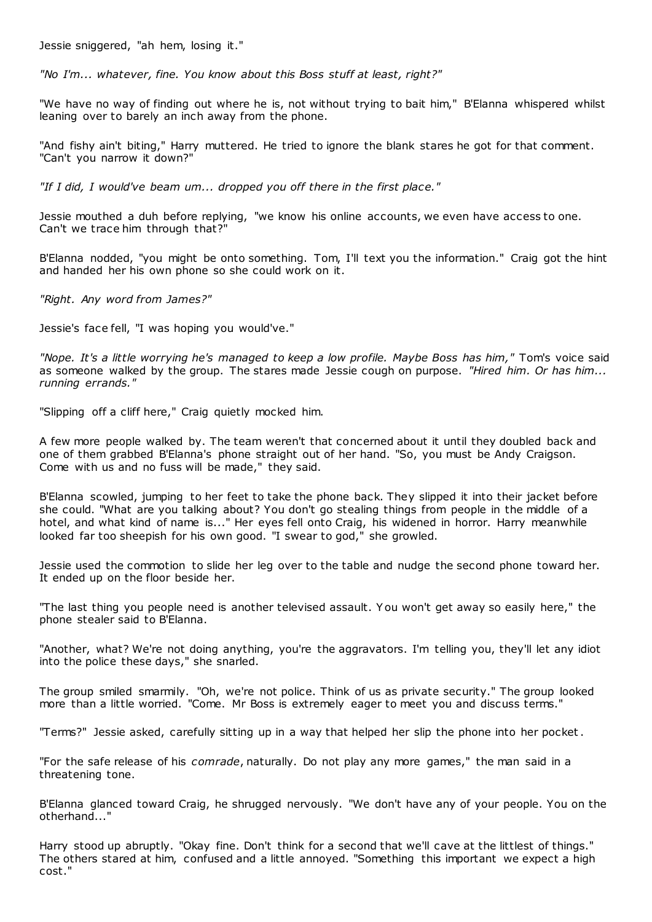Jessie sniggered, "ah hem, losing it."

*"No I'm... whatever, fine. You know about this Boss stuff at least, right?"*

"We have no way of finding out where he is, not without trying to bait him," B'Elanna whispered whilst leaning over to barely an inch away from the phone.

"And fishy ain't biting," Harry muttered. He tried to ignore the blank stares he got for that comment. "Can't you narrow it down?"

*"If I did, I would've beam um... dropped you off there in the first place."*

Jessie mouthed a duh before replying, "we know his online accounts, we even have access to one. Can't we trace him through that?"

B'Elanna nodded, "you might be onto something. Tom, I'll text you the information." Craig got the hint and handed her his own phone so she could work on it.

*"Right. Any word from James?"*

Jessie's face fell, "I was hoping you would've."

*"Nope. It's a little worrying he's managed to keep a low profile. Maybe Boss has him,"* Tom's voice said as someone walked by the group. The stares made Jessie cough on purpose. *"Hired him. Or has him... running errands."*

"Slipping off a cliff here," Craig quietly mocked him.

A few more people walked by. The team weren't that concerned about it until they doubled back and one of them grabbed B'Elanna's phone straight out of her hand. "So, you must be Andy Craigson. Come with us and no fuss will be made," they said.

B'Elanna scowled, jumping to her feet to take the phone back. They slipped it into their jacket before she could. "What are you talking about? You don't go stealing things from people in the middle of a hotel, and what kind of name is..." Her eyes fell onto Craig, his widened in horror. Harry meanwhile looked far too sheepish for his own good. "I swear to god," she growled.

Jessie used the commotion to slide her leg over to the table and nudge the second phone toward her. It ended up on the floor beside her.

"The last thing you people need is another televised assault. Y ou won't get away so easily here," the phone stealer said to B'Elanna.

"Another, what? We're not doing anything, you're the aggravators. I'm telling you, they'll let any idiot into the police these days," she snarled.

The group smiled smarmily. "Oh, we're not police. Think of us as private security." The group looked more than a little worried. "Come. Mr Boss is extremely eager to meet you and discuss terms."

"Terms?" Jessie asked, carefully sitting up in a way that helped her slip the phone into her pocket.

"For the safe release of his *comrade*, naturally. Do not play any more games," the man said in a threatening tone.

B'Elanna glanced toward Craig, he shrugged nervously. "We don't have any of your people. You on the otherhand..."

Harry stood up abruptly. "Okay fine. Don't think for a second that we'll cave at the littlest of things." The others stared at him, confused and a little annoyed. "Something this important we expect a high cost."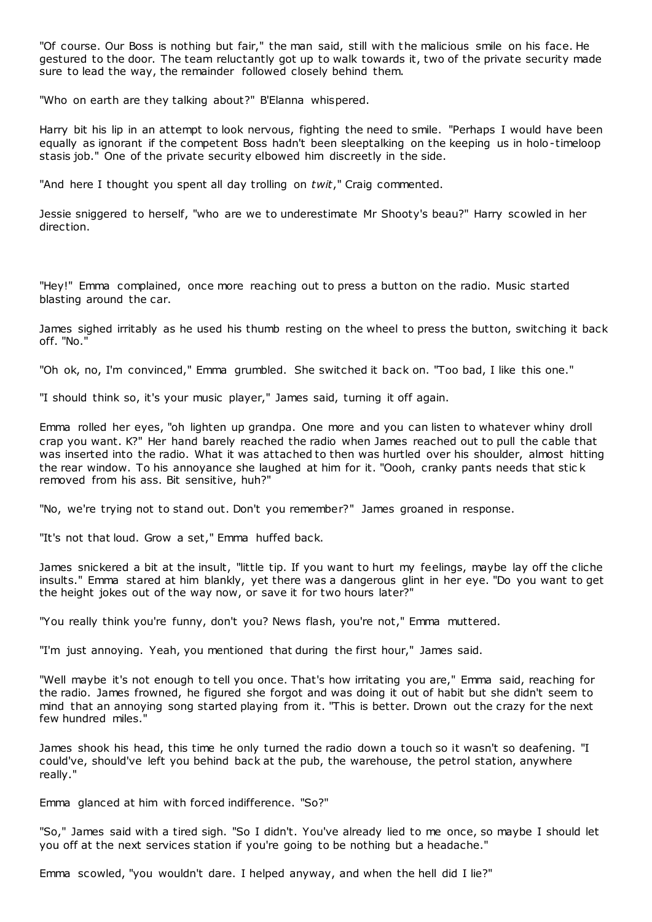"Of course. Our Boss is nothing but fair," the man said, still with the malicious smile on his face. He gestured to the door. The team reluctantly got up to walk towards it, two of the private security made sure to lead the way, the remainder followed closely behind them.

"Who on earth are they talking about?" B'Elanna whispered.

Harry bit his lip in an attempt to look nervous, fighting the need to smile. "Perhaps I would have been equally as ignorant if the competent Boss hadn't been sleeptalking on the keeping us in holo-timeloop stasis job." One of the private security elbowed him discreetly in the side.

"And here I thought you spent all day trolling on *twit*," Craig commented.

Jessie sniggered to herself, "who are we to underestimate Mr Shooty's beau?" Harry scowled in her direction.

"Hey!" Emma complained, once more reaching out to press a button on the radio. Music started blasting around the car.

James sighed irritably as he used his thumb resting on the wheel to press the button, switching it back off. "No."

"Oh ok, no, I'm convinced," Emma grumbled. She switched it back on. "Too bad, I like this one."

"I should think so, it's your music player," James said, turning it off again.

Emma rolled her eyes, "oh lighten up grandpa. One more and you can listen to whatever whiny droll crap you want. K?" Her hand barely reached the radio when James reached out to pull the cable that was inserted into the radio. What it was attached to then was hurtled over his shoulder, almost hitting the rear window. To his annoyance she laughed at him for it. "Oooh, cranky pants needs that stic k removed from his ass. Bit sensitive, huh?"

"No, we're trying not to stand out. Don't you remember?" James groaned in response.

"It's not that loud. Grow a set," Emma huffed back.

James snickered a bit at the insult, "little tip. If you want to hurt my feelings, maybe lay off the cliche insults." Emma stared at him blankly, yet there was a dangerous glint in her eye. "Do you want to get the height jokes out of the way now, or save it for two hours later?"

"You really think you're funny, don't you? News flash, you're not," Emma muttered.

"I'm just annoying. Yeah, you mentioned that during the first hour," James said.

"Well maybe it's not enough to tell you once. That's how irritating you are," Emma said, reaching for the radio. James frowned, he figured she forgot and was doing it out of habit but she didn't seem to mind that an annoying song started playing from it. "This is better. Drown out the crazy for the next few hundred miles."

James shook his head, this time he only turned the radio down a touch so it wasn't so deafening. "I could've, should've left you behind back at the pub, the warehouse, the petrol station, anywhere really."

Emma glanced at him with forced indifference. "So?"

"So," James said with a tired sigh. "So I didn't. You've already lied to me once, so maybe I should let you off at the next services station if you're going to be nothing but a headache."

Emma scowled, "you wouldn't dare. I helped anyway, and when the hell did I lie?"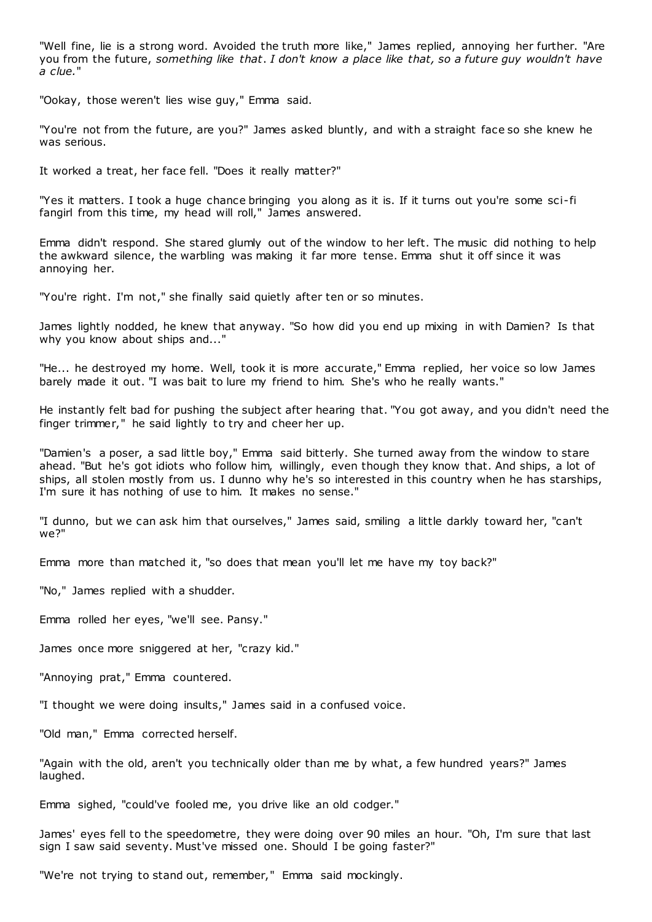"Well fine, lie is a strong word. Avoided the truth more like," James replied, annoying her further. "Are you from the future, *something like that*. *I don't know a place like that, so a future guy wouldn't have a clue.*"

"Ookay, those weren't lies wise guy," Emma said.

"You're not from the future, are you?" James asked bluntly, and with a straight face so she knew he was serious.

It worked a treat, her face fell. "Does it really matter?"

"Yes it matters. I took a huge chance bringing you along as it is. If it turns out you're some sci-fi fangirl from this time, my head will roll," James answered.

Emma didn't respond. She stared glumly out of the window to her left. The music did nothing to help the awkward silence, the warbling was making it far more tense. Emma shut it off since it was annoying her.

"You're right. I'm not," she finally said quietly after ten or so minutes.

James lightly nodded, he knew that anyway. "So how did you end up mixing in with Damien? Is that why you know about ships and..."

"He... he destroyed my home. Well, took it is more accurate," Emma replied, her voice so low James barely made it out. "I was bait to lure my friend to him. She's who he really wants."

He instantly felt bad for pushing the subject after hearing that. "You got away, and you didn't need the finger trimmer," he said lightly to try and cheer her up.

"Damien's a poser, a sad little boy," Emma said bitterly. She turned away from the window to stare ahead. "But he's got idiots who follow him, willingly, even though they know that. And ships, a lot of ships, all stolen mostly from us. I dunno why he's so interested in this country when he has starships, I'm sure it has nothing of use to him. It makes no sense."

"I dunno, but we can ask him that ourselves," James said, smiling a little darkly toward her, "can't we?"

Emma more than matched it, "so does that mean you'll let me have my toy back?"

"No," James replied with a shudder.

Emma rolled her eyes, "we'll see. Pansy."

James once more sniggered at her, "crazy kid."

"Annoying prat," Emma countered.

"I thought we were doing insults," James said in a confused voice.

"Old man," Emma corrected herself.

"Again with the old, aren't you technically older than me by what, a few hundred years?" James laughed.

Emma sighed, "could've fooled me, you drive like an old codger."

James' eyes fell to the speedometre, they were doing over 90 miles an hour. "Oh, I'm sure that last sign I saw said seventy. Must've missed one. Should I be going faster?"

"We're not trying to stand out, remember," Emma said mockingly.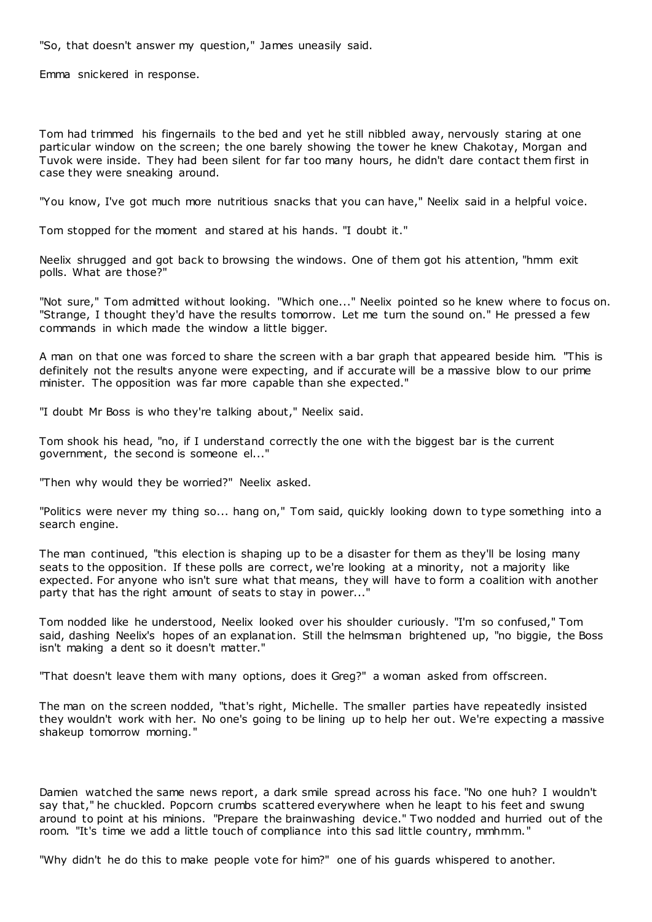"So, that doesn't answer my question," James uneasily said.

Emma snickered in response.

Tom had trimmed his fingernails to the bed and yet he still nibbled away, nervously staring at one particular window on the screen; the one barely showing the tower he knew Chakotay, Morgan and Tuvok were inside. They had been silent for far too many hours, he didn't dare contact them first in case they were sneaking around.

"You know, I've got much more nutritious snacks that you can have," Neelix said in a helpful voice.

Tom stopped for the moment and stared at his hands. "I doubt it."

Neelix shrugged and got back to browsing the windows. One of them got his attention, "hmm exit polls. What are those?"

"Not sure," Tom admitted without looking. "Which one..." Neelix pointed so he knew where to focus on. "Strange, I thought they'd have the results tomorrow. Let me turn the sound on." He pressed a few commands in which made the window a little bigger.

A man on that one was forced to share the screen with a bar graph that appeared beside him. "This is definitely not the results anyone were expecting, and if accurate will be a massive blow to our prime minister. The opposition was far more capable than she expected."

"I doubt Mr Boss is who they're talking about," Neelix said.

Tom shook his head, "no, if I understand correctly the one with the biggest bar is the current government, the second is someone el..."

"Then why would they be worried?" Neelix asked.

"Politics were never my thing so... hang on," Tom said, quickly looking down to type something into a search engine.

The man continued, "this election is shaping up to be a disaster for them as they'll be losing many seats to the opposition. If these polls are correct, we're looking at a minority, not a majority like expected. For anyone who isn't sure what that means, they will have to form a coalition with another party that has the right amount of seats to stay in power..."

Tom nodded like he understood, Neelix looked over his shoulder curiously. "I'm so confused," Tom said, dashing Neelix's hopes of an explanation. Still the helmsman brightened up, "no biggie, the Boss isn't making a dent so it doesn't matter."

"That doesn't leave them with many options, does it Greg?" a woman asked from offscreen.

The man on the screen nodded, "that's right, Michelle. The smaller parties have repeatedly insisted they wouldn't work with her. No one's going to be lining up to help her out. We're expecting a massive shakeup tomorrow morning."

Damien watched the same news report, a dark smile spread across his face. "No one huh? I wouldn't say that," he chuckled. Popcorn crumbs scattered everywhere when he leapt to his feet and swung around to point at his minions. "Prepare the brainwashing device." Two nodded and hurried out of the room. "It's time we add a little touch of compliance into this sad little country, mmhmm."

"Why didn't he do this to make people vote for him?" one of his guards whispered to another.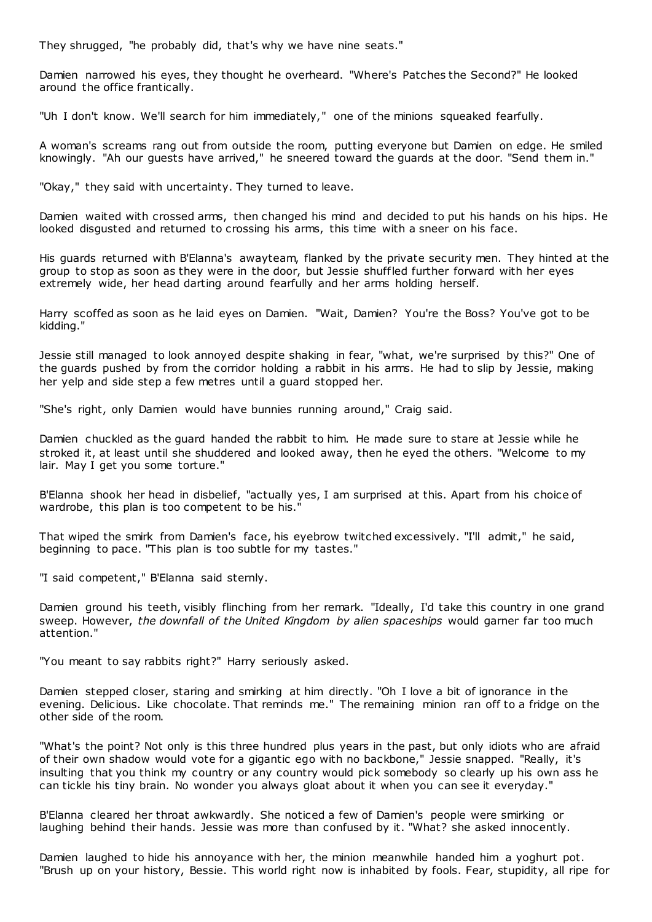They shrugged, "he probably did, that's why we have nine seats."

Damien narrowed his eyes, they thought he overheard. "Where's Patches the Second?" He looked around the office frantically.

"Uh I don't know. We'll search for him immediately," one of the minions squeaked fearfully.

A woman's screams rang out from outside the room, putting everyone but Damien on edge. He smiled knowingly. "Ah our guests have arrived," he sneered toward the guards at the door. "Send them in."

"Okay," they said with uncertainty. They turned to leave.

Damien waited with crossed arms, then changed his mind and decided to put his hands on his hips. He looked disgusted and returned to crossing his arms, this time with a sneer on his face.

His guards returned with B'Elanna's awayteam, flanked by the private security men. They hinted at the group to stop as soon as they were in the door, but Jessie shuffled further forward with her eyes extremely wide, her head darting around fearfully and her arms holding herself.

Harry scoffed as soon as he laid eyes on Damien. "Wait, Damien? You're the Boss? You've got to be kidding."

Jessie still managed to look annoyed despite shaking in fear, "what, we're surprised by this?" One of the guards pushed by from the corridor holding a rabbit in his arms. He had to slip by Jessie, making her yelp and side step a few metres until a guard stopped her.

"She's right, only Damien would have bunnies running around," Craig said.

Damien chuckled as the guard handed the rabbit to him. He made sure to stare at Jessie while he stroked it, at least until she shuddered and looked away, then he eyed the others. "Welcome to my lair. May I get you some torture."

B'Elanna shook her head in disbelief, "actually yes, I am surprised at this. Apart from his choice of wardrobe, this plan is too competent to be his."

That wiped the smirk from Damien's face, his eyebrow twitched excessively. "I'll admit," he said, beginning to pace. "This plan is too subtle for my tastes."

"I said competent," B'Elanna said sternly.

Damien ground his teeth, visibly flinching from her remark. "Ideally, I'd take this country in one grand sweep. However, *the downfall of the United Kingdom by alien spaceships* would garner far too much attention."

"You meant to say rabbits right?" Harry seriously asked.

Damien stepped closer, staring and smirking at him directly. "Oh I love a bit of ignorance in the evening. Delicious. Like chocolate. That reminds me." The remaining minion ran off to a fridge on the other side of the room.

"What's the point? Not only is this three hundred plus years in the past, but only idiots who are afraid of their own shadow would vote for a gigantic ego with no backbone," Jessie snapped. "Really, it's insulting that you think my country or any country would pick somebody so clearly up his own ass he can tickle his tiny brain. No wonder you always gloat about it when you can see it everyday."

B'Elanna cleared her throat awkwardly. She noticed a few of Damien's people were smirking or laughing behind their hands. Jessie was more than confused by it. "What? she asked innocently.

Damien laughed to hide his annoyance with her, the minion meanwhile handed him a yoghurt pot. "Brush up on your history, Bessie. This world right now is inhabited by fools. Fear, stupidity, all ripe for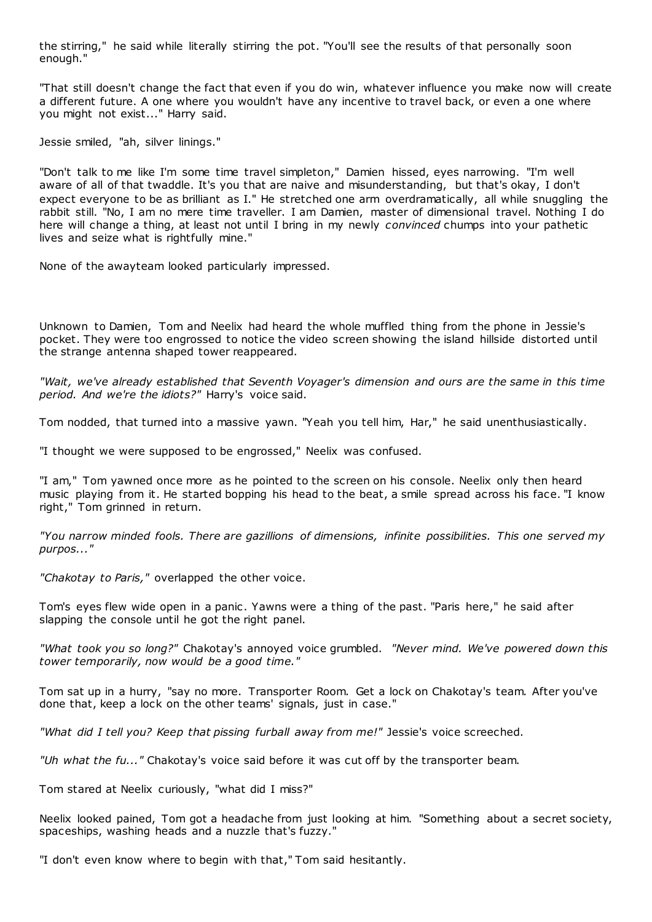the stirring," he said while literally stirring the pot. "You'll see the results of that personally soon enough."

"That still doesn't change the fact that even if you do win, whatever influence you make now will create a different future. A one where you wouldn't have any incentive to travel back, or even a one where you might not exist..." Harry said.

Jessie smiled, "ah, silver linings."

"Don't talk to me like I'm some time travel simpleton," Damien hissed, eyes narrowing. "I'm well aware of all of that twaddle. It's you that are naive and misunderstanding, but that's okay, I don't expect everyone to be as brilliant as I." He stretched one arm overdramatically, all while snuggling the rabbit still. "No, I am no mere time traveller. I am Damien, master of dimensional travel. Nothing I do here will change a thing, at least not until I bring in my newly *convinced* chumps into your pathetic lives and seize what is rightfully mine."

None of the awayteam looked particularly impressed.

Unknown to Damien, Tom and Neelix had heard the whole muffled thing from the phone in Jessie's pocket. They were too engrossed to notice the video screen showing the island hillside distorted until the strange antenna shaped tower reappeared.

*"Wait, we've already established that Seventh Voyager's dimension and ours are the same in this time period. And we're the idiots?"* Harry's voice said.

Tom nodded, that turned into a massive yawn. "Yeah you tell him, Har," he said unenthusiastically.

"I thought we were supposed to be engrossed," Neelix was confused.

"I am," Tom yawned once more as he pointed to the screen on his console. Neelix only then heard music playing from it. He started bopping his head to the beat, a smile spread across his face. "I know right," Tom grinned in return.

*"You narrow minded fools. There are gazillions of dimensions, infinite possibilities. This one served my purpos..."*

*"Chakotay to Paris,"* overlapped the other voice.

Tom's eyes flew wide open in a panic . Yawns were a thing of the past. "Paris here," he said after slapping the console until he got the right panel.

*"What took you so long?"* Chakotay's annoyed voice grumbled. *"Never mind. We've powered down this tower temporarily, now would be a good time."*

Tom sat up in a hurry, "say no more. Transporter Room. Get a lock on Chakotay's team. After you've done that, keep a lock on the other teams' signals, just in case."

*"What did I tell you? Keep that pissing furball away from me!"* Jessie's voice screeched.

*"Uh what the fu..."* Chakotay's voice said before it was cut off by the transporter beam.

Tom stared at Neelix curiously, "what did I miss?"

Neelix looked pained, Tom got a headache from just looking at him. "Something about a secret society, spaceships, washing heads and a nuzzle that's fuzzy."

"I don't even know where to begin with that," Tom said hesitantly.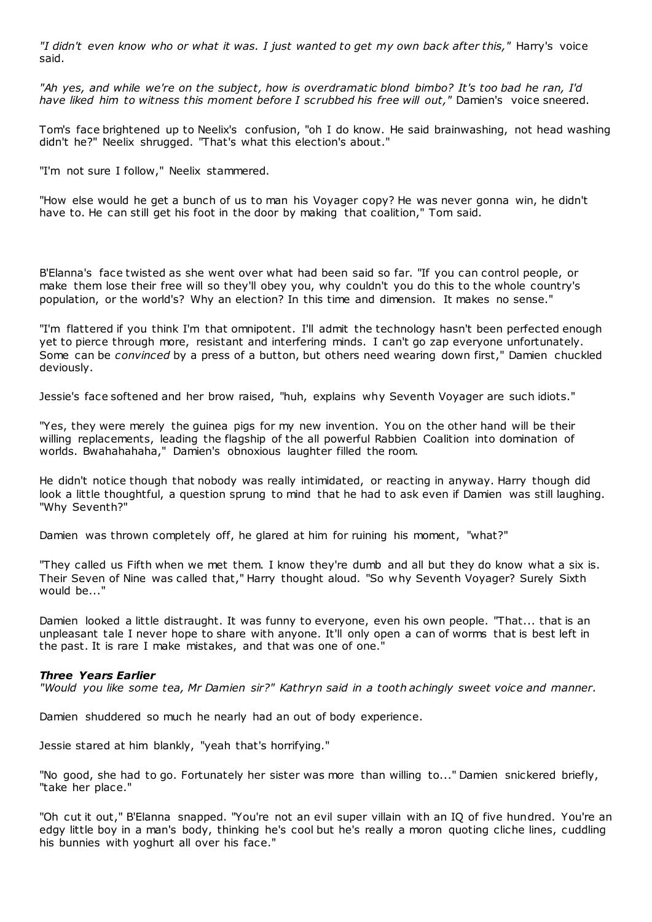*"I didn't even know who or what it was. I just wanted to get my own back after this,"* Harry's voice said.

*"Ah yes, and while we're on the subject, how is overdramatic blond bimbo? It's too bad he ran, I'd have liked him to witness this moment before I scrubbed his free will out,"* Damien's voice sneered.

Tom's face brightened up to Neelix's confusion, "oh I do know. He said brainwashing, not head washing didn't he?" Neelix shrugged. "That's what this election's about."

"I'm not sure I follow," Neelix stammered.

"How else would he get a bunch of us to man his Voyager copy? He was never gonna win, he didn't have to. He can still get his foot in the door by making that coalition," Tom said.

B'Elanna's face twisted as she went over what had been said so far. "If you can control people, or make them lose their free will so they'll obey you, why couldn't you do this to the whole country's population, or the world's? Why an election? In this time and dimension. It makes no sense."

"I'm flattered if you think I'm that omnipotent. I'll admit the technology hasn't been perfected enough yet to pierce through more, resistant and interfering minds. I can't go zap everyone unfortunately. Some can be *convinced* by a press of a button, but others need wearing down first," Damien chuckled deviously.

Jessie's face softened and her brow raised, "huh, explains why Seventh Voyager are such idiots."

"Yes, they were merely the guinea pigs for my new invention. You on the other hand will be their willing replacements, leading the flagship of the all powerful Rabbien Coalition into domination of worlds. Bwahahahaha," Damien's obnoxious laughter filled the room.

He didn't notice though that nobody was really intimidated, or reacting in anyway. Harry though did look a little thoughtful, a question sprung to mind that he had to ask even if Damien was still laughing. "Why Seventh?"

Damien was thrown completely off, he glared at him for ruining his moment, "what?"

"They called us Fifth when we met them. I know they're dumb and all but they do know what a six is. Their Seven of Nine was called that," Harry thought aloud. "So why Seventh Voyager? Surely Sixth would be..."

Damien looked a little distraught. It was funny to everyone, even his own people. "That... that is an unpleasant tale I never hope to share with anyone. It'll only open a can of worms that is best left in the past. It is rare I make mistakes, and that was one of one."

### *Three Years Earlier*

*"Would you like some tea, Mr Damien sir?" Kathryn said in a tooth achingly sweet voice and manner.*

Damien shuddered so much he nearly had an out of body experience.

Jessie stared at him blankly, "yeah that's horrifying."

"No good, she had to go. Fortunately her sister was more than willing to..." Damien snickered briefly, "take her place."

"Oh cut it out," B'Elanna snapped. "You're not an evil super villain with an IQ of five hundred. You're an edgy little boy in a man's body, thinking he's cool but he's really a moron quoting cliche lines, cuddling his bunnies with yoghurt all over his face."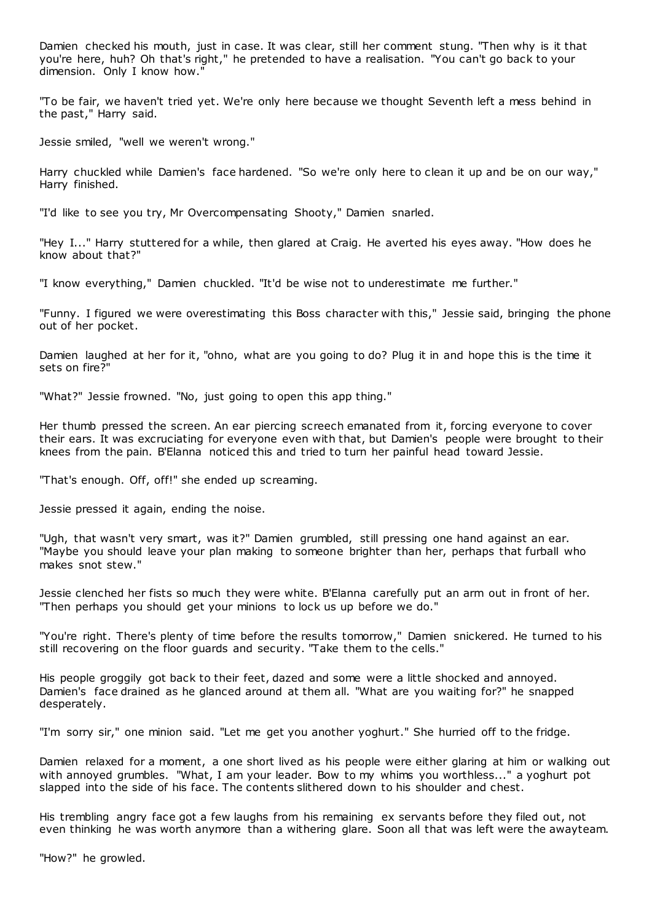Damien checked his mouth, just in case. It was clear, still her comment stung. "Then why is it that you're here, huh? Oh that's right," he pretended to have a realisation. "You can't go back to your dimension. Only I know how."

"To be fair, we haven't tried yet. We're only here because we thought Seventh left a mess behind in the past," Harry said.

Jessie smiled, "well we weren't wrong."

Harry chuckled while Damien's face hardened. "So we're only here to clean it up and be on our way," Harry finished.

"I'd like to see you try, Mr Overcompensating Shooty," Damien snarled.

"Hey I..." Harry stuttered for a while, then glared at Craig. He averted his eyes away. "How does he know about that?"

"I know everything," Damien chuckled. "It'd be wise not to underestimate me further."

"Funny. I figured we were overestimating this Boss character with this," Jessie said, bringing the phone out of her pocket.

Damien laughed at her for it, "ohno, what are you going to do? Plug it in and hope this is the time it sets on fire?"

"What?" Jessie frowned. "No, just going to open this app thing."

Her thumb pressed the screen. An ear piercing screech emanated from it, forcing everyone to cover their ears. It was excruciating for everyone even with that, but Damien's people were brought to their knees from the pain. B'Elanna noticed this and tried to turn her painful head toward Jessie.

"That's enough. Off, off!" she ended up screaming.

Jessie pressed it again, ending the noise.

"Ugh, that wasn't very smart, was it?" Damien grumbled, still pressing one hand against an ear. "Maybe you should leave your plan making to someone brighter than her, perhaps that furball who makes snot stew."

Jessie clenched her fists so much they were white. B'Elanna carefully put an arm out in front of her. "Then perhaps you should get your minions to lock us up before we do."

"You're right. There's plenty of time before the results tomorrow," Damien snickered. He turned to his still recovering on the floor guards and security. "Take them to the cells."

His people groggily got back to their feet, dazed and some were a little shocked and annoyed. Damien's face drained as he glanced around at them all. "What are you waiting for?" he snapped desperately.

"I'm sorry sir," one minion said. "Let me get you another yoghurt." She hurried off to the fridge.

Damien relaxed for a moment, a one short lived as his people were either glaring at him or walking out with annoyed grumbles. "What, I am your leader. Bow to my whims you worthless..." a yoghurt pot slapped into the side of his face. The contents slithered down to his shoulder and chest.

His trembling angry face got a few laughs from his remaining ex servants before they filed out, not even thinking he was worth anymore than a withering glare. Soon all that was left were the awayteam.

"How?" he growled.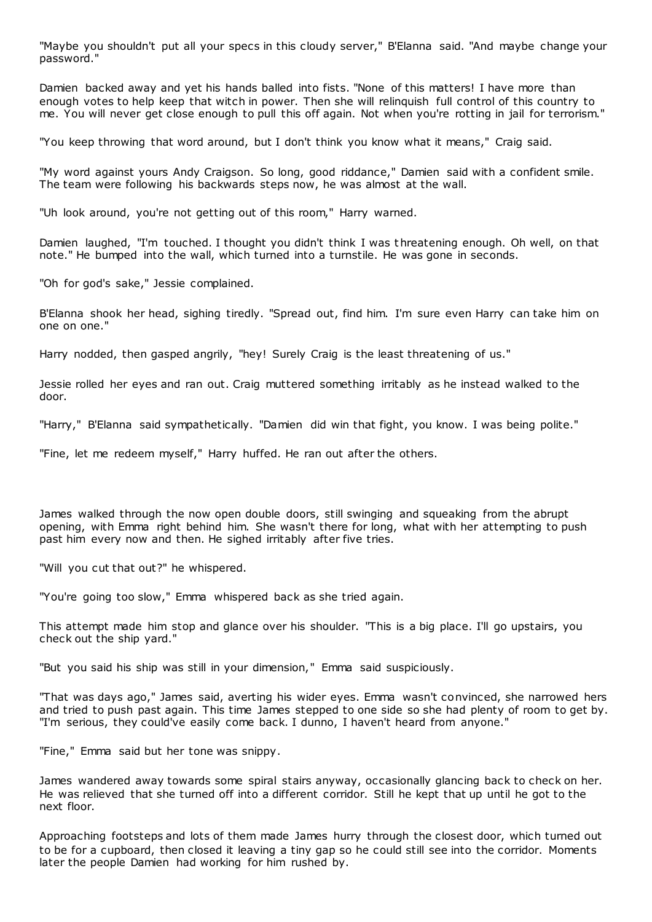"Maybe you shouldn't put all your specs in this cloudy server," B'Elanna said. "And maybe change your password."

Damien backed away and yet his hands balled into fists. "None of this matters! I have more than enough votes to help keep that witch in power. Then she will relinquish full control of this country to me. You will never get close enough to pull this off again. Not when you're rotting in jail for terrorism."

"You keep throwing that word around, but I don't think you know what it means," Craig said.

"My word against yours Andy Craigson. So long, good riddance," Damien said with a confident smile. The team were following his backwards steps now, he was almost at the wall.

"Uh look around, you're not getting out of this room," Harry warned.

Damien laughed, "I'm touched. I thought you didn't think I was threatening enough. Oh well, on that note." He bumped into the wall, which turned into a turnstile. He was gone in seconds.

"Oh for god's sake," Jessie complained.

B'Elanna shook her head, sighing tiredly. "Spread out, find him. I'm sure even Harry can take him on one on one."

Harry nodded, then gasped angrily, "hey! Surely Craig is the least threatening of us."

Jessie rolled her eyes and ran out. Craig muttered something irritably as he instead walked to the door.

"Harry," B'Elanna said sympathetically. "Damien did win that fight, you know. I was being polite."

"Fine, let me redeem myself," Harry huffed. He ran out after the others.

James walked through the now open double doors, still swinging and squeaking from the abrupt opening, with Emma right behind him. She wasn't there for long, what with her attempting to push past him every now and then. He sighed irritably after five tries.

"Will you cut that out?" he whispered.

"You're going too slow," Emma whispered back as she tried again.

This attempt made him stop and glance over his shoulder. "This is a big place. I'll go upstairs, you check out the ship yard."

"But you said his ship was still in your dimension," Emma said suspiciously.

"That was days ago," James said, averting his wider eyes. Emma wasn't convinced, she narrowed hers and tried to push past again. This time James stepped to one side so she had plenty of room to get by. "I'm serious, they could've easily come back. I dunno, I haven't heard from anyone."

"Fine," Emma said but her tone was snippy.

James wandered away towards some spiral stairs anyway, occasionally glancing back to check on her. He was relieved that she turned off into a different corridor. Still he kept that up until he got to the next floor.

Approaching footsteps and lots of them made James hurry through the closest door, which turned out to be for a cupboard, then closed it leaving a tiny gap so he could still see into the corridor. Moments later the people Damien had working for him rushed by.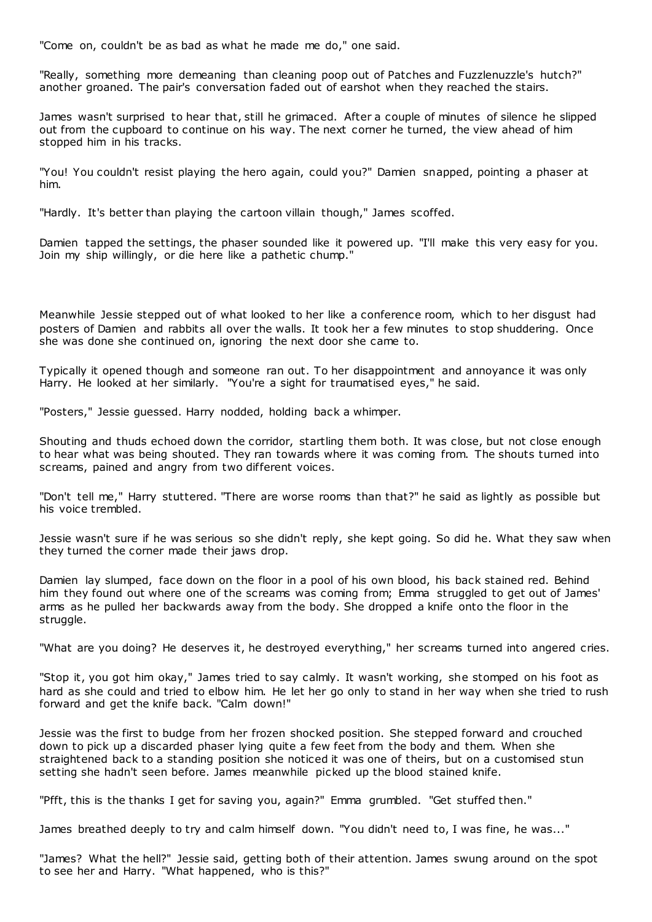"Come on, couldn't be as bad as what he made me do," one said.

"Really, something more demeaning than cleaning poop out of Patches and Fuzzlenuzzle's hutch?" another groaned. The pair's conversation faded out of earshot when they reached the stairs.

James wasn't surprised to hear that, still he grimaced. After a couple of minutes of silence he slipped out from the cupboard to continue on his way. The next corner he turned, the view ahead of him stopped him in his tracks.

"You! You couldn't resist playing the hero again, could you?" Damien snapped, pointing a phaser at him.

"Hardly. It's better than playing the cartoon villain though," James scoffed.

Damien tapped the settings, the phaser sounded like it powered up. "I'll make this very easy for you. Join my ship willingly, or die here like a pathetic chump."

Meanwhile Jessie stepped out of what looked to her like a conference room, which to her disgust had posters of Damien and rabbits all over the walls. It took her a few minutes to stop shuddering. Once she was done she continued on, ignoring the next door she came to.

Typically it opened though and someone ran out. To her disappointment and annoyance it was only Harry. He looked at her similarly. "You're a sight for traumatised eyes," he said.

"Posters," Jessie guessed. Harry nodded, holding back a whimper.

Shouting and thuds echoed down the corridor, startling them both. It was close, but not close enough to hear what was being shouted. They ran towards where it was coming from. The shouts turned into screams, pained and angry from two different voices.

"Don't tell me," Harry stuttered. "There are worse rooms than that?" he said as lightly as possible but his voice trembled.

Jessie wasn't sure if he was serious so she didn't reply, she kept going. So did he. What they saw when they turned the corner made their jaws drop.

Damien lay slumped, face down on the floor in a pool of his own blood, his back stained red. Behind him they found out where one of the screams was coming from; Emma struggled to get out of James' arms as he pulled her backwards away from the body. She dropped a knife onto the floor in the struggle.

"What are you doing? He deserves it, he destroyed everything," her screams turned into angered cries.

"Stop it, you got him okay," James tried to say calmly. It wasn't working, she stomped on his foot as hard as she could and tried to elbow him. He let her go only to stand in her way when she tried to rush forward and get the knife back. "Calm down!"

Jessie was the first to budge from her frozen shocked position. She stepped forward and crouched down to pick up a discarded phaser lying quite a few feet from the body and them. When she straightened back to a standing position she noticed it was one of theirs, but on a customised stun setting she hadn't seen before. James meanwhile picked up the blood stained knife.

"Pfft, this is the thanks I get for saving you, again?" Emma grumbled. "Get stuffed then."

James breathed deeply to try and calm himself down. "You didn't need to, I was fine, he was..."

"James? What the hell?" Jessie said, getting both of their attention. James swung around on the spot to see her and Harry. "What happened, who is this?"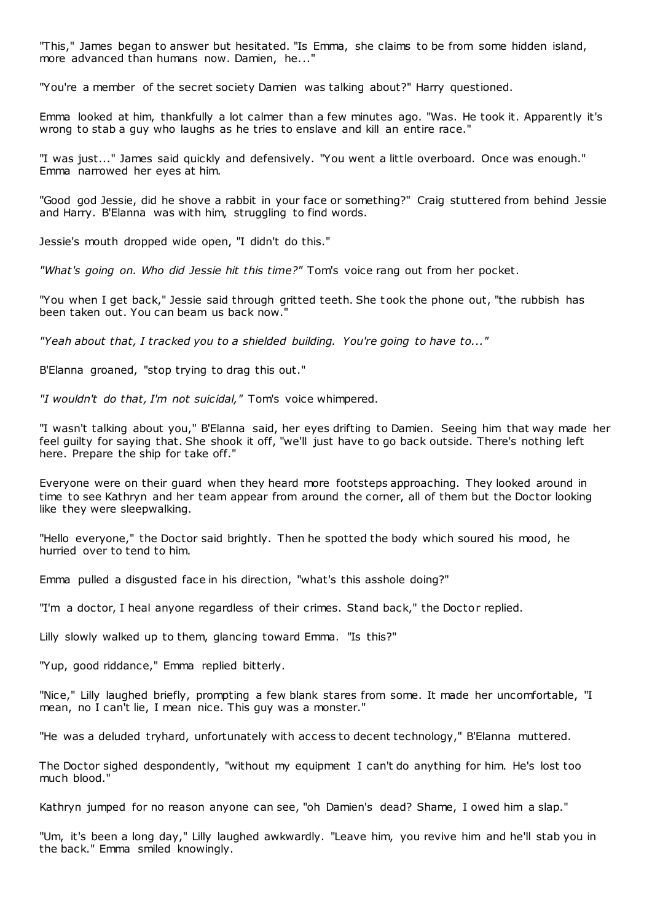"This," James began to answer but hesitated. "Is Emma, she claims to be from some hidden island, more advanced than humans now. Damien, he..."

"You're a member of the secret society Damien was talking about?" Harry questioned.

Emma looked at him, thankfully a lot calmer than a few minutes ago. "Was. He took it. Apparently it's wrong to stab a guy who laughs as he tries to enslave and kill an entire race."

"I was just..." James said quickly and defensively. "You went a little overboard. Once was enough." Emma narrowed her eyes at him.

"Good god Jessie, did he shove a rabbit in your face or something?" Craig stuttered from behind Jessie and Harry. B'Elanna was with him, struggling to find words.

Jessie's mouth dropped wide open, "I didn't do this."

*"What's going on. Who did Jessie hit this time?"* Tom's voice rang out from her pocket.

"You when I get back," Jessie said through gritted teeth. She took the phone out, "the rubbish has been taken out. You can beam us back now."

*"Yeah about that, I tracked you to a shielded building. You're going to have to..."*

B'Elanna groaned, "stop trying to drag this out."

*"I wouldn't do that, I'm not suicidal,"* Tom's voice whimpered.

"I wasn't talking about you," B'Elanna said, her eyes drifting to Damien. Seeing him that way made her feel guilty for saying that. She shook it off, "we'll just have to go back outside. There's nothing left here. Prepare the ship for take off."

Everyone were on their guard when they heard more footsteps approaching. They looked around in time to see Kathryn and her team appear from around the corner, all of them but the Doctor looking like they were sleepwalking.

"Hello everyone," the Doctor said brightly. Then he spotted the body which soured his mood, he hurried over to tend to him.

Emma pulled a disgusted face in his direction, "what's this asshole doing?"

"I'm a doctor, I heal anyone regardless of their crimes. Stand back," the Doctor replied.

Lilly slowly walked up to them, glancing toward Emma. "Is this?"

"Yup, good riddance," Emma replied bitterly.

"Nice," Lilly laughed briefly, prompting a few blank stares from some. It made her uncomfortable, "I mean, no I can't lie, I mean nice. This guy was a monster."

"He was a deluded tryhard, unfortunately with access to decent technology," B'Elanna muttered.

The Doctor sighed despondently, "without my equipment I can't do anything for him. He's lost too much blood."

Kathryn jumped for no reason anyone can see, "oh Damien's dead? Shame, I owed him a slap."

"Um, it's been a long day," Lilly laughed awkwardly. "Leave him, you revive him and he'll stab you in the back." Emma smiled knowingly.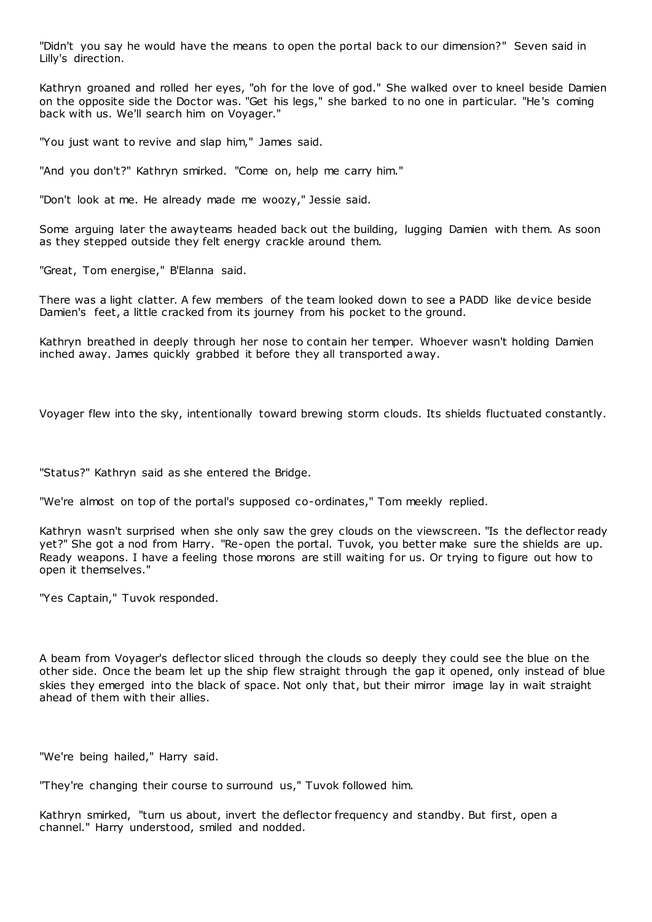"Didn't you say he would have the means to open the portal back to our dimension?" Seven said in Lilly's direction.

Kathryn groaned and rolled her eyes, "oh for the love of god." She walked over to kneel beside Damien on the opposite side the Doctor was. "Get his legs," she barked to no one in particular. "He's coming back with us. We'll search him on Voyager."

"You just want to revive and slap him," James said.

"And you don't?" Kathryn smirked. "Come on, help me carry him."

"Don't look at me. He already made me woozy," Jessie said.

Some arguing later the awayteams headed back out the building, lugging Damien with them. As soon as they stepped outside they felt energy crackle around them.

"Great, Tom energise," B'Elanna said.

There was a light clatter. A few members of the team looked down to see a PADD like device beside Damien's feet, a little cracked from its journey from his pocket to the ground.

Kathryn breathed in deeply through her nose to contain her temper. Whoever wasn't holding Damien inched away. James quickly grabbed it before they all transported away.

Voyager flew into the sky, intentionally toward brewing storm clouds. Its shields fluctuated constantly.

"Status?" Kathryn said as she entered the Bridge.

"We're almost on top of the portal's supposed co-ordinates," Tom meekly replied.

Kathryn wasn't surprised when she only saw the grey clouds on the viewscreen. "Is the deflector ready yet?" She got a nod from Harry. "Re-open the portal. Tuvok, you better make sure the shields are up. Ready weapons. I have a feeling those morons are still waiting for us. Or trying to figure out how to open it themselves."

"Yes Captain," Tuvok responded.

A beam from Voyager's deflector sliced through the clouds so deeply they could see the blue on the other side. Once the beam let up the ship flew straight through the gap it opened, only instead of blue skies they emerged into the black of space. Not only that, but their mirror image lay in wait straight ahead of them with their allies.

"We're being hailed," Harry said.

"They're changing their course to surround us," Tuvok followed him.

Kathryn smirked, "turn us about, invert the deflector frequency and standby. But first, open a channel." Harry understood, smiled and nodded.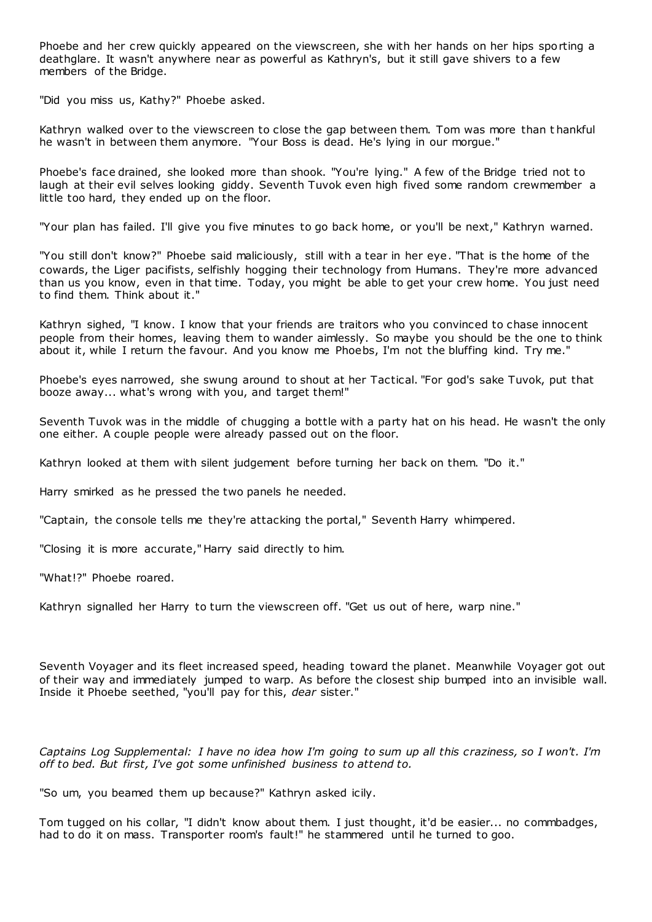Phoebe and her crew quickly appeared on the viewscreen, she with her hands on her hips sporting a deathglare. It wasn't anywhere near as powerful as Kathryn's, but it still gave shivers to a few members of the Bridge.

"Did you miss us, Kathy?" Phoebe asked.

Kathryn walked over to the viewscreen to close the gap between them. Tom was more than t hankful he wasn't in between them anymore. "Your Boss is dead. He's lying in our morgue."

Phoebe's face drained, she looked more than shook. "You're lying." A few of the Bridge tried not to laugh at their evil selves looking giddy. Seventh Tuvok even high fived some random crewmember a little too hard, they ended up on the floor.

"Your plan has failed. I'll give you five minutes to go back home, or you'll be next," Kathryn warned.

"You still don't know?" Phoebe said maliciously, still with a tear in her eye. "That is the home of the cowards, the Liger pacifists, selfishly hogging their technology from Humans. They're more advanced than us you know, even in that time. Today, you might be able to get your crew home. You just need to find them. Think about it."

Kathryn sighed, "I know. I know that your friends are traitors who you convinced to chase innocent people from their homes, leaving them to wander aimlessly. So maybe you should be the one to think about it, while I return the favour. And you know me Phoebs, I'm not the bluffing kind. Try me."

Phoebe's eyes narrowed, she swung around to shout at her Tactical. "For god's sake Tuvok, put that booze away... what's wrong with you, and target them!"

Seventh Tuvok was in the middle of chugging a bottle with a party hat on his head. He wasn't the only one either. A couple people were already passed out on the floor.

Kathryn looked at them with silent judgement before turning her back on them. "Do it."

Harry smirked as he pressed the two panels he needed.

"Captain, the console tells me they're attacking the portal," Seventh Harry whimpered.

"Closing it is more accurate," Harry said directly to him.

"What!?" Phoebe roared.

Kathryn signalled her Harry to turn the viewscreen off. "Get us out of here, warp nine."

Seventh Voyager and its fleet increased speed, heading toward the planet. Meanwhile Voyager got out of their way and immediately jumped to warp. As before the closest ship bumped into an invisible wall. Inside it Phoebe seethed, "you'll pay for this, *dear* sister."

*Captains Log Supplemental: I have no idea how I'm going to sum up all this craziness, so I won't. I'm off to bed. But first, I've got some unfinished business to attend to.*

"So um, you beamed them up because?" Kathryn asked icily.

Tom tugged on his collar, "I didn't know about them. I just thought, it'd be easier... no commbadges, had to do it on mass. Transporter room's fault!" he stammered until he turned to goo.